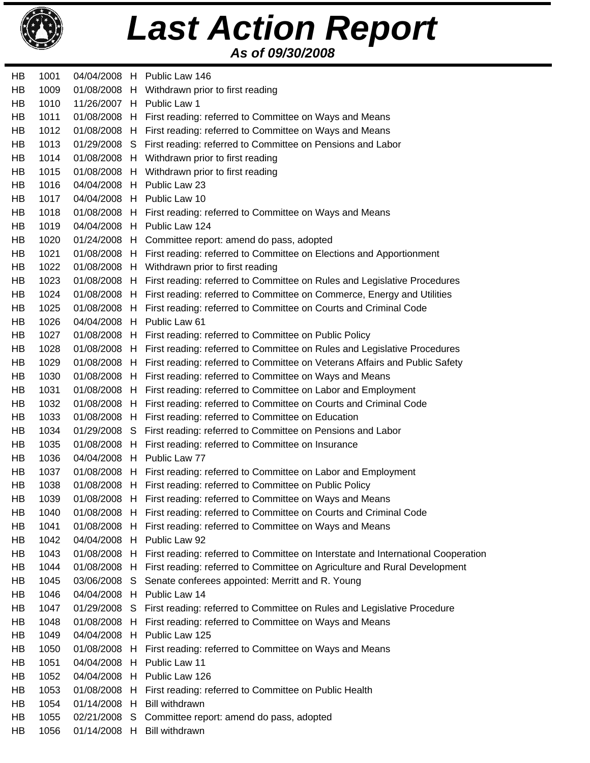

## *As of 09/30/2008 Last Action Report*

HB 1001 04/04/2008 H Public Law 146 HB 1009 01/08/2008 H Withdrawn prior to first reading HB 1010 11/26/2007 H Public Law 1 HB 1011 01/08/2008 H First reading: referred to Committee on Ways and Means HB 1012 01/08/2008 H First reading: referred to Committee on Ways and Means HB 1013 01/29/2008 S First reading: referred to Committee on Pensions and Labor HB 1014 01/08/2008 H Withdrawn prior to first reading HB 1015 01/08/2008 H Withdrawn prior to first reading HB 1016 04/04/2008 H Public Law 23 HB 1017 04/04/2008 H Public Law 10 HB 1018 01/08/2008 H First reading: referred to Committee on Ways and Means HB 1019 04/04/2008 H Public Law 124 HB 1020 01/24/2008 H Committee report: amend do pass, adopted HB 1021 01/08/2008 H First reading: referred to Committee on Elections and Apportionment HB 1022 01/08/2008 H Withdrawn prior to first reading HB 1023 01/08/2008 H First reading: referred to Committee on Rules and Legislative Procedures HB 1024 01/08/2008 H First reading: referred to Committee on Commerce, Energy and Utilities HB 1025 01/08/2008 H First reading: referred to Committee on Courts and Criminal Code HB 1026 04/04/2008 H Public Law 61 HB 1027 01/08/2008 H First reading: referred to Committee on Public Policy HB 1028 01/08/2008 H First reading: referred to Committee on Rules and Legislative Procedures HB 1029 01/08/2008 H First reading: referred to Committee on Veterans Affairs and Public Safety HB 1030 01/08/2008 H First reading: referred to Committee on Ways and Means HB 1031 01/08/2008 H First reading: referred to Committee on Labor and Employment HB 1032 01/08/2008 H First reading: referred to Committee on Courts and Criminal Code HB 1033 01/08/2008 H First reading: referred to Committee on Education HB 1034 01/29/2008 S First reading: referred to Committee on Pensions and Labor HB 1035 01/08/2008 H First reading: referred to Committee on Insurance HB 1036 04/04/2008 H Public Law 77 HB 1037 01/08/2008 H First reading: referred to Committee on Labor and Employment HB 1038 01/08/2008 H First reading: referred to Committee on Public Policy HB 1039 01/08/2008 H First reading: referred to Committee on Ways and Means HB 1040 01/08/2008 H First reading: referred to Committee on Courts and Criminal Code HB 1041 01/08/2008 H First reading: referred to Committee on Ways and Means HB 1042 04/04/2008 H Public Law 92 HB 1043 01/08/2008 H First reading: referred to Committee on Interstate and International Cooperation HB 1044 01/08/2008 H First reading: referred to Committee on Agriculture and Rural Development HB 1045 03/06/2008 S Senate conferees appointed: Merritt and R. Young HB 1046 04/04/2008 H Public Law 14 HB 1047 01/29/2008 S First reading: referred to Committee on Rules and Legislative Procedure HB 1048 01/08/2008 H First reading: referred to Committee on Ways and Means HB 1049 04/04/2008 H Public Law 125 HB 1050 01/08/2008 H First reading: referred to Committee on Ways and Means HB 1051 04/04/2008 H Public Law 11 HB 1052 04/04/2008 H Public Law 126 HB 1053 01/08/2008 H First reading: referred to Committee on Public Health HB 1054 01/14/2008 H Bill withdrawn HB 1055 02/21/2008 S Committee report: amend do pass, adopted HB 1056 01/14/2008 H Bill withdrawn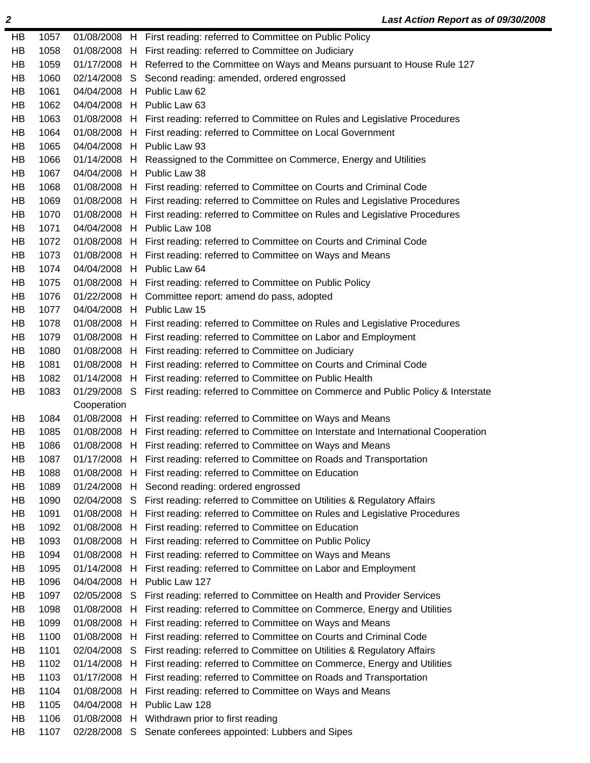| HB | 1057 |              |             | 01/08/2008 H First reading: referred to Committee on Public Policy                    |
|----|------|--------------|-------------|---------------------------------------------------------------------------------------|
| HB | 1058 | 01/08/2008 H |             | First reading: referred to Committee on Judiciary                                     |
| HB | 1059 | 01/17/2008 H |             | Referred to the Committee on Ways and Means pursuant to House Rule 127                |
| HB | 1060 | 02/14/2008   | S.          | Second reading: amended, ordered engrossed                                            |
| HB | 1061 |              |             | 04/04/2008 H Public Law 62                                                            |
| HB | 1062 |              |             | 04/04/2008 H Public Law 63                                                            |
| HB | 1063 |              |             | 01/08/2008 H First reading: referred to Committee on Rules and Legislative Procedures |
| HB | 1064 |              |             | 01/08/2008 H First reading: referred to Committee on Local Government                 |
| HB | 1065 | 04/04/2008   | H           | Public Law 93                                                                         |
| HB | 1066 | 01/14/2008   | $H_{\perp}$ | Reassigned to the Committee on Commerce, Energy and Utilities                         |
| HB | 1067 |              |             | 04/04/2008 H Public Law 38                                                            |
| HB | 1068 |              |             | 01/08/2008 H First reading: referred to Committee on Courts and Criminal Code         |
| HB | 1069 | 01/08/2008   |             | H First reading: referred to Committee on Rules and Legislative Procedures            |
| HB | 1070 | 01/08/2008 H |             | First reading: referred to Committee on Rules and Legislative Procedures              |
| HB | 1071 | 04/04/2008   | H           | Public Law 108                                                                        |
| HB | 1072 | 01/08/2008   | $H_{\perp}$ | First reading: referred to Committee on Courts and Criminal Code                      |
| HB | 1073 |              |             | 01/08/2008 H First reading: referred to Committee on Ways and Means                   |
| HB | 1074 | 04/04/2008   |             | H Public Law 64                                                                       |
| HB | 1075 | 01/08/2008   |             | H First reading: referred to Committee on Public Policy                               |
| HB | 1076 | 01/22/2008   | H           | Committee report: amend do pass, adopted                                              |
| HB | 1077 | 04/04/2008   |             | H Public Law 15                                                                       |
| HB | 1078 |              |             | 01/08/2008 H First reading: referred to Committee on Rules and Legislative Procedures |
| HB | 1079 | 01/08/2008   | H           | First reading: referred to Committee on Labor and Employment                          |
| HB | 1080 | 01/08/2008   | $H_{\perp}$ | First reading: referred to Committee on Judiciary                                     |
| HB | 1081 | 01/08/2008   | H           | First reading: referred to Committee on Courts and Criminal Code                      |
| HB | 1082 | 01/14/2008   | H           | First reading: referred to Committee on Public Health                                 |
| HB | 1083 | 01/29/2008   | S.          | First reading: referred to Committee on Commerce and Public Policy & Interstate       |
|    |      | Cooperation  |             |                                                                                       |
| HB | 1084 |              |             | 01/08/2008 H First reading: referred to Committee on Ways and Means                   |
| HB | 1085 | 01/08/2008   | H.          | First reading: referred to Committee on Interstate and International Cooperation      |
| HB | 1086 | 01/08/2008   | H           | First reading: referred to Committee on Ways and Means                                |
| HB | 1087 | 01/17/2008   | н           | First reading: referred to Committee on Roads and Transportation                      |
| HB | 1088 |              |             | 01/08/2008 H First reading: referred to Committee on Education                        |
| HB | 1089 | 01/24/2008   | H           | Second reading: ordered engrossed                                                     |
| HB | 1090 | 02/04/2008   | S           | First reading: referred to Committee on Utilities & Regulatory Affairs                |
| HB | 1091 | 01/08/2008   |             | First reading: referred to Committee on Rules and Legislative Procedures              |
| HB |      |              | H.          |                                                                                       |
| HB | 1092 | 01/08/2008   | H           | First reading: referred to Committee on Education                                     |
|    | 1093 | 01/08/2008   | H.          | First reading: referred to Committee on Public Policy                                 |
| HB | 1094 | 01/08/2008   | H           | First reading: referred to Committee on Ways and Means                                |
| HB | 1095 | 01/14/2008   | н           | First reading: referred to Committee on Labor and Employment                          |
| HB | 1096 | 04/04/2008   | H           | Public Law 127                                                                        |
| HB | 1097 | 02/05/2008   | S           | First reading: referred to Committee on Health and Provider Services                  |
| HB | 1098 | 01/08/2008   | H           | First reading: referred to Committee on Commerce, Energy and Utilities                |
| HB | 1099 | 01/08/2008   | H           | First reading: referred to Committee on Ways and Means                                |
| HB | 1100 | 01/08/2008   | H           | First reading: referred to Committee on Courts and Criminal Code                      |
| HB | 1101 | 02/04/2008   | S           | First reading: referred to Committee on Utilities & Regulatory Affairs                |
| HB | 1102 | 01/14/2008   | H.          | First reading: referred to Committee on Commerce, Energy and Utilities                |
| HB | 1103 | 01/17/2008   | н           | First reading: referred to Committee on Roads and Transportation                      |
| HB | 1104 | 01/08/2008   | H           | First reading: referred to Committee on Ways and Means                                |
| HB | 1105 | 04/04/2008   | H           | Public Law 128                                                                        |
| HB | 1106 | 01/08/2008   | H           | Withdrawn prior to first reading                                                      |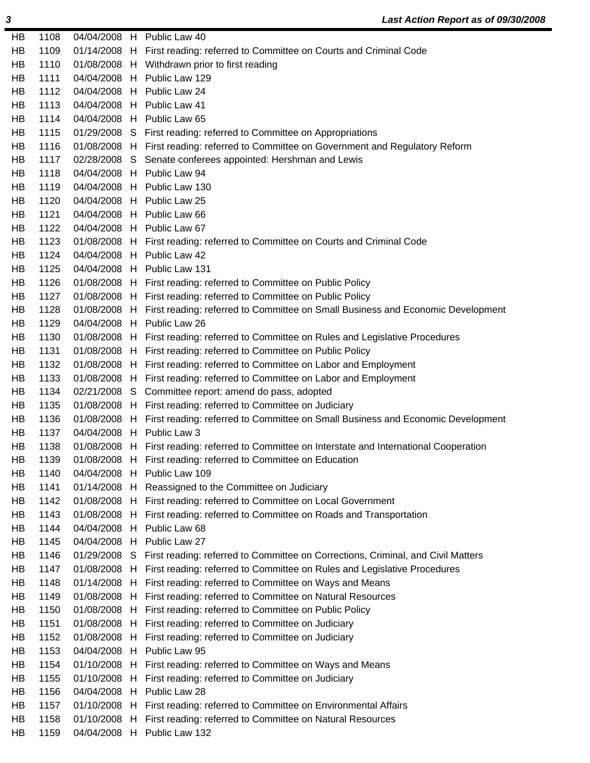| HB        | 1108 |              | 04/04/2008 H Public Law 40                                                                    |
|-----------|------|--------------|-----------------------------------------------------------------------------------------------|
| HB        | 1109 |              | 01/14/2008 H First reading: referred to Committee on Courts and Criminal Code                 |
| HB        | 1110 |              | 01/08/2008 H Withdrawn prior to first reading                                                 |
| HB        | 1111 |              | 04/04/2008 H Public Law 129                                                                   |
| HB        | 1112 |              | 04/04/2008 H Public Law 24                                                                    |
| HB        | 1113 |              | 04/04/2008 H Public Law 41                                                                    |
| HB        | 1114 |              | 04/04/2008 H Public Law 65                                                                    |
| HB        | 1115 |              | 01/29/2008 S First reading: referred to Committee on Appropriations                           |
| HB        | 1116 |              | 01/08/2008 H First reading: referred to Committee on Government and Regulatory Reform         |
| HB        | 1117 |              | 02/28/2008 S Senate conferees appointed: Hershman and Lewis                                   |
| <b>HB</b> | 1118 |              | 04/04/2008 H Public Law 94                                                                    |
| HB        | 1119 |              | 04/04/2008 H Public Law 130                                                                   |
| HB        | 1120 |              | 04/04/2008 H Public Law 25                                                                    |
| HB        | 1121 |              | 04/04/2008 H Public Law 66                                                                    |
| HB        | 1122 |              | 04/04/2008 H Public Law 67                                                                    |
| HB        | 1123 |              | 01/08/2008 H First reading: referred to Committee on Courts and Criminal Code                 |
| HB        | 1124 |              | 04/04/2008 H Public Law 42                                                                    |
| HB        | 1125 |              | 04/04/2008 H Public Law 131                                                                   |
| HB        | 1126 |              | 01/08/2008 H First reading: referred to Committee on Public Policy                            |
| HB        | 1127 |              | 01/08/2008 H First reading: referred to Committee on Public Policy                            |
| HB        | 1128 |              | 01/08/2008 H First reading: referred to Committee on Small Business and Economic Development  |
| <b>HB</b> | 1129 |              | 04/04/2008 H Public Law 26                                                                    |
| HB        | 1130 |              | 01/08/2008 H First reading: referred to Committee on Rules and Legislative Procedures         |
| HB        | 1131 |              | 01/08/2008 H First reading: referred to Committee on Public Policy                            |
| HB        | 1132 |              | 01/08/2008 H First reading: referred to Committee on Labor and Employment                     |
| HB        | 1133 |              | 01/08/2008 H First reading: referred to Committee on Labor and Employment                     |
| HB        | 1134 |              | 02/21/2008 S Committee report: amend do pass, adopted                                         |
| HB        | 1135 |              | 01/08/2008 H First reading: referred to Committee on Judiciary                                |
| HB        | 1136 |              | 01/08/2008 H First reading: referred to Committee on Small Business and Economic Development  |
| HB        | 1137 |              | 04/04/2008 H Public Law 3                                                                     |
| HB        | 1138 |              | 01/08/2008 H First reading: referred to Committee on Interstate and International Cooperation |
| HB        | 1139 |              | 01/08/2008 H First reading: referred to Committee on Education                                |
| HB        | 1140 |              | 04/04/2008 H Public Law 109                                                                   |
| HB        | 1141 |              | 01/14/2008 H Reassigned to the Committee on Judiciary                                         |
| HB        | 1142 |              | 01/08/2008 H First reading: referred to Committee on Local Government                         |
| <b>HB</b> | 1143 |              | 01/08/2008 H First reading: referred to Committee on Roads and Transportation                 |
| HB        | 1144 |              | 04/04/2008 H Public Law 68                                                                    |
| HB        | 1145 |              | 04/04/2008 H Public Law 27                                                                    |
| HB        | 1146 |              | 01/29/2008 S First reading: referred to Committee on Corrections, Criminal, and Civil Matters |
| HB        | 1147 |              | 01/08/2008 H First reading: referred to Committee on Rules and Legislative Procedures         |
| HB        | 1148 |              | 01/14/2008 H First reading: referred to Committee on Ways and Means                           |
| HB        | 1149 |              | 01/08/2008 H First reading: referred to Committee on Natural Resources                        |
| HB        | 1150 |              | 01/08/2008 H First reading: referred to Committee on Public Policy                            |
| HB        | 1151 |              | 01/08/2008 H First reading: referred to Committee on Judiciary                                |
| HB        | 1152 | 01/08/2008 H | First reading: referred to Committee on Judiciary                                             |
| HB        | 1153 |              | 04/04/2008 H Public Law 95                                                                    |
| <b>HB</b> | 1154 |              | 01/10/2008 H First reading: referred to Committee on Ways and Means                           |
| HB        | 1155 |              | 01/10/2008 H First reading: referred to Committee on Judiciary                                |
| HB        | 1156 |              | 04/04/2008 H Public Law 28                                                                    |
| HB        | 1157 |              | 01/10/2008 H First reading: referred to Committee on Environmental Affairs                    |
| HB        | 1158 |              | 01/10/2008 H First reading: referred to Committee on Natural Resources                        |
| HB        | 1159 |              | 04/04/2008 H Public Law 132                                                                   |
|           |      |              |                                                                                               |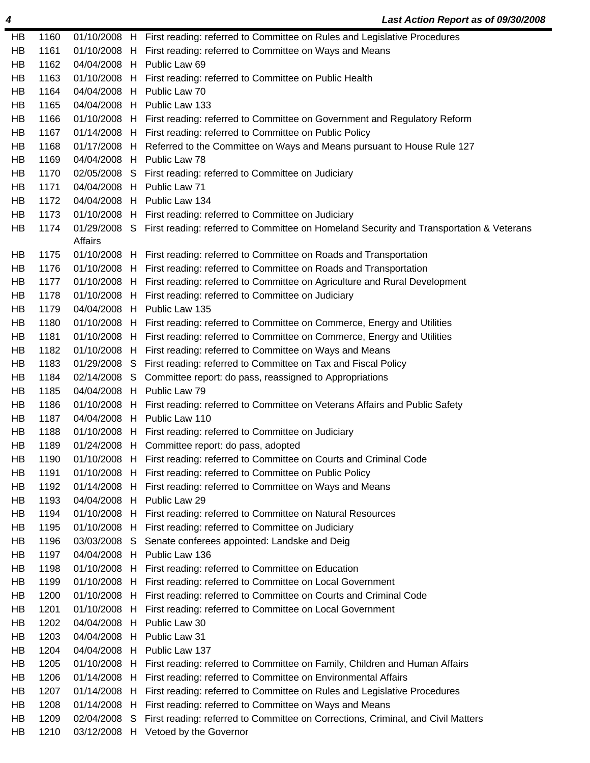| HB | 1160 |         | 01/10/2008 H First reading: referred to Committee on Rules and Legislative Procedures                |
|----|------|---------|------------------------------------------------------------------------------------------------------|
| HB | 1161 |         | 01/10/2008 H First reading: referred to Committee on Ways and Means                                  |
| HB | 1162 |         | 04/04/2008 H Public Law 69                                                                           |
| HB | 1163 |         | 01/10/2008 H First reading: referred to Committee on Public Health                                   |
| HB | 1164 |         | 04/04/2008 H Public Law 70                                                                           |
| HB | 1165 |         | 04/04/2008 H Public Law 133                                                                          |
| HB | 1166 |         | 01/10/2008 H First reading: referred to Committee on Government and Regulatory Reform                |
| HB | 1167 |         | 01/14/2008 H First reading: referred to Committee on Public Policy                                   |
| HB | 1168 |         | 01/17/2008 H Referred to the Committee on Ways and Means pursuant to House Rule 127                  |
| HB | 1169 |         | 04/04/2008 H Public Law 78                                                                           |
| HB | 1170 |         | 02/05/2008 S First reading: referred to Committee on Judiciary                                       |
| HB | 1171 |         | 04/04/2008 H Public Law 71                                                                           |
| HB | 1172 |         | 04/04/2008 H Public Law 134                                                                          |
| HB | 1173 |         | 01/10/2008 H First reading: referred to Committee on Judiciary                                       |
| HB | 1174 |         | 01/29/2008 S First reading: referred to Committee on Homeland Security and Transportation & Veterans |
|    |      | Affairs |                                                                                                      |
| HB | 1175 |         | 01/10/2008 H First reading: referred to Committee on Roads and Transportation                        |
| HB | 1176 |         | 01/10/2008 H First reading: referred to Committee on Roads and Transportation                        |
| HB | 1177 |         | 01/10/2008 H First reading: referred to Committee on Agriculture and Rural Development               |
| HB | 1178 |         | 01/10/2008 H First reading: referred to Committee on Judiciary                                       |
| HB | 1179 |         | 04/04/2008 H Public Law 135                                                                          |
| HB | 1180 |         | 01/10/2008 H First reading: referred to Committee on Commerce, Energy and Utilities                  |
| HB | 1181 |         | 01/10/2008 H First reading: referred to Committee on Commerce, Energy and Utilities                  |
| HB | 1182 |         | 01/10/2008 H First reading: referred to Committee on Ways and Means                                  |
| HB | 1183 |         | 01/29/2008 S First reading: referred to Committee on Tax and Fiscal Policy                           |
| HB | 1184 |         | 02/14/2008 S Committee report: do pass, reassigned to Appropriations                                 |
| HB | 1185 |         | 04/04/2008 H Public Law 79                                                                           |
| HB | 1186 |         | 01/10/2008 H First reading: referred to Committee on Veterans Affairs and Public Safety              |
| HB | 1187 |         | 04/04/2008 H Public Law 110                                                                          |
| HB | 1188 |         | 01/10/2008 H First reading: referred to Committee on Judiciary                                       |
| HB | 1189 |         | 01/24/2008 H Committee report: do pass, adopted                                                      |
| HB | 1190 |         | 01/10/2008 H First reading: referred to Committee on Courts and Criminal Code                        |
| HВ | 1191 |         | 01/10/2008 H First reading: referred to Committee on Public Policy                                   |
| HB | 1192 |         | 01/14/2008 H First reading: referred to Committee on Ways and Means                                  |
| HB | 1193 |         | 04/04/2008 H Public Law 29                                                                           |
| HB | 1194 |         | 01/10/2008 H First reading: referred to Committee on Natural Resources                               |
| HB | 1195 |         | 01/10/2008 H First reading: referred to Committee on Judiciary                                       |
| HB | 1196 |         | 03/03/2008 S Senate conferees appointed: Landske and Deig                                            |
| HB | 1197 |         | 04/04/2008 H Public Law 136                                                                          |
| HB | 1198 |         | 01/10/2008 H First reading: referred to Committee on Education                                       |
| HB | 1199 |         | 01/10/2008 H First reading: referred to Committee on Local Government                                |
| HB | 1200 |         | 01/10/2008 H First reading: referred to Committee on Courts and Criminal Code                        |
| HB | 1201 |         | 01/10/2008 H First reading: referred to Committee on Local Government                                |
| HB | 1202 |         | 04/04/2008 H Public Law 30                                                                           |
| HB | 1203 |         | 04/04/2008 H Public Law 31                                                                           |
| HB | 1204 |         | 04/04/2008 H Public Law 137                                                                          |
| HB | 1205 |         | 01/10/2008 H First reading: referred to Committee on Family, Children and Human Affairs              |
| HB | 1206 |         | 01/14/2008 H First reading: referred to Committee on Environmental Affairs                           |
| HB | 1207 |         | 01/14/2008 H First reading: referred to Committee on Rules and Legislative Procedures                |
| HB | 1208 |         | 01/14/2008 H First reading: referred to Committee on Ways and Means                                  |
| HB | 1209 |         | 02/04/2008 S First reading: referred to Committee on Corrections, Criminal, and Civil Matters        |
| HB | 1210 |         | 03/12/2008 H Vetoed by the Governor                                                                  |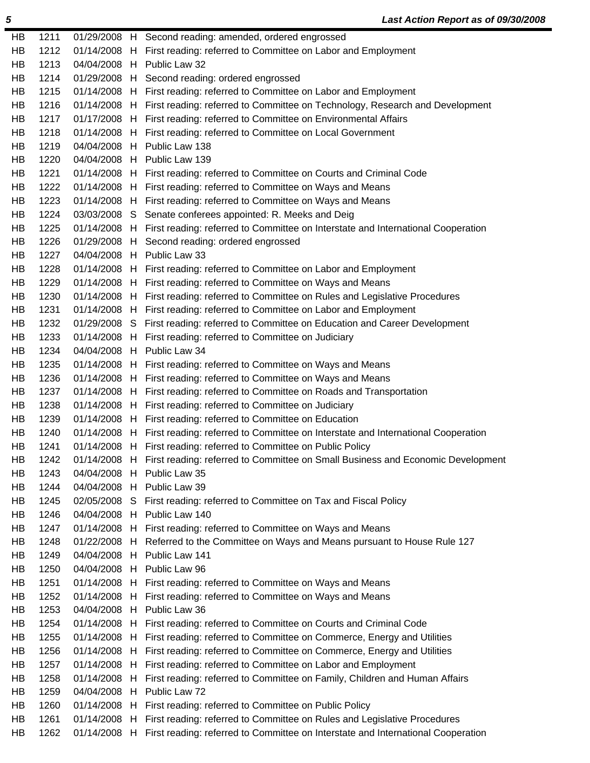| HВ | 1211 |              |    | 01/29/2008 H Second reading: amended, ordered engrossed                                      |
|----|------|--------------|----|----------------------------------------------------------------------------------------------|
| HB | 1212 | 01/14/2008 H |    | First reading: referred to Committee on Labor and Employment                                 |
| HB | 1213 | 04/04/2008 H |    | Public Law 32                                                                                |
| HB | 1214 |              |    | 01/29/2008 H Second reading: ordered engrossed                                               |
| HB | 1215 |              |    | 01/14/2008 H First reading: referred to Committee on Labor and Employment                    |
| HB | 1216 | 01/14/2008 H |    | First reading: referred to Committee on Technology, Research and Development                 |
| HB | 1217 |              |    | 01/17/2008 H First reading: referred to Committee on Environmental Affairs                   |
| HB | 1218 | 01/14/2008 H |    | First reading: referred to Committee on Local Government                                     |
| HB | 1219 | 04/04/2008   | H. | Public Law 138                                                                               |
| HB | 1220 |              |    | 04/04/2008 H Public Law 139                                                                  |
| HB | 1221 | 01/14/2008 H |    | First reading: referred to Committee on Courts and Criminal Code                             |
| HВ | 1222 | 01/14/2008 H |    | First reading: referred to Committee on Ways and Means                                       |
| HB | 1223 |              |    | 01/14/2008 H First reading: referred to Committee on Ways and Means                          |
| HB | 1224 |              |    | 03/03/2008 S Senate conferees appointed: R. Meeks and Deig                                   |
| HB | 1225 | 01/14/2008 H |    | First reading: referred to Committee on Interstate and International Cooperation             |
| HB | 1226 | 01/29/2008 H |    | Second reading: ordered engrossed                                                            |
| HB | 1227 |              |    | 04/04/2008 H Public Law 33                                                                   |
| HB | 1228 |              |    | 01/14/2008 H First reading: referred to Committee on Labor and Employment                    |
| HB | 1229 | 01/14/2008 H |    | First reading: referred to Committee on Ways and Means                                       |
| HB | 1230 | 01/14/2008 H |    | First reading: referred to Committee on Rules and Legislative Procedures                     |
| HB | 1231 |              |    | 01/14/2008 H First reading: referred to Committee on Labor and Employment                    |
| HB | 1232 |              |    | 01/29/2008 S First reading: referred to Committee on Education and Career Development        |
| HB | 1233 | 01/14/2008 H |    | First reading: referred to Committee on Judiciary                                            |
| HB | 1234 | 04/04/2008 H |    | Public Law 34                                                                                |
| HB | 1235 | 01/14/2008 H |    | First reading: referred to Committee on Ways and Means                                       |
| HB | 1236 | 01/14/2008 H |    | First reading: referred to Committee on Ways and Means                                       |
| HB | 1237 |              |    | 01/14/2008 H First reading: referred to Committee on Roads and Transportation                |
| HB | 1238 | 01/14/2008 H |    | First reading: referred to Committee on Judiciary                                            |
| HB | 1239 | 01/14/2008 H |    | First reading: referred to Committee on Education                                            |
| HB | 1240 | 01/14/2008 H |    | First reading: referred to Committee on Interstate and International Cooperation             |
| HB | 1241 | 01/14/2008 H |    | First reading: referred to Committee on Public Policy                                        |
| HB | 1242 |              |    | 01/14/2008 H First reading: referred to Committee on Small Business and Economic Development |
| HВ | 1243 |              |    | 04/04/2008 H Public Law 35                                                                   |
| HВ | 1244 | 04/04/2008 H |    | Public Law 39                                                                                |
| HB | 1245 |              |    | 02/05/2008 S First reading: referred to Committee on Tax and Fiscal Policy                   |
| HB | 1246 | 04/04/2008 H |    | Public Law 140                                                                               |
| HВ | 1247 | 01/14/2008 H |    | First reading: referred to Committee on Ways and Means                                       |
| HB | 1248 | 01/22/2008   | H  | Referred to the Committee on Ways and Means pursuant to House Rule 127                       |
| HB | 1249 | 04/04/2008   | H  | Public Law 141                                                                               |
| HB | 1250 | 04/04/2008 H |    | Public Law 96                                                                                |
| HB | 1251 | 01/14/2008 H |    | First reading: referred to Committee on Ways and Means                                       |
| HB | 1252 | 01/14/2008   | H  | First reading: referred to Committee on Ways and Means                                       |
| HB | 1253 | 04/04/2008 H |    | Public Law 36                                                                                |
| HB | 1254 | 01/14/2008   | H  | First reading: referred to Committee on Courts and Criminal Code                             |
| HB | 1255 | 01/14/2008   | H  | First reading: referred to Committee on Commerce, Energy and Utilities                       |
| HB | 1256 | 01/14/2008   | H. | First reading: referred to Committee on Commerce, Energy and Utilities                       |
| HB | 1257 | 01/14/2008   | H  | First reading: referred to Committee on Labor and Employment                                 |
| HB | 1258 | 01/14/2008   | H  | First reading: referred to Committee on Family, Children and Human Affairs                   |
| HB | 1259 | 04/04/2008 H |    | Public Law 72                                                                                |
| HB | 1260 | 01/14/2008   | H  | First reading: referred to Committee on Public Policy                                        |
| HB | 1261 | 01/14/2008   | H  | First reading: referred to Committee on Rules and Legislative Procedures                     |
| HB | 1262 | 01/14/2008 H |    | First reading: referred to Committee on Interstate and International Cooperation             |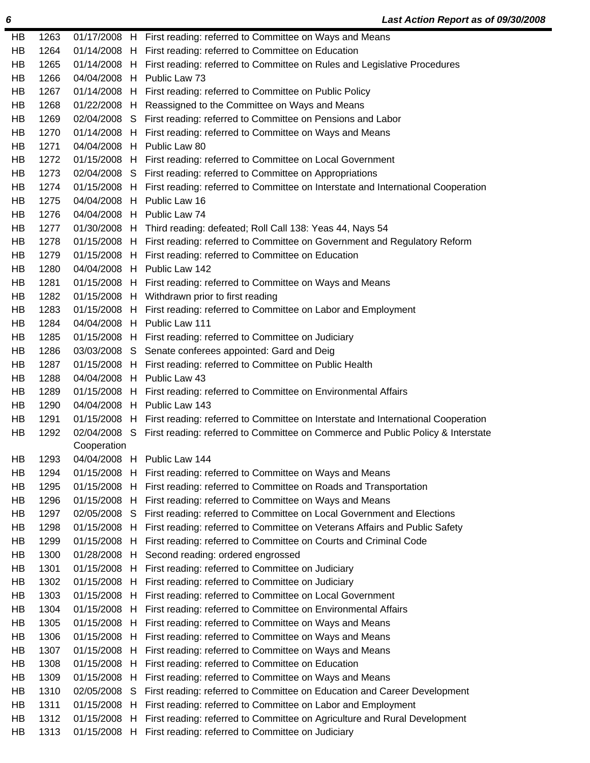| HB        | 1263 |              | 01/17/2008 H First reading: referred to Committee on Ways and Means                           |
|-----------|------|--------------|-----------------------------------------------------------------------------------------------|
| HB        | 1264 |              | 01/14/2008 H First reading: referred to Committee on Education                                |
| HB        | 1265 |              | 01/14/2008 H First reading: referred to Committee on Rules and Legislative Procedures         |
| HB        | 1266 |              | 04/04/2008 H Public Law 73                                                                    |
| <b>HB</b> | 1267 |              | 01/14/2008 H First reading: referred to Committee on Public Policy                            |
| HB        | 1268 |              | 01/22/2008 H Reassigned to the Committee on Ways and Means                                    |
| HB        | 1269 |              | 02/04/2008 S First reading: referred to Committee on Pensions and Labor                       |
| HB        | 1270 |              | 01/14/2008 H First reading: referred to Committee on Ways and Means                           |
| HB        | 1271 |              | 04/04/2008 H Public Law 80                                                                    |
| <b>HB</b> | 1272 |              | 01/15/2008 H First reading: referred to Committee on Local Government                         |
| HB        | 1273 |              | 02/04/2008 S First reading: referred to Committee on Appropriations                           |
| HB        | 1274 |              | 01/15/2008 H First reading: referred to Committee on Interstate and International Cooperation |
| <b>HB</b> | 1275 |              | 04/04/2008 H Public Law 16                                                                    |
| HB        | 1276 |              | 04/04/2008 H Public Law 74                                                                    |
| HB        | 1277 |              | 01/30/2008 H Third reading: defeated; Roll Call 138: Yeas 44, Nays 54                         |
| <b>HB</b> | 1278 |              | 01/15/2008 H First reading: referred to Committee on Government and Regulatory Reform         |
| HB        | 1279 |              | 01/15/2008 H First reading: referred to Committee on Education                                |
| HB        | 1280 |              | 04/04/2008 H Public Law 142                                                                   |
| HB        | 1281 |              | 01/15/2008 H First reading: referred to Committee on Ways and Means                           |
| HB        | 1282 |              | 01/15/2008 H Withdrawn prior to first reading                                                 |
| <b>HB</b> | 1283 |              | 01/15/2008 H First reading: referred to Committee on Labor and Employment                     |
| HB        | 1284 |              | 04/04/2008 H Public Law 111                                                                   |
| HB        | 1285 |              | 01/15/2008 H First reading: referred to Committee on Judiciary                                |
| <b>HB</b> | 1286 |              | 03/03/2008 S Senate conferees appointed: Gard and Deig                                        |
| HB        | 1287 |              | 01/15/2008 H First reading: referred to Committee on Public Health                            |
| HB        | 1288 |              | 04/04/2008 H Public Law 43                                                                    |
| <b>HB</b> | 1289 |              | 01/15/2008 H First reading: referred to Committee on Environmental Affairs                    |
| HB        | 1290 |              | 04/04/2008 H Public Law 143                                                                   |
| HB        | 1291 |              | 01/15/2008 H First reading: referred to Committee on Interstate and International Cooperation |
| <b>HB</b> | 1292 |              | 02/04/2008 S First reading: referred to Committee on Commerce and Public Policy & Interstate  |
|           |      | Cooperation  |                                                                                               |
| HB        | 1293 |              | 04/04/2008 H Public Law 144                                                                   |
| HB        | 1294 |              | 01/15/2008 H First reading: referred to Committee on Ways and Means                           |
| HB        | 1295 |              | 01/15/2008 H First reading: referred to Committee on Roads and Transportation                 |
| HB        | 1296 |              | 01/15/2008 H First reading: referred to Committee on Ways and Means                           |
| HB        | 1297 |              | 02/05/2008 S First reading: referred to Committee on Local Government and Elections           |
| HB        | 1298 |              | 01/15/2008 H First reading: referred to Committee on Veterans Affairs and Public Safety       |
| HB        | 1299 |              | 01/15/2008 H First reading: referred to Committee on Courts and Criminal Code                 |
| HB        | 1300 |              | 01/28/2008 H Second reading: ordered engrossed                                                |
| HB        | 1301 |              | 01/15/2008 H First reading: referred to Committee on Judiciary                                |
| HB        | 1302 |              | 01/15/2008 H First reading: referred to Committee on Judiciary                                |
| HB        | 1303 |              | 01/15/2008 H First reading: referred to Committee on Local Government                         |
| HB        | 1304 |              | 01/15/2008 H First reading: referred to Committee on Environmental Affairs                    |
| HB        | 1305 |              | 01/15/2008 H First reading: referred to Committee on Ways and Means                           |
| HB        | 1306 |              | 01/15/2008 H First reading: referred to Committee on Ways and Means                           |
| HB        | 1307 | 01/15/2008 H | First reading: referred to Committee on Ways and Means                                        |
| HB        | 1308 |              | 01/15/2008 H First reading: referred to Committee on Education                                |
| HB        | 1309 |              | 01/15/2008 H First reading: referred to Committee on Ways and Means                           |
| HB        | 1310 | 02/05/2008 S | First reading: referred to Committee on Education and Career Development                      |
| HB        | 1311 |              | 01/15/2008 H First reading: referred to Committee on Labor and Employment                     |
| HB        | 1312 |              | 01/15/2008 H First reading: referred to Committee on Agriculture and Rural Development        |
| HB        | 1313 |              | 01/15/2008 H First reading: referred to Committee on Judiciary                                |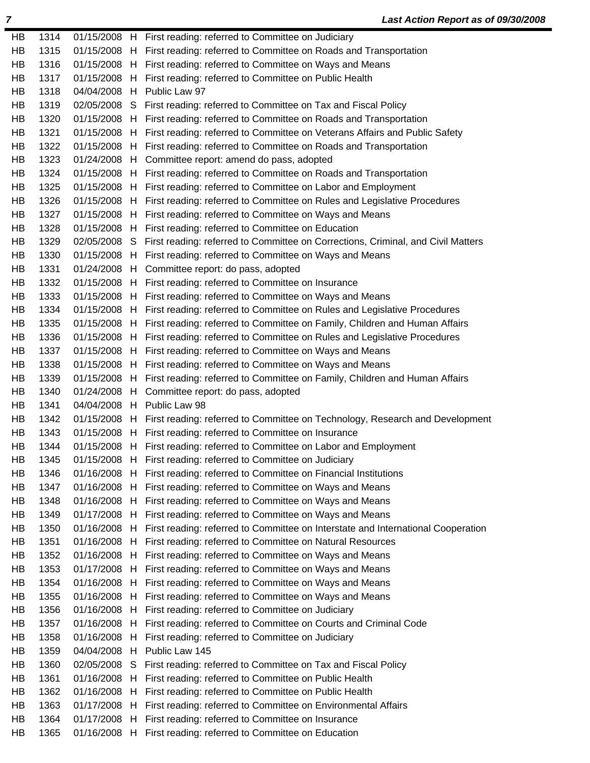| HB       | 1314         |            |    | 01/15/2008 H First reading: referred to Committee on Judiciary                                                      |
|----------|--------------|------------|----|---------------------------------------------------------------------------------------------------------------------|
| HB       | 1315         |            |    | 01/15/2008 H First reading: referred to Committee on Roads and Transportation                                       |
| HB       | 1316         |            |    | 01/15/2008 H First reading: referred to Committee on Ways and Means                                                 |
| HB       | 1317         |            |    | 01/15/2008 H First reading: referred to Committee on Public Health                                                  |
| HB       | 1318         |            |    | 04/04/2008 H Public Law 97                                                                                          |
| HB       | 1319         |            |    | 02/05/2008 S First reading: referred to Committee on Tax and Fiscal Policy                                          |
| HB       | 1320         |            |    | 01/15/2008 H First reading: referred to Committee on Roads and Transportation                                       |
| HB       | 1321         |            |    | 01/15/2008 H First reading: referred to Committee on Veterans Affairs and Public Safety                             |
| HB       | 1322         |            |    | 01/15/2008 H First reading: referred to Committee on Roads and Transportation                                       |
| HB       | 1323         |            |    | 01/24/2008 H Committee report: amend do pass, adopted                                                               |
| HB       | 1324         |            |    | 01/15/2008 H First reading: referred to Committee on Roads and Transportation                                       |
| HB       | 1325         |            |    | 01/15/2008 H First reading: referred to Committee on Labor and Employment                                           |
| HB       | 1326         |            |    | 01/15/2008 H First reading: referred to Committee on Rules and Legislative Procedures                               |
| HB       | 1327         |            |    | 01/15/2008 H First reading: referred to Committee on Ways and Means                                                 |
| HB       | 1328         |            |    | 01/15/2008 H First reading: referred to Committee on Education                                                      |
| HB       | 1329         |            |    | 02/05/2008 S First reading: referred to Committee on Corrections, Criminal, and Civil Matters                       |
| HB       | 1330         |            |    | 01/15/2008 H First reading: referred to Committee on Ways and Means                                                 |
| HB       | 1331         |            |    | 01/24/2008 H Committee report: do pass, adopted                                                                     |
| HB       | 1332         |            |    | 01/15/2008 H First reading: referred to Committee on Insurance                                                      |
| HB       | 1333         |            |    | 01/15/2008 H First reading: referred to Committee on Ways and Means                                                 |
| HB       | 1334         |            |    | 01/15/2008 H First reading: referred to Committee on Rules and Legislative Procedures                               |
| HB       | 1335         |            |    | 01/15/2008 H First reading: referred to Committee on Family, Children and Human Affairs                             |
| HB       | 1336         |            |    | 01/15/2008 H First reading: referred to Committee on Rules and Legislative Procedures                               |
| HB       | 1337         |            |    | 01/15/2008 H First reading: referred to Committee on Ways and Means                                                 |
| HВ       | 1338         |            |    | 01/15/2008 H First reading: referred to Committee on Ways and Means                                                 |
| HB       | 1339         |            |    | 01/15/2008 H First reading: referred to Committee on Family, Children and Human Affairs                             |
| HB       | 1340         |            |    | 01/24/2008 H Committee report: do pass, adopted                                                                     |
| HB       | 1341         |            |    | 04/04/2008 H Public Law 98                                                                                          |
|          |              |            |    |                                                                                                                     |
|          |              |            |    |                                                                                                                     |
| HB       | 1342         |            |    | 01/15/2008 H First reading: referred to Committee on Technology, Research and Development                           |
| HB       | 1343         |            |    | 01/15/2008 H First reading: referred to Committee on Insurance                                                      |
| HB       | 1344         |            |    | 01/15/2008 H First reading: referred to Committee on Labor and Employment                                           |
| HB       | 1345         | 01/15/2008 |    | H First reading: referred to Committee on Judiciary                                                                 |
| HB       | 1346         | 01/16/2008 |    | H First reading: referred to Committee on Financial Institutions                                                    |
| HB       | 1347         | 01/16/2008 | H. | First reading: referred to Committee on Ways and Means                                                              |
| HB       | 1348         | 01/16/2008 | H  | First reading: referred to Committee on Ways and Means                                                              |
| HB       | 1349         | 01/17/2008 | H. | First reading: referred to Committee on Ways and Means                                                              |
| HB       | 1350         | 01/16/2008 | H. | First reading: referred to Committee on Interstate and International Cooperation                                    |
| HB       | 1351         | 01/16/2008 | H  | First reading: referred to Committee on Natural Resources                                                           |
| HB       | 1352         | 01/16/2008 | H. | First reading: referred to Committee on Ways and Means                                                              |
| HB       | 1353         | 01/17/2008 | H  | First reading: referred to Committee on Ways and Means                                                              |
| HB       | 1354         | 01/16/2008 | H  | First reading: referred to Committee on Ways and Means                                                              |
| HB       | 1355         | 01/16/2008 | H. | First reading: referred to Committee on Ways and Means                                                              |
| HB       | 1356         | 01/16/2008 | H  | First reading: referred to Committee on Judiciary                                                                   |
| HB       | 1357         | 01/16/2008 | H  | First reading: referred to Committee on Courts and Criminal Code                                                    |
| HB       | 1358         | 01/16/2008 | H. | First reading: referred to Committee on Judiciary                                                                   |
| HB       | 1359         | 04/04/2008 | H  | Public Law 145                                                                                                      |
| HB       | 1360         | 02/05/2008 | S  | First reading: referred to Committee on Tax and Fiscal Policy                                                       |
| HB       | 1361         | 01/16/2008 |    | H First reading: referred to Committee on Public Health                                                             |
| HB       | 1362         | 01/16/2008 | H  | First reading: referred to Committee on Public Health                                                               |
| НB       | 1363         | 01/17/2008 | H. | First reading: referred to Committee on Environmental Affairs                                                       |
| HB<br>HB | 1364<br>1365 | 01/17/2008 | H  | First reading: referred to Committee on Insurance<br>01/16/2008 H First reading: referred to Committee on Education |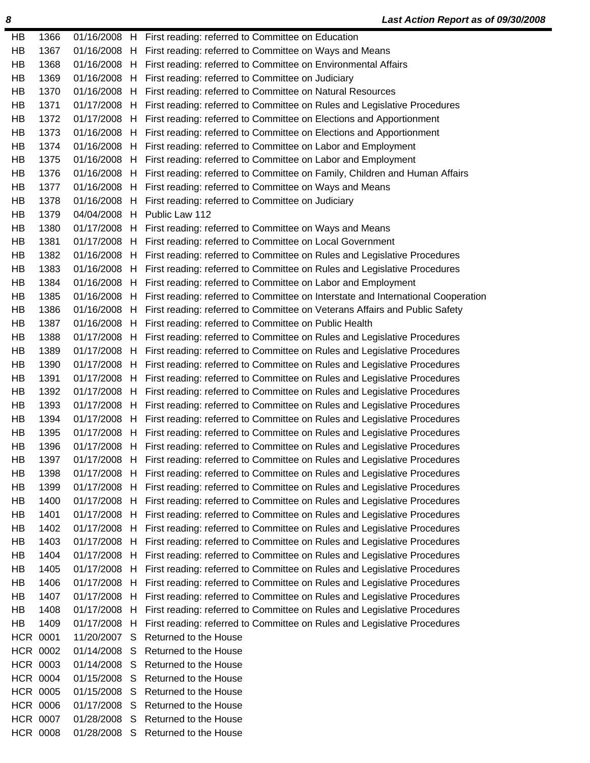| HB | 1366            |              |    | 01/16/2008 H First reading: referred to Committee on Education                                |
|----|-----------------|--------------|----|-----------------------------------------------------------------------------------------------|
| HB | 1367            |              |    | 01/16/2008 H First reading: referred to Committee on Ways and Means                           |
| HB | 1368            |              |    | 01/16/2008 H First reading: referred to Committee on Environmental Affairs                    |
| HB | 1369            |              |    | 01/16/2008 H First reading: referred to Committee on Judiciary                                |
| HB | 1370            |              |    | 01/16/2008 H First reading: referred to Committee on Natural Resources                        |
| HB | 1371            |              |    | 01/17/2008 H First reading: referred to Committee on Rules and Legislative Procedures         |
| HB | 1372            |              |    | 01/17/2008 H First reading: referred to Committee on Elections and Apportionment              |
| HB | 1373            |              |    | 01/16/2008 H First reading: referred to Committee on Elections and Apportionment              |
| HB | 1374            |              |    | 01/16/2008 H First reading: referred to Committee on Labor and Employment                     |
| HB | 1375            |              |    | 01/16/2008 H First reading: referred to Committee on Labor and Employment                     |
| HB | 1376            |              |    | 01/16/2008 H First reading: referred to Committee on Family, Children and Human Affairs       |
| HB | 1377            |              |    | 01/16/2008 H First reading: referred to Committee on Ways and Means                           |
| HB | 1378            |              |    | 01/16/2008 H First reading: referred to Committee on Judiciary                                |
| HB | 1379            |              |    | 04/04/2008 H Public Law 112                                                                   |
| HB | 1380            |              |    | 01/17/2008 H First reading: referred to Committee on Ways and Means                           |
| HB | 1381            |              |    | 01/17/2008 H First reading: referred to Committee on Local Government                         |
| HB | 1382            |              |    | 01/16/2008 H First reading: referred to Committee on Rules and Legislative Procedures         |
| HB | 1383            |              |    | 01/16/2008 H First reading: referred to Committee on Rules and Legislative Procedures         |
| HB | 1384            |              |    | 01/16/2008 H First reading: referred to Committee on Labor and Employment                     |
| HB | 1385            |              |    | 01/16/2008 H First reading: referred to Committee on Interstate and International Cooperation |
| HB | 1386            |              |    | 01/16/2008 H First reading: referred to Committee on Veterans Affairs and Public Safety       |
| HB | 1387            | 01/16/2008   |    | H First reading: referred to Committee on Public Health                                       |
| HB | 1388            |              |    | 01/17/2008 H First reading: referred to Committee on Rules and Legislative Procedures         |
| HB | 1389            |              |    | 01/17/2008 H First reading: referred to Committee on Rules and Legislative Procedures         |
| HB | 1390            |              |    | 01/17/2008 H First reading: referred to Committee on Rules and Legislative Procedures         |
| HB | 1391            | 01/17/2008 H |    | First reading: referred to Committee on Rules and Legislative Procedures                      |
| HB | 1392            |              |    | 01/17/2008 H First reading: referred to Committee on Rules and Legislative Procedures         |
| HB | 1393            |              |    | 01/17/2008 H First reading: referred to Committee on Rules and Legislative Procedures         |
| HB | 1394            |              |    | 01/17/2008 H First reading: referred to Committee on Rules and Legislative Procedures         |
| HB | 1395            |              |    | 01/17/2008 H First reading: referred to Committee on Rules and Legislative Procedures         |
| HB | 1396            |              |    | 01/17/2008 H First reading: referred to Committee on Rules and Legislative Procedures         |
| HB | 1397            |              |    | 01/17/2008 H First reading: referred to Committee on Rules and Legislative Procedures         |
| HB | 1398            |              |    | 01/17/2008 H First reading: referred to Committee on Rules and Legislative Procedures         |
| HB | 1399            | 01/17/2008   | H  | First reading: referred to Committee on Rules and Legislative Procedures                      |
| HB | 1400            | 01/17/2008   | H  | First reading: referred to Committee on Rules and Legislative Procedures                      |
| HB | 1401            | 01/17/2008   |    | H First reading: referred to Committee on Rules and Legislative Procedures                    |
| HB | 1402            | 01/17/2008   | H  | First reading: referred to Committee on Rules and Legislative Procedures                      |
| HB | 1403            | 01/17/2008   | H. | First reading: referred to Committee on Rules and Legislative Procedures                      |
| HB | 1404            | 01/17/2008   | H  | First reading: referred to Committee on Rules and Legislative Procedures                      |
| HB | 1405            | 01/17/2008   | н  | First reading: referred to Committee on Rules and Legislative Procedures                      |
| НB | 1406            | 01/17/2008   | H  | First reading: referred to Committee on Rules and Legislative Procedures                      |
| HB | 1407            | 01/17/2008   | H. | First reading: referred to Committee on Rules and Legislative Procedures                      |
| HB | 1408            | 01/17/2008   | H  | First reading: referred to Committee on Rules and Legislative Procedures                      |
| HB | 1409            | 01/17/2008   | H  | First reading: referred to Committee on Rules and Legislative Procedures                      |
|    | <b>HCR 0001</b> | 11/20/2007   | S  | Returned to the House                                                                         |
|    | <b>HCR 0002</b> | 01/14/2008   | S  | Returned to the House                                                                         |
|    | <b>HCR 0003</b> | 01/14/2008   | S  | Returned to the House                                                                         |
|    | <b>HCR 0004</b> | 01/15/2008   | S  | Returned to the House                                                                         |
|    | <b>HCR 0005</b> | 01/15/2008   | S  | Returned to the House                                                                         |
|    | <b>HCR 0006</b> | 01/17/2008   | S  | Returned to the House                                                                         |
|    | <b>HCR 0007</b> | 01/28/2008   | S  | Returned to the House                                                                         |
|    | <b>HCR 0008</b> | 01/28/2008   | S. | Returned to the House                                                                         |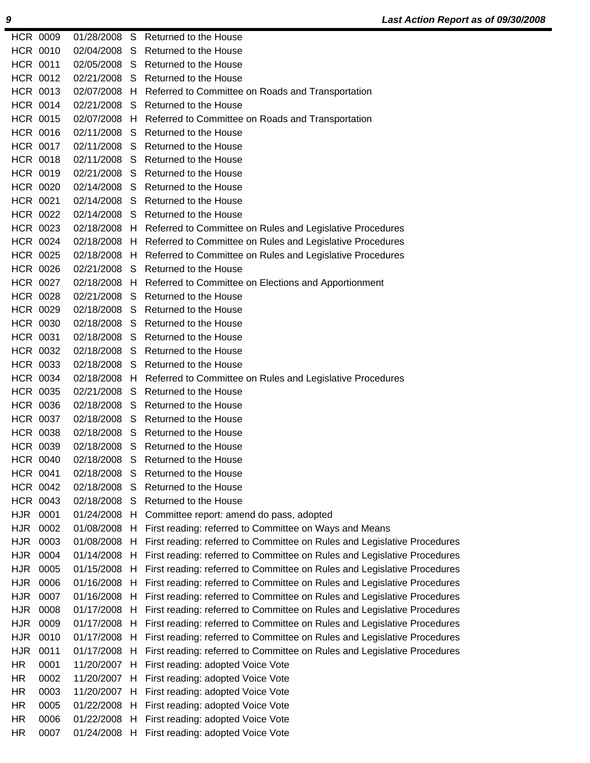|            | <b>HCR 0009</b> |            |   | 01/28/2008 S Returned to the House                                       |
|------------|-----------------|------------|---|--------------------------------------------------------------------------|
|            | <b>HCR 0010</b> |            |   | 02/04/2008 S Returned to the House                                       |
|            | <b>HCR 0011</b> |            |   | 02/05/2008 S Returned to the House                                       |
|            | HCR 0012        |            |   | 02/21/2008 S Returned to the House                                       |
|            | HCR 0013        |            |   | 02/07/2008 H Referred to Committee on Roads and Transportation           |
|            | <b>HCR 0014</b> |            |   | 02/21/2008 S Returned to the House                                       |
|            | <b>HCR 0015</b> |            |   | 02/07/2008 H Referred to Committee on Roads and Transportation           |
|            | <b>HCR 0016</b> |            |   | 02/11/2008 S Returned to the House                                       |
|            | HCR 0017        |            |   | 02/11/2008 S Returned to the House                                       |
|            | <b>HCR 0018</b> |            |   | 02/11/2008 S Returned to the House                                       |
|            | <b>HCR 0019</b> |            |   | 02/21/2008 S Returned to the House                                       |
|            | <b>HCR 0020</b> |            |   | 02/14/2008 S Returned to the House                                       |
|            | <b>HCR 0021</b> |            |   | 02/14/2008 S Returned to the House                                       |
|            | <b>HCR 0022</b> |            |   | 02/14/2008 S Returned to the House                                       |
|            | <b>HCR 0023</b> |            |   | 02/18/2008 H Referred to Committee on Rules and Legislative Procedures   |
|            | HCR 0024        |            |   | 02/18/2008 H Referred to Committee on Rules and Legislative Procedures   |
|            | <b>HCR 0025</b> |            |   | 02/18/2008 H Referred to Committee on Rules and Legislative Procedures   |
|            | <b>HCR 0026</b> |            |   | 02/21/2008 S Returned to the House                                       |
|            | HCR 0027        |            |   | 02/18/2008 H Referred to Committee on Elections and Apportionment        |
|            | <b>HCR 0028</b> |            |   | 02/21/2008 S Returned to the House                                       |
|            | HCR 0029        |            |   | 02/18/2008 S Returned to the House                                       |
|            | <b>HCR 0030</b> |            |   | 02/18/2008 S Returned to the House                                       |
|            | <b>HCR 0031</b> |            |   | 02/18/2008 S Returned to the House                                       |
|            | <b>HCR 0032</b> |            |   | 02/18/2008 S Returned to the House                                       |
|            | HCR 0033        |            |   | 02/18/2008 S Returned to the House                                       |
|            | HCR 0034        |            |   | 02/18/2008 H Referred to Committee on Rules and Legislative Procedures   |
|            | <b>HCR 0035</b> |            |   | 02/21/2008 S Returned to the House                                       |
|            | <b>HCR 0036</b> |            |   | 02/18/2008 S Returned to the House                                       |
|            | HCR 0037        |            |   | 02/18/2008 S Returned to the House                                       |
|            | <b>HCR 0038</b> |            |   | 02/18/2008 S Returned to the House                                       |
|            | HCR 0039        |            |   | 02/18/2008 S Returned to the House                                       |
|            | <b>HCR 0040</b> |            |   | 02/18/2008 S Returned to the House                                       |
|            | <b>HCR 0041</b> | 02/18/2008 | S | Returned to the House                                                    |
|            | <b>HCR 0042</b> | 02/18/2008 | S | Returned to the House                                                    |
|            | HCR 0043        | 02/18/2008 | S | Returned to the House                                                    |
|            | HJR 0001        | 01/24/2008 | H | Committee report: amend do pass, adopted                                 |
| <b>HJR</b> | 0002            | 01/08/2008 | H | First reading: referred to Committee on Ways and Means                   |
| <b>HJR</b> | 0003            | 01/08/2008 | H | First reading: referred to Committee on Rules and Legislative Procedures |
| <b>HJR</b> | 0004            | 01/14/2008 | н | First reading: referred to Committee on Rules and Legislative Procedures |
| HJR        | 0005            | 01/15/2008 | H | First reading: referred to Committee on Rules and Legislative Procedures |
| <b>HJR</b> | 0006            | 01/16/2008 | H | First reading: referred to Committee on Rules and Legislative Procedures |
| <b>HJR</b> | 0007            | 01/16/2008 | н | First reading: referred to Committee on Rules and Legislative Procedures |
| HJR        | 0008            | 01/17/2008 | н | First reading: referred to Committee on Rules and Legislative Procedures |
| <b>HJR</b> | 0009            | 01/17/2008 | H | First reading: referred to Committee on Rules and Legislative Procedures |
| <b>HJR</b> | 0010            | 01/17/2008 | H | First reading: referred to Committee on Rules and Legislative Procedures |
| <b>HJR</b> | 0011            | 01/17/2008 | H | First reading: referred to Committee on Rules and Legislative Procedures |
| HR.        | 0001            | 11/20/2007 | H | First reading: adopted Voice Vote                                        |
| HR.        | 0002            | 11/20/2007 | H | First reading: adopted Voice Vote                                        |
| HR.        | 0003            | 11/20/2007 | н | First reading: adopted Voice Vote                                        |
| HR         | 0005            | 01/22/2008 | н | First reading: adopted Voice Vote                                        |
| HR.        | 0006            | 01/22/2008 | H | First reading: adopted Voice Vote                                        |
| HR         | 0007            | 01/24/2008 | H | First reading: adopted Voice Vote                                        |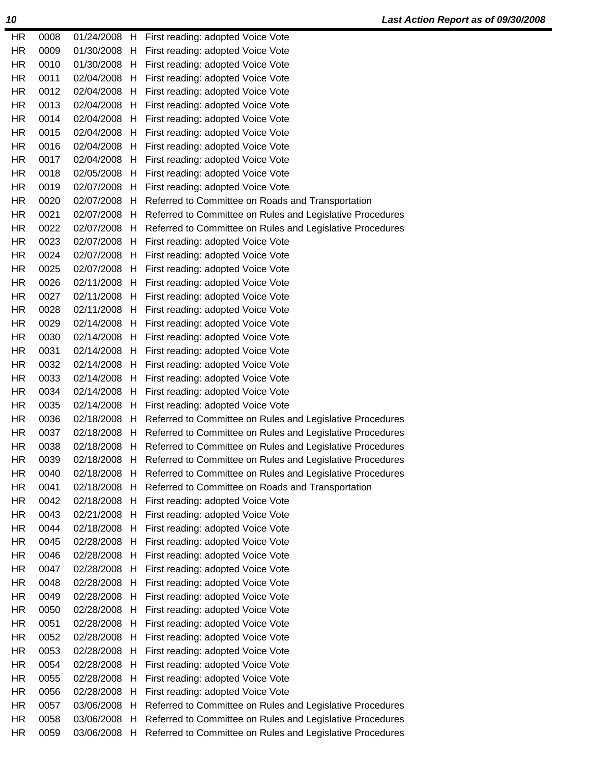| HR.       | 0008 | 01/24/2008 |    | H First reading: adopted Voice Vote                       |
|-----------|------|------------|----|-----------------------------------------------------------|
| HR        | 0009 | 01/30/2008 | H  | First reading: adopted Voice Vote                         |
| HR.       | 0010 | 01/30/2008 | H  | First reading: adopted Voice Vote                         |
| <b>HR</b> | 0011 | 02/04/2008 |    | H First reading: adopted Voice Vote                       |
| HR.       | 0012 | 02/04/2008 | H  | First reading: adopted Voice Vote                         |
| <b>HR</b> | 0013 | 02/04/2008 | H  | First reading: adopted Voice Vote                         |
| <b>HR</b> | 0014 | 02/04/2008 | H  | First reading: adopted Voice Vote                         |
| HR.       | 0015 | 02/04/2008 | H  | First reading: adopted Voice Vote                         |
| HR        | 0016 | 02/04/2008 | H  | First reading: adopted Voice Vote                         |
| HR.       | 0017 | 02/04/2008 | H  | First reading: adopted Voice Vote                         |
| <b>HR</b> | 0018 | 02/05/2008 | H  | First reading: adopted Voice Vote                         |
| <b>HR</b> | 0019 | 02/07/2008 | H  | First reading: adopted Voice Vote                         |
| HR.       | 0020 | 02/07/2008 | H  | Referred to Committee on Roads and Transportation         |
| HR.       | 0021 | 02/07/2008 | H  | Referred to Committee on Rules and Legislative Procedures |
| <b>HR</b> | 0022 | 02/07/2008 | H  | Referred to Committee on Rules and Legislative Procedures |
| HR.       | 0023 | 02/07/2008 | H  | First reading: adopted Voice Vote                         |
| HR        | 0024 | 02/07/2008 | H  | First reading: adopted Voice Vote                         |
| <b>HR</b> | 0025 | 02/07/2008 | H  | First reading: adopted Voice Vote                         |
| HR.       | 0026 | 02/11/2008 | H  | First reading: adopted Voice Vote                         |
| HR.       | 0027 | 02/11/2008 | H, | First reading: adopted Voice Vote                         |
| HR.       | 0028 | 02/11/2008 | H  | First reading: adopted Voice Vote                         |
| <b>HR</b> | 0029 | 02/14/2008 | H  | First reading: adopted Voice Vote                         |
| <b>HR</b> | 0030 | 02/14/2008 | H  | First reading: adopted Voice Vote                         |
| <b>HR</b> | 0031 | 02/14/2008 | H  | First reading: adopted Voice Vote                         |
| HR.       | 0032 | 02/14/2008 | H  | First reading: adopted Voice Vote                         |
| HR.       | 0033 | 02/14/2008 | H  | First reading: adopted Voice Vote                         |
| HR.       | 0034 | 02/14/2008 | H  | First reading: adopted Voice Vote                         |
| HR.       | 0035 | 02/14/2008 | H  | First reading: adopted Voice Vote                         |
| <b>HR</b> | 0036 | 02/18/2008 | H  | Referred to Committee on Rules and Legislative Procedures |
| HR.       | 0037 | 02/18/2008 | H  | Referred to Committee on Rules and Legislative Procedures |
| HR.       | 0038 | 02/18/2008 | H. | Referred to Committee on Rules and Legislative Procedures |
| <b>HR</b> | 0039 | 02/18/2008 | H  | Referred to Committee on Rules and Legislative Procedures |
| HR.       | 0040 | 02/18/2008 | H  | Referred to Committee on Rules and Legislative Procedures |
| <b>HR</b> | 0041 | 02/18/2008 | H  | Referred to Committee on Roads and Transportation         |
| HR.       | 0042 | 02/18/2008 | H  | First reading: adopted Voice Vote                         |
| <b>HR</b> | 0043 | 02/21/2008 | H  | First reading: adopted Voice Vote                         |
| <b>HR</b> | 0044 | 02/18/2008 | H  | First reading: adopted Voice Vote                         |
| HR.       | 0045 | 02/28/2008 | H  | First reading: adopted Voice Vote                         |
| HR.       | 0046 | 02/28/2008 | H  | First reading: adopted Voice Vote                         |
| <b>HR</b> | 0047 | 02/28/2008 | H  | First reading: adopted Voice Vote                         |
| HR.       | 0048 | 02/28/2008 | H  | First reading: adopted Voice Vote                         |
| HR.       | 0049 | 02/28/2008 | H  | First reading: adopted Voice Vote                         |
| <b>HR</b> | 0050 | 02/28/2008 | H  | First reading: adopted Voice Vote                         |
| HR.       | 0051 | 02/28/2008 | H  | First reading: adopted Voice Vote                         |
| HR.       | 0052 | 02/28/2008 | H  | First reading: adopted Voice Vote                         |
| HR.       | 0053 | 02/28/2008 | H  | First reading: adopted Voice Vote                         |
| <b>HR</b> | 0054 | 02/28/2008 | H  | First reading: adopted Voice Vote                         |
| <b>HR</b> | 0055 | 02/28/2008 | H  | First reading: adopted Voice Vote                         |
| HR.       | 0056 | 02/28/2008 | H  | First reading: adopted Voice Vote                         |
| HR.       | 0057 | 03/06/2008 | Н  | Referred to Committee on Rules and Legislative Procedures |
| HR.       | 0058 | 03/06/2008 | H  | Referred to Committee on Rules and Legislative Procedures |
| HR.       | 0059 | 03/06/2008 | H  | Referred to Committee on Rules and Legislative Procedures |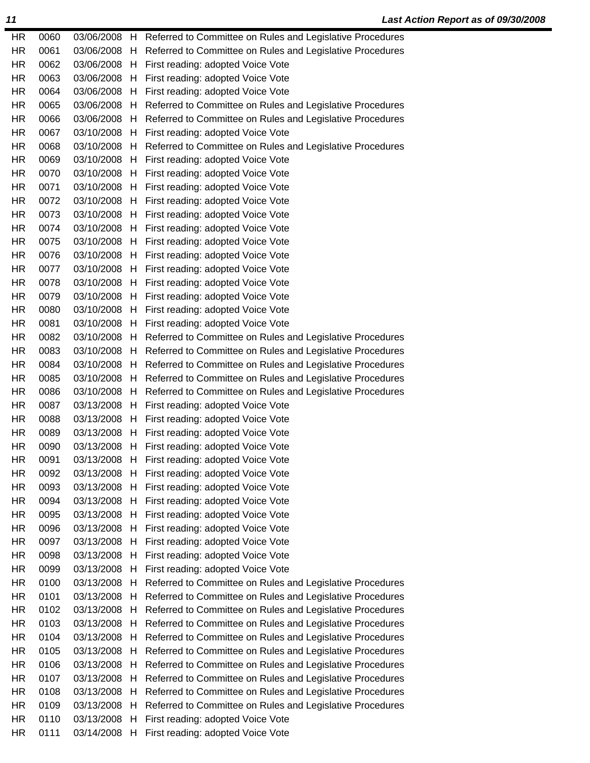| <b>HR</b> | 0060 |              |    | 03/06/2008 H Referred to Committee on Rules and Legislative Procedures |
|-----------|------|--------------|----|------------------------------------------------------------------------|
| HR.       | 0061 | 03/06/2008   | H  | Referred to Committee on Rules and Legislative Procedures              |
| HR        | 0062 |              |    | 03/06/2008 H First reading: adopted Voice Vote                         |
| <b>HR</b> | 0063 | 03/06/2008   | H  | First reading: adopted Voice Vote                                      |
| HR.       | 0064 | 03/06/2008   | H  | First reading: adopted Voice Vote                                      |
| <b>HR</b> | 0065 | 03/06/2008   | H  | Referred to Committee on Rules and Legislative Procedures              |
| HR.       | 0066 | 03/06/2008   | H  | Referred to Committee on Rules and Legislative Procedures              |
| HR.       | 0067 | 03/10/2008   | H. | First reading: adopted Voice Vote                                      |
| HR.       | 0068 | 03/10/2008 H |    | Referred to Committee on Rules and Legislative Procedures              |
| HR.       | 0069 | 03/10/2008   | H  | First reading: adopted Voice Vote                                      |
| HR.       | 0070 | 03/10/2008   | H  | First reading: adopted Voice Vote                                      |
| HR        | 0071 | 03/10/2008   | H  | First reading: adopted Voice Vote                                      |
| HR.       | 0072 | 03/10/2008   | H  | First reading: adopted Voice Vote                                      |
| HR        | 0073 | 03/10/2008   |    | H First reading: adopted Voice Vote                                    |
| HR        | 0074 | 03/10/2008   | H  | First reading: adopted Voice Vote                                      |
| <b>HR</b> | 0075 | 03/10/2008   | H  | First reading: adopted Voice Vote                                      |
| <b>HR</b> | 0076 | 03/10/2008   | H  | First reading: adopted Voice Vote                                      |
| <b>HR</b> | 0077 | 03/10/2008   | H  | First reading: adopted Voice Vote                                      |
| HR        | 0078 | 03/10/2008   | H  | First reading: adopted Voice Vote                                      |
| HR.       | 0079 | 03/10/2008   |    | H First reading: adopted Voice Vote                                    |
| HR.       | 0080 | 03/10/2008   | H  | First reading: adopted Voice Vote                                      |
| HR.       | 0081 | 03/10/2008   | H  | First reading: adopted Voice Vote                                      |
| HR        | 0082 | 03/10/2008   | H  | Referred to Committee on Rules and Legislative Procedures              |
| HR.       | 0083 | 03/10/2008   | H  | Referred to Committee on Rules and Legislative Procedures              |
| HR.       | 0084 | 03/10/2008   | H  | Referred to Committee on Rules and Legislative Procedures              |
| HR        | 0085 | 03/10/2008   | H. | Referred to Committee on Rules and Legislative Procedures              |
| <b>HR</b> | 0086 | 03/10/2008   | H  | Referred to Committee on Rules and Legislative Procedures              |
| <b>HR</b> | 0087 | 03/13/2008   | H  | First reading: adopted Voice Vote                                      |
| <b>HR</b> | 0088 | 03/13/2008   | H  | First reading: adopted Voice Vote                                      |
| HR        | 0089 | 03/13/2008   | H  | First reading: adopted Voice Vote                                      |
| <b>HR</b> | 0090 | 03/13/2008   | H  | First reading: adopted Voice Vote                                      |
| <b>HR</b> | 0091 | 03/13/2008   | H  | First reading: adopted Voice Vote                                      |
| HR        | 0092 | 03/13/2008   |    | H First reading: adopted Voice Vote                                    |
| HR        | 0093 | 03/13/2008   | H  | First reading: adopted Voice Vote                                      |
| HR        | 0094 | 03/13/2008   | H  | First reading: adopted Voice Vote                                      |
| HR        | 0095 | 03/13/2008   | H  | First reading: adopted Voice Vote                                      |
| HR.       | 0096 | 03/13/2008   | H  | First reading: adopted Voice Vote                                      |
| HR        | 0097 | 03/13/2008   | H  | First reading: adopted Voice Vote                                      |
| HR.       | 0098 | 03/13/2008   | H  | First reading: adopted Voice Vote                                      |
| <b>HR</b> | 0099 | 03/13/2008   | H  | First reading: adopted Voice Vote                                      |
| HR        | 0100 | 03/13/2008   | H  | Referred to Committee on Rules and Legislative Procedures              |
| HR.       | 0101 | 03/13/2008   | H  | Referred to Committee on Rules and Legislative Procedures              |
| <b>HR</b> | 0102 | 03/13/2008   | H  | Referred to Committee on Rules and Legislative Procedures              |
| HR        | 0103 | 03/13/2008   | Н  | Referred to Committee on Rules and Legislative Procedures              |
| <b>HR</b> | 0104 | 03/13/2008   | H  | Referred to Committee on Rules and Legislative Procedures              |
| <b>HR</b> | 0105 | 03/13/2008   | H  | Referred to Committee on Rules and Legislative Procedures              |
| HR        | 0106 | 03/13/2008   | H  | Referred to Committee on Rules and Legislative Procedures              |
| HR        | 0107 | 03/13/2008   | H  | Referred to Committee on Rules and Legislative Procedures              |
| HR        | 0108 | 03/13/2008   | H  | Referred to Committee on Rules and Legislative Procedures              |
| HR.       | 0109 | 03/13/2008   | H  | Referred to Committee on Rules and Legislative Procedures              |
| HR.       | 0110 | 03/13/2008   | H  | First reading: adopted Voice Vote                                      |
| <b>HR</b> | 0111 | 03/14/2008   | H  | First reading: adopted Voice Vote                                      |
|           |      |              |    |                                                                        |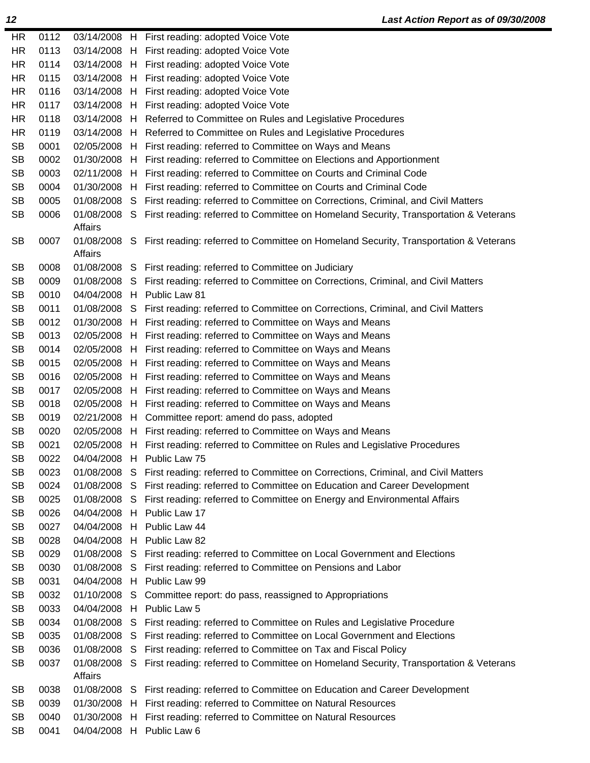| HR        | 0112 |            |    | 03/14/2008 H First reading: adopted Voice Vote                                                    |
|-----------|------|------------|----|---------------------------------------------------------------------------------------------------|
| HR.       | 0113 |            |    | 03/14/2008 H First reading: adopted Voice Vote                                                    |
| HR.       | 0114 |            |    | 03/14/2008 H First reading: adopted Voice Vote                                                    |
| HR.       | 0115 |            |    | 03/14/2008 H First reading: adopted Voice Vote                                                    |
| <b>HR</b> | 0116 |            |    | 03/14/2008 H First reading: adopted Voice Vote                                                    |
| <b>HR</b> | 0117 |            |    | 03/14/2008 H First reading: adopted Voice Vote                                                    |
| HR.       | 0118 |            |    | 03/14/2008 H Referred to Committee on Rules and Legislative Procedures                            |
| <b>HR</b> | 0119 |            |    | 03/14/2008 H Referred to Committee on Rules and Legislative Procedures                            |
| <b>SB</b> | 0001 |            |    | 02/05/2008 H First reading: referred to Committee on Ways and Means                               |
| <b>SB</b> | 0002 |            |    | 01/30/2008 H First reading: referred to Committee on Elections and Apportionment                  |
| <b>SB</b> | 0003 |            |    | 02/11/2008 H First reading: referred to Committee on Courts and Criminal Code                     |
| <b>SB</b> | 0004 | 01/30/2008 |    | H First reading: referred to Committee on Courts and Criminal Code                                |
| <b>SB</b> | 0005 |            |    | 01/08/2008 S First reading: referred to Committee on Corrections, Criminal, and Civil Matters     |
| <b>SB</b> | 0006 | Affairs    |    | 01/08/2008 S First reading: referred to Committee on Homeland Security, Transportation & Veterans |
| <b>SB</b> | 0007 | Affairs    |    | 01/08/2008 S First reading: referred to Committee on Homeland Security, Transportation & Veterans |
| <b>SB</b> | 0008 |            |    | 01/08/2008 S First reading: referred to Committee on Judiciary                                    |
| <b>SB</b> | 0009 |            |    | 01/08/2008 S First reading: referred to Committee on Corrections, Criminal, and Civil Matters     |
| <b>SB</b> | 0010 |            |    | 04/04/2008 H Public Law 81                                                                        |
| <b>SB</b> | 0011 |            |    | 01/08/2008 S First reading: referred to Committee on Corrections, Criminal, and Civil Matters     |
| <b>SB</b> | 0012 |            |    | 01/30/2008 H First reading: referred to Committee on Ways and Means                               |
| <b>SB</b> | 0013 |            |    | 02/05/2008 H First reading: referred to Committee on Ways and Means                               |
| <b>SB</b> | 0014 | 02/05/2008 |    | H First reading: referred to Committee on Ways and Means                                          |
| <b>SB</b> | 0015 | 02/05/2008 |    | H First reading: referred to Committee on Ways and Means                                          |
| <b>SB</b> | 0016 |            |    | 02/05/2008 H First reading: referred to Committee on Ways and Means                               |
| <b>SB</b> | 0017 | 02/05/2008 |    | H First reading: referred to Committee on Ways and Means                                          |
| <b>SB</b> | 0018 | 02/05/2008 |    | H First reading: referred to Committee on Ways and Means                                          |
| <b>SB</b> | 0019 | 02/21/2008 |    | H Committee report: amend do pass, adopted                                                        |
| <b>SB</b> | 0020 | 02/05/2008 |    | H First reading: referred to Committee on Ways and Means                                          |
| <b>SB</b> | 0021 | 02/05/2008 |    | H First reading: referred to Committee on Rules and Legislative Procedures                        |
| <b>SB</b> | 0022 | 04/04/2008 |    | H Public Law 75                                                                                   |
| <b>SB</b> | 0023 |            |    | 01/08/2008 S First reading: referred to Committee on Corrections, Criminal, and Civil Matters     |
| <b>SB</b> | 0024 | 01/08/2008 | S  | First reading: referred to Committee on Education and Career Development                          |
| <b>SB</b> | 0025 | 01/08/2008 | S  | First reading: referred to Committee on Energy and Environmental Affairs                          |
| <b>SB</b> | 0026 | 04/04/2008 | H  | Public Law 17                                                                                     |
| <b>SB</b> | 0027 | 04/04/2008 | H. | Public Law 44                                                                                     |
| <b>SB</b> | 0028 | 04/04/2008 |    | H Public Law 82                                                                                   |
| <b>SB</b> | 0029 | 01/08/2008 | S  | First reading: referred to Committee on Local Government and Elections                            |
| <b>SB</b> | 0030 | 01/08/2008 | S  | First reading: referred to Committee on Pensions and Labor                                        |
| <b>SB</b> | 0031 | 04/04/2008 | H  | Public Law 99                                                                                     |
| <b>SB</b> | 0032 | 01/10/2008 | S  | Committee report: do pass, reassigned to Appropriations                                           |
| <b>SB</b> | 0033 | 04/04/2008 | H  | Public Law 5                                                                                      |
| <b>SB</b> | 0034 | 01/08/2008 | S  | First reading: referred to Committee on Rules and Legislative Procedure                           |
| <b>SB</b> | 0035 | 01/08/2008 | S  | First reading: referred to Committee on Local Government and Elections                            |
| <b>SB</b> | 0036 | 01/08/2008 | S  | First reading: referred to Committee on Tax and Fiscal Policy                                     |
| <b>SB</b> | 0037 | 01/08/2008 | S. | First reading: referred to Committee on Homeland Security, Transportation & Veterans              |
|           |      | Affairs    |    |                                                                                                   |
| <b>SB</b> | 0038 | 01/08/2008 | S  | First reading: referred to Committee on Education and Career Development                          |
| <b>SB</b> | 0039 | 01/30/2008 | H. | First reading: referred to Committee on Natural Resources                                         |
| <b>SB</b> | 0040 | 01/30/2008 | H  | First reading: referred to Committee on Natural Resources                                         |
| <b>SB</b> | 0041 | 04/04/2008 |    | H Public Law 6                                                                                    |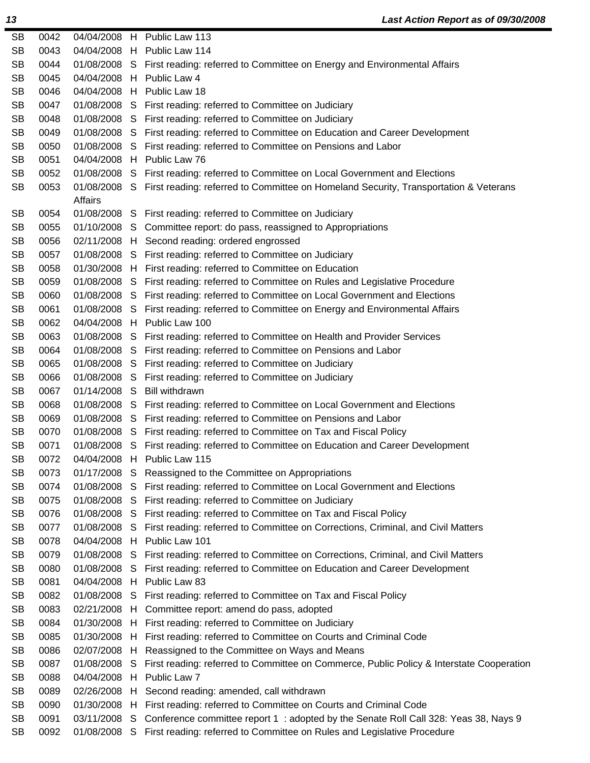| <b>SB</b> | 0042 |                |    | 04/04/2008 H Public Law 113                                                                       |
|-----------|------|----------------|----|---------------------------------------------------------------------------------------------------|
| <b>SB</b> | 0043 |                |    | 04/04/2008 H Public Law 114                                                                       |
| <b>SB</b> | 0044 |                |    | 01/08/2008 S First reading: referred to Committee on Energy and Environmental Affairs             |
| <b>SB</b> | 0045 |                |    | 04/04/2008 H Public Law 4                                                                         |
| <b>SB</b> | 0046 |                |    | 04/04/2008 H Public Law 18                                                                        |
| <b>SB</b> | 0047 | 01/08/2008 S   |    | First reading: referred to Committee on Judiciary                                                 |
| <b>SB</b> | 0048 |                |    | 01/08/2008 S First reading: referred to Committee on Judiciary                                    |
| <b>SB</b> | 0049 | 01/08/2008 S   |    | First reading: referred to Committee on Education and Career Development                          |
| <b>SB</b> | 0050 | 01/08/2008 S   |    | First reading: referred to Committee on Pensions and Labor                                        |
| <b>SB</b> | 0051 |                |    | 04/04/2008 H Public Law 76                                                                        |
| <b>SB</b> | 0052 | 01/08/2008 S   |    | First reading: referred to Committee on Local Government and Elections                            |
| <b>SB</b> | 0053 | <b>Affairs</b> |    | 01/08/2008 S First reading: referred to Committee on Homeland Security, Transportation & Veterans |
| <b>SB</b> | 0054 |                |    | 01/08/2008 S First reading: referred to Committee on Judiciary                                    |
| <b>SB</b> | 0055 |                |    | 01/10/2008 S Committee report: do pass, reassigned to Appropriations                              |
| <b>SB</b> | 0056 |                |    | 02/11/2008 H Second reading: ordered engrossed                                                    |
| <b>SB</b> | 0057 |                |    | 01/08/2008 S First reading: referred to Committee on Judiciary                                    |
| <b>SB</b> | 0058 |                |    | 01/30/2008 H First reading: referred to Committee on Education                                    |
| <b>SB</b> | 0059 |                |    | 01/08/2008 S First reading: referred to Committee on Rules and Legislative Procedure              |
| <b>SB</b> | 0060 | 01/08/2008 S   |    | First reading: referred to Committee on Local Government and Elections                            |
| <b>SB</b> | 0061 |                |    | 01/08/2008 S First reading: referred to Committee on Energy and Environmental Affairs             |
| <b>SB</b> | 0062 | 04/04/2008 H   |    | Public Law 100                                                                                    |
| <b>SB</b> | 0063 | 01/08/2008 S   |    | First reading: referred to Committee on Health and Provider Services                              |
| <b>SB</b> | 0064 |                |    | 01/08/2008 S First reading: referred to Committee on Pensions and Labor                           |
| <b>SB</b> | 0065 | 01/08/2008 S   |    | First reading: referred to Committee on Judiciary                                                 |
| <b>SB</b> | 0066 | 01/08/2008 S   |    | First reading: referred to Committee on Judiciary                                                 |
| <b>SB</b> | 0067 | 01/14/2008 S   |    | <b>Bill withdrawn</b>                                                                             |
| <b>SB</b> | 0068 | 01/08/2008 S   |    | First reading: referred to Committee on Local Government and Elections                            |
| <b>SB</b> | 0069 | 01/08/2008 S   |    | First reading: referred to Committee on Pensions and Labor                                        |
| <b>SB</b> | 0070 | 01/08/2008 S   |    | First reading: referred to Committee on Tax and Fiscal Policy                                     |
| <b>SB</b> | 0071 | 01/08/2008 S   |    | First reading: referred to Committee on Education and Career Development                          |
| <b>SB</b> | 0072 |                |    | 04/04/2008 H Public Law 115                                                                       |
| <b>SB</b> | 0073 | 01/17/2008     |    | S Reassigned to the Committee on Appropriations                                                   |
| <b>SB</b> | 0074 | 01/08/2008 S   |    | First reading: referred to Committee on Local Government and Elections                            |
| <b>SB</b> | 0075 | 01/08/2008 S   |    | First reading: referred to Committee on Judiciary                                                 |
| <b>SB</b> | 0076 | 01/08/2008 S   |    | First reading: referred to Committee on Tax and Fiscal Policy                                     |
| <b>SB</b> | 0077 | 01/08/2008 S   |    | First reading: referred to Committee on Corrections, Criminal, and Civil Matters                  |
| <b>SB</b> | 0078 | 04/04/2008 H   |    | Public Law 101                                                                                    |
| <b>SB</b> | 0079 | 01/08/2008     | S. | First reading: referred to Committee on Corrections, Criminal, and Civil Matters                  |
| <b>SB</b> | 0080 | 01/08/2008 S   |    | First reading: referred to Committee on Education and Career Development                          |
| <b>SB</b> | 0081 | 04/04/2008 H   |    | Public Law 83                                                                                     |
| <b>SB</b> | 0082 | 01/08/2008 S   |    | First reading: referred to Committee on Tax and Fiscal Policy                                     |
| <b>SB</b> | 0083 | 02/21/2008 H   |    | Committee report: amend do pass, adopted                                                          |
| <b>SB</b> | 0084 | 01/30/2008 H   |    | First reading: referred to Committee on Judiciary                                                 |
| <b>SB</b> | 0085 | 01/30/2008 H   |    | First reading: referred to Committee on Courts and Criminal Code                                  |
| <b>SB</b> | 0086 | 02/07/2008 H   |    | Reassigned to the Committee on Ways and Means                                                     |
| <b>SB</b> | 0087 | 01/08/2008     | -S | First reading: referred to Committee on Commerce, Public Policy & Interstate Cooperation          |
| <b>SB</b> | 0088 | 04/04/2008 H   |    | Public Law 7                                                                                      |
| <b>SB</b> | 0089 | 02/26/2008 H   |    | Second reading: amended, call withdrawn                                                           |
| <b>SB</b> | 0090 | 01/30/2008 H   |    | First reading: referred to Committee on Courts and Criminal Code                                  |
| <b>SB</b> | 0091 | 03/11/2008 S   |    | Conference committee report 1: adopted by the Senate Roll Call 328: Yeas 38, Nays 9               |
| <b>SB</b> | 0092 |                |    | 01/08/2008 S First reading: referred to Committee on Rules and Legislative Procedure              |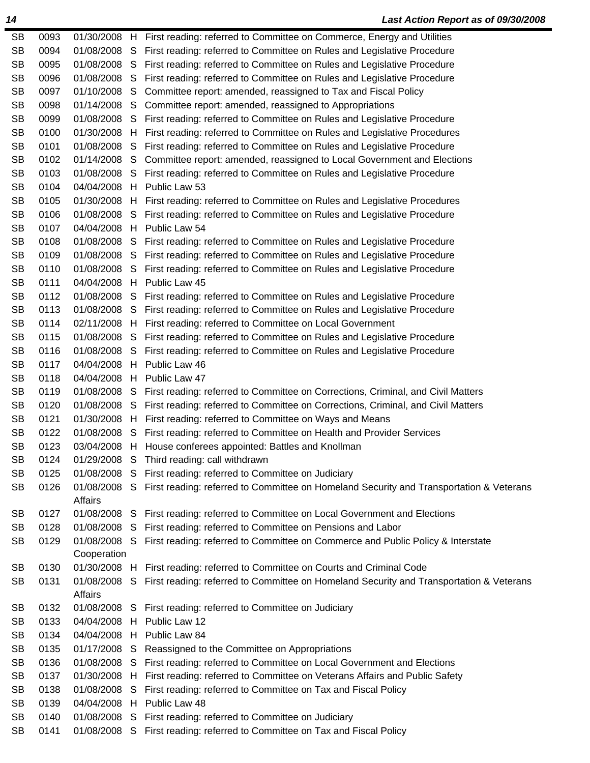| <b>SB</b> | 0093 |              |    | 01/30/2008 H First reading: referred to Committee on Commerce, Energy and Utilities                  |
|-----------|------|--------------|----|------------------------------------------------------------------------------------------------------|
| <b>SB</b> | 0094 |              |    | 01/08/2008 S First reading: referred to Committee on Rules and Legislative Procedure                 |
| <b>SB</b> | 0095 |              |    | 01/08/2008 S First reading: referred to Committee on Rules and Legislative Procedure                 |
| <b>SB</b> | 0096 | 01/08/2008 S |    | First reading: referred to Committee on Rules and Legislative Procedure                              |
| <b>SB</b> | 0097 |              |    | 01/10/2008 S Committee report: amended, reassigned to Tax and Fiscal Policy                          |
| <b>SB</b> | 0098 |              |    | 01/14/2008 S Committee report: amended, reassigned to Appropriations                                 |
| <b>SB</b> | 0099 |              |    | 01/08/2008 S First reading: referred to Committee on Rules and Legislative Procedure                 |
| <b>SB</b> | 0100 |              |    | 01/30/2008 H First reading: referred to Committee on Rules and Legislative Procedures                |
| <b>SB</b> | 0101 |              |    | 01/08/2008 S First reading: referred to Committee on Rules and Legislative Procedure                 |
| <b>SB</b> | 0102 |              |    | 01/14/2008 S Committee report: amended, reassigned to Local Government and Elections                 |
| <b>SB</b> | 0103 |              |    | 01/08/2008 S First reading: referred to Committee on Rules and Legislative Procedure                 |
| <b>SB</b> | 0104 |              |    | 04/04/2008 H Public Law 53                                                                           |
| <b>SB</b> | 0105 |              |    | 01/30/2008 H First reading: referred to Committee on Rules and Legislative Procedures                |
| <b>SB</b> | 0106 |              |    | 01/08/2008 S First reading: referred to Committee on Rules and Legislative Procedure                 |
| <b>SB</b> | 0107 | 04/04/2008 H |    | Public Law 54                                                                                        |
| <b>SB</b> | 0108 |              |    | 01/08/2008 S First reading: referred to Committee on Rules and Legislative Procedure                 |
| <b>SB</b> | 0109 |              |    | 01/08/2008 S First reading: referred to Committee on Rules and Legislative Procedure                 |
| <b>SB</b> | 0110 |              |    | 01/08/2008 S First reading: referred to Committee on Rules and Legislative Procedure                 |
| <b>SB</b> | 0111 |              |    | 04/04/2008 H Public Law 45                                                                           |
| <b>SB</b> | 0112 |              |    | 01/08/2008 S First reading: referred to Committee on Rules and Legislative Procedure                 |
| <b>SB</b> | 0113 |              |    | 01/08/2008 S First reading: referred to Committee on Rules and Legislative Procedure                 |
| <b>SB</b> | 0114 |              |    | 02/11/2008 H First reading: referred to Committee on Local Government                                |
| <b>SB</b> | 0115 |              |    | 01/08/2008 S First reading: referred to Committee on Rules and Legislative Procedure                 |
| <b>SB</b> | 0116 |              |    | 01/08/2008 S First reading: referred to Committee on Rules and Legislative Procedure                 |
| <b>SB</b> | 0117 | 04/04/2008 H |    | Public Law 46                                                                                        |
| <b>SB</b> | 0118 | 04/04/2008 H |    | Public Law 47                                                                                        |
| <b>SB</b> | 0119 |              |    | 01/08/2008 S First reading: referred to Committee on Corrections, Criminal, and Civil Matters        |
| <b>SB</b> | 0120 |              |    | 01/08/2008 S First reading: referred to Committee on Corrections, Criminal, and Civil Matters        |
| <b>SB</b> | 0121 |              |    | 01/30/2008 H First reading: referred to Committee on Ways and Means                                  |
| <b>SB</b> | 0122 |              |    | 01/08/2008 S First reading: referred to Committee on Health and Provider Services                    |
| <b>SB</b> | 0123 |              |    | 03/04/2008 H House conferees appointed: Battles and Knollman                                         |
| SB        | 0124 |              |    | 01/29/2008 S Third reading: call withdrawn                                                           |
| <b>SB</b> | 0125 |              |    | 01/08/2008 S First reading: referred to Committee on Judiciary                                       |
| <b>SB</b> | 0126 |              |    | 01/08/2008 S First reading: referred to Committee on Homeland Security and Transportation & Veterans |
|           |      | Affairs      |    |                                                                                                      |
| <b>SB</b> | 0127 |              |    | 01/08/2008 S First reading: referred to Committee on Local Government and Elections                  |
| <b>SB</b> | 0128 | 01/08/2008 S |    | First reading: referred to Committee on Pensions and Labor                                           |
| <b>SB</b> | 0129 | 01/08/2008 S |    | First reading: referred to Committee on Commerce and Public Policy & Interstate                      |
|           |      | Cooperation  |    |                                                                                                      |
| <b>SB</b> | 0130 | 01/30/2008 H |    | First reading: referred to Committee on Courts and Criminal Code                                     |
| <b>SB</b> | 0131 | 01/08/2008 S |    | First reading: referred to Committee on Homeland Security and Transportation & Veterans              |
|           |      | Affairs      |    |                                                                                                      |
| <b>SB</b> | 0132 | 01/08/2008 S |    | First reading: referred to Committee on Judiciary                                                    |
| <b>SB</b> | 0133 | 04/04/2008 H |    | Public Law 12                                                                                        |
| <b>SB</b> | 0134 | 04/04/2008 H |    | Public Law 84                                                                                        |
| <b>SB</b> | 0135 | 01/17/2008 S |    | Reassigned to the Committee on Appropriations                                                        |
| <b>SB</b> | 0136 | 01/08/2008 S |    | First reading: referred to Committee on Local Government and Elections                               |
| <b>SB</b> | 0137 | 01/30/2008 H |    | First reading: referred to Committee on Veterans Affairs and Public Safety                           |
| <b>SB</b> | 0138 | 01/08/2008   | S. | First reading: referred to Committee on Tax and Fiscal Policy                                        |
| <b>SB</b> | 0139 | 04/04/2008 H |    | Public Law 48                                                                                        |
| <b>SB</b> | 0140 | 01/08/2008 S |    | First reading: referred to Committee on Judiciary                                                    |
| <b>SB</b> | 0141 |              |    | 01/08/2008 S First reading: referred to Committee on Tax and Fiscal Policy                           |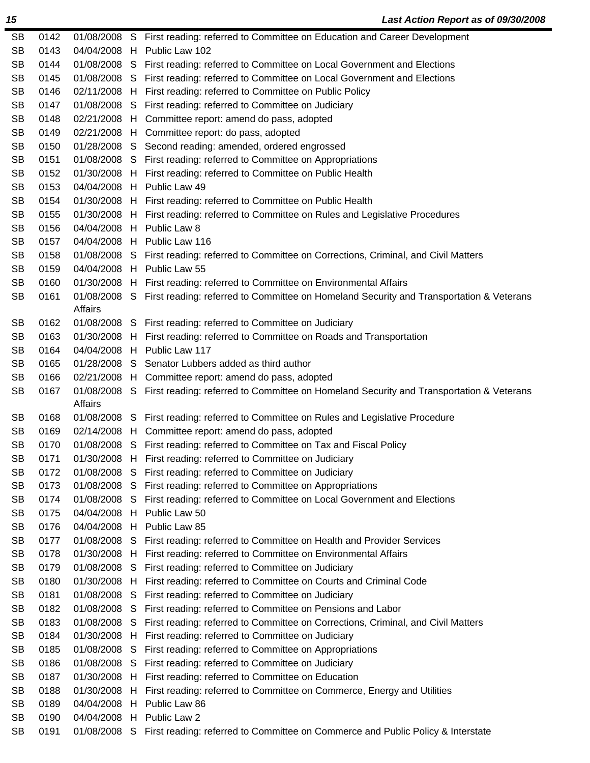| <b>SB</b> | 0142 |              |   | 01/08/2008 S First reading: referred to Committee on Education and Career Development                |
|-----------|------|--------------|---|------------------------------------------------------------------------------------------------------|
| <b>SB</b> | 0143 |              |   | 04/04/2008 H Public Law 102                                                                          |
| <b>SB</b> | 0144 |              |   | 01/08/2008 S First reading: referred to Committee on Local Government and Elections                  |
| <b>SB</b> | 0145 |              |   | 01/08/2008 S First reading: referred to Committee on Local Government and Elections                  |
| <b>SB</b> | 0146 |              |   | 02/11/2008 H First reading: referred to Committee on Public Policy                                   |
| <b>SB</b> | 0147 |              |   | 01/08/2008 S First reading: referred to Committee on Judiciary                                       |
| <b>SB</b> | 0148 |              |   | 02/21/2008 H Committee report: amend do pass, adopted                                                |
| <b>SB</b> | 0149 |              |   | 02/21/2008 H Committee report: do pass, adopted                                                      |
| <b>SB</b> | 0150 |              |   | 01/28/2008 S Second reading: amended, ordered engrossed                                              |
| <b>SB</b> | 0151 |              |   | 01/08/2008 S First reading: referred to Committee on Appropriations                                  |
| <b>SB</b> | 0152 |              |   | 01/30/2008 H First reading: referred to Committee on Public Health                                   |
| <b>SB</b> | 0153 |              |   | 04/04/2008 H Public Law 49                                                                           |
| <b>SB</b> | 0154 |              |   | 01/30/2008 H First reading: referred to Committee on Public Health                                   |
| <b>SB</b> | 0155 |              |   | 01/30/2008 H First reading: referred to Committee on Rules and Legislative Procedures                |
| <b>SB</b> | 0156 |              |   | 04/04/2008 H Public Law 8                                                                            |
| <b>SB</b> | 0157 |              |   | 04/04/2008 H Public Law 116                                                                          |
| <b>SB</b> | 0158 |              |   | 01/08/2008 S First reading: referred to Committee on Corrections, Criminal, and Civil Matters        |
| <b>SB</b> | 0159 |              |   | 04/04/2008 H Public Law 55                                                                           |
| <b>SB</b> | 0160 |              |   | 01/30/2008 H First reading: referred to Committee on Environmental Affairs                           |
| <b>SB</b> | 0161 |              |   | 01/08/2008 S First reading: referred to Committee on Homeland Security and Transportation & Veterans |
|           |      | Affairs      |   |                                                                                                      |
| <b>SB</b> | 0162 |              |   | 01/08/2008 S First reading: referred to Committee on Judiciary                                       |
| <b>SB</b> | 0163 |              |   | 01/30/2008 H First reading: referred to Committee on Roads and Transportation                        |
| <b>SB</b> | 0164 |              |   | 04/04/2008 H Public Law 117                                                                          |
| <b>SB</b> | 0165 |              |   | 01/28/2008 S Senator Lubbers added as third author                                                   |
| <b>SB</b> | 0166 |              |   | 02/21/2008 H Committee report: amend do pass, adopted                                                |
| <b>SB</b> | 0167 |              |   | 01/08/2008 S First reading: referred to Committee on Homeland Security and Transportation & Veterans |
|           |      | Affairs      |   |                                                                                                      |
| <b>SB</b> | 0168 |              |   | 01/08/2008 S First reading: referred to Committee on Rules and Legislative Procedure                 |
| <b>SB</b> | 0169 |              |   | 02/14/2008 H Committee report: amend do pass, adopted                                                |
| <b>SB</b> | 0170 |              |   | 01/08/2008 S First reading: referred to Committee on Tax and Fiscal Policy                           |
| SB        | 0171 |              |   | 01/30/2008 H First reading: referred to Committee on Judiciary                                       |
| <b>SB</b> | 0172 |              |   | 01/08/2008 S First reading: referred to Committee on Judiciary                                       |
| <b>SB</b> | 0173 |              |   | 01/08/2008 S First reading: referred to Committee on Appropriations                                  |
| <b>SB</b> | 0174 | 01/08/2008 S |   | First reading: referred to Committee on Local Government and Elections                               |
| <b>SB</b> | 0175 |              |   | 04/04/2008 H Public Law 50                                                                           |
| <b>SB</b> | 0176 | 04/04/2008   | H | Public Law 85                                                                                        |
| <b>SB</b> | 0177 | 01/08/2008 S |   | First reading: referred to Committee on Health and Provider Services                                 |
| <b>SB</b> | 0178 | 01/30/2008 H |   | First reading: referred to Committee on Environmental Affairs                                        |
| <b>SB</b> | 0179 | 01/08/2008 S |   | First reading: referred to Committee on Judiciary                                                    |
| <b>SB</b> | 0180 | 01/30/2008 H |   | First reading: referred to Committee on Courts and Criminal Code                                     |
| <b>SB</b> | 0181 | 01/08/2008 S |   | First reading: referred to Committee on Judiciary                                                    |
| <b>SB</b> | 0182 | 01/08/2008 S |   | First reading: referred to Committee on Pensions and Labor                                           |
| <b>SB</b> | 0183 | 01/08/2008 S |   | First reading: referred to Committee on Corrections, Criminal, and Civil Matters                     |
| <b>SB</b> | 0184 | 01/30/2008 H |   | First reading: referred to Committee on Judiciary                                                    |
| <b>SB</b> | 0185 | 01/08/2008 S |   | First reading: referred to Committee on Appropriations                                               |
| <b>SB</b> | 0186 |              |   | 01/08/2008 S First reading: referred to Committee on Judiciary                                       |
| <b>SB</b> | 0187 | 01/30/2008 H |   | First reading: referred to Committee on Education                                                    |
| <b>SB</b> | 0188 | 01/30/2008   | H | First reading: referred to Committee on Commerce, Energy and Utilities                               |
| <b>SB</b> | 0189 | 04/04/2008 H |   | Public Law 86                                                                                        |
| <b>SB</b> | 0190 | 04/04/2008   |   | H Public Law 2                                                                                       |
| <b>SB</b> | 0191 |              |   | 01/08/2008 S First reading: referred to Committee on Commerce and Public Policy & Interstate         |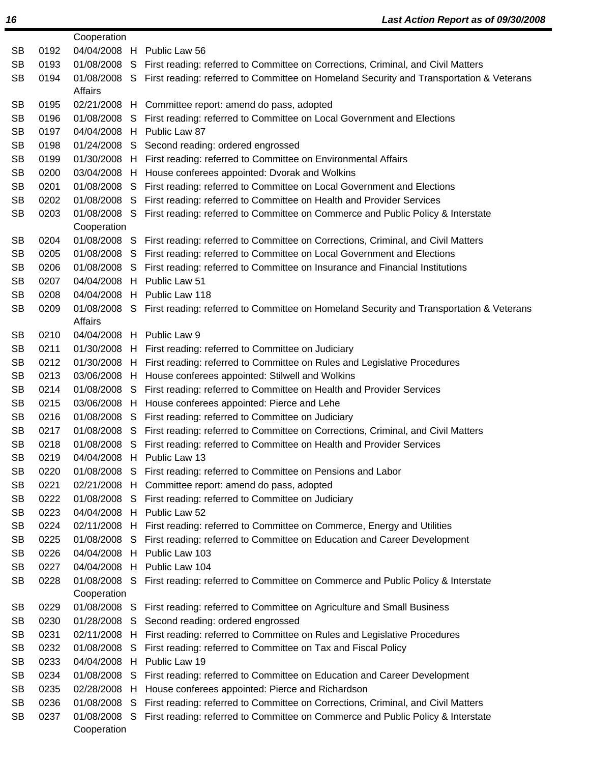| 04/04/2008 H Public Law 56<br><b>SB</b><br>0192<br>0193<br><b>SB</b><br>01/08/2008 S First reading: referred to Committee on Corrections, Criminal, and Civil Matters<br><b>SB</b><br>0194<br>01/08/2008 S First reading: referred to Committee on Homeland Security and Transportation & Veterans<br>Affairs<br>0195<br><b>SB</b><br>02/21/2008 H Committee report: amend do pass, adopted<br><b>SB</b><br>0196<br>01/08/2008 S First reading: referred to Committee on Local Government and Elections<br>0197<br>04/04/2008 H Public Law 87<br><b>SB</b><br>0198<br><b>SB</b><br>01/24/2008 S Second reading: ordered engrossed<br><b>SB</b><br>0199<br>01/30/2008 H First reading: referred to Committee on Environmental Affairs<br><b>SB</b><br>0200<br>03/04/2008 H House conferees appointed: Dvorak and Wolkins<br><b>SB</b><br>0201<br>01/08/2008 S First reading: referred to Committee on Local Government and Elections<br><b>SB</b><br>0202<br>01/08/2008 S First reading: referred to Committee on Health and Provider Services<br>0203<br><b>SB</b><br>01/08/2008 S First reading: referred to Committee on Commerce and Public Policy & Interstate<br>Cooperation<br>0204<br><b>SB</b><br>01/08/2008 S First reading: referred to Committee on Corrections, Criminal, and Civil Matters<br><b>SB</b><br>0205<br>01/08/2008 S First reading: referred to Committee on Local Government and Elections<br><b>SB</b><br>0206<br>01/08/2008 S First reading: referred to Committee on Insurance and Financial Institutions<br>0207<br>04/04/2008 H Public Law 51<br><b>SB</b><br><b>SB</b><br>0208<br>04/04/2008 H Public Law 118<br><b>SB</b><br>0209<br>01/08/2008 S First reading: referred to Committee on Homeland Security and Transportation & Veterans<br>Affairs<br><b>SB</b><br>0210<br>04/04/2008 H Public Law 9<br><b>SB</b><br>0211<br>01/30/2008 H First reading: referred to Committee on Judiciary<br><b>SB</b><br>0212<br>01/30/2008 H First reading: referred to Committee on Rules and Legislative Procedures<br><b>SB</b><br>0213<br>03/06/2008 H House conferees appointed: Stilwell and Wolkins<br><b>SB</b><br>0214<br>01/08/2008 S First reading: referred to Committee on Health and Provider Services<br><b>SB</b><br>0215<br>03/06/2008 H House conferees appointed: Pierce and Lehe<br><b>SB</b><br>0216<br>01/08/2008 S First reading: referred to Committee on Judiciary<br><b>SB</b><br>0217<br>01/08/2008 S First reading: referred to Committee on Corrections, Criminal, and Civil Matters<br><b>SB</b><br>0218<br>01/08/2008 S First reading: referred to Committee on Health and Provider Services<br>0219<br><b>SB</b><br>04/04/2008 H Public Law 13<br><b>SB</b><br>0220<br>01/08/2008 S First reading: referred to Committee on Pensions and Labor<br><b>SB</b><br>0221<br>02/21/2008 H Committee report: amend do pass, adopted<br>01/08/2008 S First reading: referred to Committee on Judiciary<br><b>SB</b><br>0222<br>04/04/2008 H Public Law 52<br><b>SB</b><br>0223<br><b>SB</b><br>0224<br>02/11/2008 H First reading: referred to Committee on Commerce, Energy and Utilities<br><b>SB</b><br>0225<br>01/08/2008 S First reading: referred to Committee on Education and Career Development<br>04/04/2008 H Public Law 103<br><b>SB</b><br>0226<br>04/04/2008 H Public Law 104<br><b>SB</b><br>0227<br><b>SB</b><br>0228<br>01/08/2008 S First reading: referred to Committee on Commerce and Public Policy & Interstate<br>Cooperation<br>0229<br><b>SB</b><br>01/08/2008 S First reading: referred to Committee on Agriculture and Small Business<br><b>SB</b><br>0230<br>01/28/2008 S Second reading: ordered engrossed<br>02/11/2008 H First reading: referred to Committee on Rules and Legislative Procedures<br><b>SB</b><br>0231<br>0232<br>First reading: referred to Committee on Tax and Fiscal Policy<br><b>SB</b><br>01/08/2008 S<br><b>SB</b><br>0233<br>04/04/2008 H Public Law 19<br><b>SB</b><br>0234<br>01/08/2008 S First reading: referred to Committee on Education and Career Development<br><b>SB</b><br>0235<br>02/28/2008 H<br>House conferees appointed: Pierce and Richardson<br><b>SB</b><br>0236<br>01/08/2008 S First reading: referred to Committee on Corrections, Criminal, and Civil Matters<br><b>SB</b><br>0237<br>01/08/2008 S First reading: referred to Committee on Commerce and Public Policy & Interstate |  | Cooperation |  |
|----------------------------------------------------------------------------------------------------------------------------------------------------------------------------------------------------------------------------------------------------------------------------------------------------------------------------------------------------------------------------------------------------------------------------------------------------------------------------------------------------------------------------------------------------------------------------------------------------------------------------------------------------------------------------------------------------------------------------------------------------------------------------------------------------------------------------------------------------------------------------------------------------------------------------------------------------------------------------------------------------------------------------------------------------------------------------------------------------------------------------------------------------------------------------------------------------------------------------------------------------------------------------------------------------------------------------------------------------------------------------------------------------------------------------------------------------------------------------------------------------------------------------------------------------------------------------------------------------------------------------------------------------------------------------------------------------------------------------------------------------------------------------------------------------------------------------------------------------------------------------------------------------------------------------------------------------------------------------------------------------------------------------------------------------------------------------------------------------------------------------------------------------------------------------------------------------------------------------------------------------------------------------------------------------------------------------------------------------------------------------------------------------------------------------------------------------------------------------------------------------------------------------------------------------------------------------------------------------------------------------------------------------------------------------------------------------------------------------------------------------------------------------------------------------------------------------------------------------------------------------------------------------------------------------------------------------------------------------------------------------------------------------------------------------------------------------------------------------------------------------------------------------------------------------------------------------------------------------------------------------------------------------------------------------------------------------------------------------------------------------------------------------------------------------------------------------------------------------------------------------------------------------------------------------------------------------------------------------------------------------------------------------------------------------------------------------------------------------------------------------------------------------------------------------------------------------------------------------------------------------------------------------------------------------------------------------------------------------------------------------------------------------------------------------------------------------------------------------------------------------------------------------------------------------------------------------------------------------------------------------------------------------------------------------------------------------------------------------------------------------------------------------------------|--|-------------|--|
|                                                                                                                                                                                                                                                                                                                                                                                                                                                                                                                                                                                                                                                                                                                                                                                                                                                                                                                                                                                                                                                                                                                                                                                                                                                                                                                                                                                                                                                                                                                                                                                                                                                                                                                                                                                                                                                                                                                                                                                                                                                                                                                                                                                                                                                                                                                                                                                                                                                                                                                                                                                                                                                                                                                                                                                                                                                                                                                                                                                                                                                                                                                                                                                                                                                                                                                                                                                                                                                                                                                                                                                                                                                                                                                                                                                                                                                                                                                                                                                                                                                                                                                                                                                                                                                                                                                                                                                                                |  |             |  |
|                                                                                                                                                                                                                                                                                                                                                                                                                                                                                                                                                                                                                                                                                                                                                                                                                                                                                                                                                                                                                                                                                                                                                                                                                                                                                                                                                                                                                                                                                                                                                                                                                                                                                                                                                                                                                                                                                                                                                                                                                                                                                                                                                                                                                                                                                                                                                                                                                                                                                                                                                                                                                                                                                                                                                                                                                                                                                                                                                                                                                                                                                                                                                                                                                                                                                                                                                                                                                                                                                                                                                                                                                                                                                                                                                                                                                                                                                                                                                                                                                                                                                                                                                                                                                                                                                                                                                                                                                |  |             |  |
|                                                                                                                                                                                                                                                                                                                                                                                                                                                                                                                                                                                                                                                                                                                                                                                                                                                                                                                                                                                                                                                                                                                                                                                                                                                                                                                                                                                                                                                                                                                                                                                                                                                                                                                                                                                                                                                                                                                                                                                                                                                                                                                                                                                                                                                                                                                                                                                                                                                                                                                                                                                                                                                                                                                                                                                                                                                                                                                                                                                                                                                                                                                                                                                                                                                                                                                                                                                                                                                                                                                                                                                                                                                                                                                                                                                                                                                                                                                                                                                                                                                                                                                                                                                                                                                                                                                                                                                                                |  |             |  |
|                                                                                                                                                                                                                                                                                                                                                                                                                                                                                                                                                                                                                                                                                                                                                                                                                                                                                                                                                                                                                                                                                                                                                                                                                                                                                                                                                                                                                                                                                                                                                                                                                                                                                                                                                                                                                                                                                                                                                                                                                                                                                                                                                                                                                                                                                                                                                                                                                                                                                                                                                                                                                                                                                                                                                                                                                                                                                                                                                                                                                                                                                                                                                                                                                                                                                                                                                                                                                                                                                                                                                                                                                                                                                                                                                                                                                                                                                                                                                                                                                                                                                                                                                                                                                                                                                                                                                                                                                |  |             |  |
|                                                                                                                                                                                                                                                                                                                                                                                                                                                                                                                                                                                                                                                                                                                                                                                                                                                                                                                                                                                                                                                                                                                                                                                                                                                                                                                                                                                                                                                                                                                                                                                                                                                                                                                                                                                                                                                                                                                                                                                                                                                                                                                                                                                                                                                                                                                                                                                                                                                                                                                                                                                                                                                                                                                                                                                                                                                                                                                                                                                                                                                                                                                                                                                                                                                                                                                                                                                                                                                                                                                                                                                                                                                                                                                                                                                                                                                                                                                                                                                                                                                                                                                                                                                                                                                                                                                                                                                                                |  |             |  |
|                                                                                                                                                                                                                                                                                                                                                                                                                                                                                                                                                                                                                                                                                                                                                                                                                                                                                                                                                                                                                                                                                                                                                                                                                                                                                                                                                                                                                                                                                                                                                                                                                                                                                                                                                                                                                                                                                                                                                                                                                                                                                                                                                                                                                                                                                                                                                                                                                                                                                                                                                                                                                                                                                                                                                                                                                                                                                                                                                                                                                                                                                                                                                                                                                                                                                                                                                                                                                                                                                                                                                                                                                                                                                                                                                                                                                                                                                                                                                                                                                                                                                                                                                                                                                                                                                                                                                                                                                |  |             |  |
|                                                                                                                                                                                                                                                                                                                                                                                                                                                                                                                                                                                                                                                                                                                                                                                                                                                                                                                                                                                                                                                                                                                                                                                                                                                                                                                                                                                                                                                                                                                                                                                                                                                                                                                                                                                                                                                                                                                                                                                                                                                                                                                                                                                                                                                                                                                                                                                                                                                                                                                                                                                                                                                                                                                                                                                                                                                                                                                                                                                                                                                                                                                                                                                                                                                                                                                                                                                                                                                                                                                                                                                                                                                                                                                                                                                                                                                                                                                                                                                                                                                                                                                                                                                                                                                                                                                                                                                                                |  |             |  |
|                                                                                                                                                                                                                                                                                                                                                                                                                                                                                                                                                                                                                                                                                                                                                                                                                                                                                                                                                                                                                                                                                                                                                                                                                                                                                                                                                                                                                                                                                                                                                                                                                                                                                                                                                                                                                                                                                                                                                                                                                                                                                                                                                                                                                                                                                                                                                                                                                                                                                                                                                                                                                                                                                                                                                                                                                                                                                                                                                                                                                                                                                                                                                                                                                                                                                                                                                                                                                                                                                                                                                                                                                                                                                                                                                                                                                                                                                                                                                                                                                                                                                                                                                                                                                                                                                                                                                                                                                |  |             |  |
|                                                                                                                                                                                                                                                                                                                                                                                                                                                                                                                                                                                                                                                                                                                                                                                                                                                                                                                                                                                                                                                                                                                                                                                                                                                                                                                                                                                                                                                                                                                                                                                                                                                                                                                                                                                                                                                                                                                                                                                                                                                                                                                                                                                                                                                                                                                                                                                                                                                                                                                                                                                                                                                                                                                                                                                                                                                                                                                                                                                                                                                                                                                                                                                                                                                                                                                                                                                                                                                                                                                                                                                                                                                                                                                                                                                                                                                                                                                                                                                                                                                                                                                                                                                                                                                                                                                                                                                                                |  |             |  |
|                                                                                                                                                                                                                                                                                                                                                                                                                                                                                                                                                                                                                                                                                                                                                                                                                                                                                                                                                                                                                                                                                                                                                                                                                                                                                                                                                                                                                                                                                                                                                                                                                                                                                                                                                                                                                                                                                                                                                                                                                                                                                                                                                                                                                                                                                                                                                                                                                                                                                                                                                                                                                                                                                                                                                                                                                                                                                                                                                                                                                                                                                                                                                                                                                                                                                                                                                                                                                                                                                                                                                                                                                                                                                                                                                                                                                                                                                                                                                                                                                                                                                                                                                                                                                                                                                                                                                                                                                |  |             |  |
|                                                                                                                                                                                                                                                                                                                                                                                                                                                                                                                                                                                                                                                                                                                                                                                                                                                                                                                                                                                                                                                                                                                                                                                                                                                                                                                                                                                                                                                                                                                                                                                                                                                                                                                                                                                                                                                                                                                                                                                                                                                                                                                                                                                                                                                                                                                                                                                                                                                                                                                                                                                                                                                                                                                                                                                                                                                                                                                                                                                                                                                                                                                                                                                                                                                                                                                                                                                                                                                                                                                                                                                                                                                                                                                                                                                                                                                                                                                                                                                                                                                                                                                                                                                                                                                                                                                                                                                                                |  |             |  |
|                                                                                                                                                                                                                                                                                                                                                                                                                                                                                                                                                                                                                                                                                                                                                                                                                                                                                                                                                                                                                                                                                                                                                                                                                                                                                                                                                                                                                                                                                                                                                                                                                                                                                                                                                                                                                                                                                                                                                                                                                                                                                                                                                                                                                                                                                                                                                                                                                                                                                                                                                                                                                                                                                                                                                                                                                                                                                                                                                                                                                                                                                                                                                                                                                                                                                                                                                                                                                                                                                                                                                                                                                                                                                                                                                                                                                                                                                                                                                                                                                                                                                                                                                                                                                                                                                                                                                                                                                |  |             |  |
|                                                                                                                                                                                                                                                                                                                                                                                                                                                                                                                                                                                                                                                                                                                                                                                                                                                                                                                                                                                                                                                                                                                                                                                                                                                                                                                                                                                                                                                                                                                                                                                                                                                                                                                                                                                                                                                                                                                                                                                                                                                                                                                                                                                                                                                                                                                                                                                                                                                                                                                                                                                                                                                                                                                                                                                                                                                                                                                                                                                                                                                                                                                                                                                                                                                                                                                                                                                                                                                                                                                                                                                                                                                                                                                                                                                                                                                                                                                                                                                                                                                                                                                                                                                                                                                                                                                                                                                                                |  |             |  |
|                                                                                                                                                                                                                                                                                                                                                                                                                                                                                                                                                                                                                                                                                                                                                                                                                                                                                                                                                                                                                                                                                                                                                                                                                                                                                                                                                                                                                                                                                                                                                                                                                                                                                                                                                                                                                                                                                                                                                                                                                                                                                                                                                                                                                                                                                                                                                                                                                                                                                                                                                                                                                                                                                                                                                                                                                                                                                                                                                                                                                                                                                                                                                                                                                                                                                                                                                                                                                                                                                                                                                                                                                                                                                                                                                                                                                                                                                                                                                                                                                                                                                                                                                                                                                                                                                                                                                                                                                |  |             |  |
|                                                                                                                                                                                                                                                                                                                                                                                                                                                                                                                                                                                                                                                                                                                                                                                                                                                                                                                                                                                                                                                                                                                                                                                                                                                                                                                                                                                                                                                                                                                                                                                                                                                                                                                                                                                                                                                                                                                                                                                                                                                                                                                                                                                                                                                                                                                                                                                                                                                                                                                                                                                                                                                                                                                                                                                                                                                                                                                                                                                                                                                                                                                                                                                                                                                                                                                                                                                                                                                                                                                                                                                                                                                                                                                                                                                                                                                                                                                                                                                                                                                                                                                                                                                                                                                                                                                                                                                                                |  |             |  |
|                                                                                                                                                                                                                                                                                                                                                                                                                                                                                                                                                                                                                                                                                                                                                                                                                                                                                                                                                                                                                                                                                                                                                                                                                                                                                                                                                                                                                                                                                                                                                                                                                                                                                                                                                                                                                                                                                                                                                                                                                                                                                                                                                                                                                                                                                                                                                                                                                                                                                                                                                                                                                                                                                                                                                                                                                                                                                                                                                                                                                                                                                                                                                                                                                                                                                                                                                                                                                                                                                                                                                                                                                                                                                                                                                                                                                                                                                                                                                                                                                                                                                                                                                                                                                                                                                                                                                                                                                |  |             |  |
|                                                                                                                                                                                                                                                                                                                                                                                                                                                                                                                                                                                                                                                                                                                                                                                                                                                                                                                                                                                                                                                                                                                                                                                                                                                                                                                                                                                                                                                                                                                                                                                                                                                                                                                                                                                                                                                                                                                                                                                                                                                                                                                                                                                                                                                                                                                                                                                                                                                                                                                                                                                                                                                                                                                                                                                                                                                                                                                                                                                                                                                                                                                                                                                                                                                                                                                                                                                                                                                                                                                                                                                                                                                                                                                                                                                                                                                                                                                                                                                                                                                                                                                                                                                                                                                                                                                                                                                                                |  |             |  |
|                                                                                                                                                                                                                                                                                                                                                                                                                                                                                                                                                                                                                                                                                                                                                                                                                                                                                                                                                                                                                                                                                                                                                                                                                                                                                                                                                                                                                                                                                                                                                                                                                                                                                                                                                                                                                                                                                                                                                                                                                                                                                                                                                                                                                                                                                                                                                                                                                                                                                                                                                                                                                                                                                                                                                                                                                                                                                                                                                                                                                                                                                                                                                                                                                                                                                                                                                                                                                                                                                                                                                                                                                                                                                                                                                                                                                                                                                                                                                                                                                                                                                                                                                                                                                                                                                                                                                                                                                |  |             |  |
|                                                                                                                                                                                                                                                                                                                                                                                                                                                                                                                                                                                                                                                                                                                                                                                                                                                                                                                                                                                                                                                                                                                                                                                                                                                                                                                                                                                                                                                                                                                                                                                                                                                                                                                                                                                                                                                                                                                                                                                                                                                                                                                                                                                                                                                                                                                                                                                                                                                                                                                                                                                                                                                                                                                                                                                                                                                                                                                                                                                                                                                                                                                                                                                                                                                                                                                                                                                                                                                                                                                                                                                                                                                                                                                                                                                                                                                                                                                                                                                                                                                                                                                                                                                                                                                                                                                                                                                                                |  |             |  |
|                                                                                                                                                                                                                                                                                                                                                                                                                                                                                                                                                                                                                                                                                                                                                                                                                                                                                                                                                                                                                                                                                                                                                                                                                                                                                                                                                                                                                                                                                                                                                                                                                                                                                                                                                                                                                                                                                                                                                                                                                                                                                                                                                                                                                                                                                                                                                                                                                                                                                                                                                                                                                                                                                                                                                                                                                                                                                                                                                                                                                                                                                                                                                                                                                                                                                                                                                                                                                                                                                                                                                                                                                                                                                                                                                                                                                                                                                                                                                                                                                                                                                                                                                                                                                                                                                                                                                                                                                |  |             |  |
|                                                                                                                                                                                                                                                                                                                                                                                                                                                                                                                                                                                                                                                                                                                                                                                                                                                                                                                                                                                                                                                                                                                                                                                                                                                                                                                                                                                                                                                                                                                                                                                                                                                                                                                                                                                                                                                                                                                                                                                                                                                                                                                                                                                                                                                                                                                                                                                                                                                                                                                                                                                                                                                                                                                                                                                                                                                                                                                                                                                                                                                                                                                                                                                                                                                                                                                                                                                                                                                                                                                                                                                                                                                                                                                                                                                                                                                                                                                                                                                                                                                                                                                                                                                                                                                                                                                                                                                                                |  |             |  |
|                                                                                                                                                                                                                                                                                                                                                                                                                                                                                                                                                                                                                                                                                                                                                                                                                                                                                                                                                                                                                                                                                                                                                                                                                                                                                                                                                                                                                                                                                                                                                                                                                                                                                                                                                                                                                                                                                                                                                                                                                                                                                                                                                                                                                                                                                                                                                                                                                                                                                                                                                                                                                                                                                                                                                                                                                                                                                                                                                                                                                                                                                                                                                                                                                                                                                                                                                                                                                                                                                                                                                                                                                                                                                                                                                                                                                                                                                                                                                                                                                                                                                                                                                                                                                                                                                                                                                                                                                |  |             |  |
|                                                                                                                                                                                                                                                                                                                                                                                                                                                                                                                                                                                                                                                                                                                                                                                                                                                                                                                                                                                                                                                                                                                                                                                                                                                                                                                                                                                                                                                                                                                                                                                                                                                                                                                                                                                                                                                                                                                                                                                                                                                                                                                                                                                                                                                                                                                                                                                                                                                                                                                                                                                                                                                                                                                                                                                                                                                                                                                                                                                                                                                                                                                                                                                                                                                                                                                                                                                                                                                                                                                                                                                                                                                                                                                                                                                                                                                                                                                                                                                                                                                                                                                                                                                                                                                                                                                                                                                                                |  |             |  |
|                                                                                                                                                                                                                                                                                                                                                                                                                                                                                                                                                                                                                                                                                                                                                                                                                                                                                                                                                                                                                                                                                                                                                                                                                                                                                                                                                                                                                                                                                                                                                                                                                                                                                                                                                                                                                                                                                                                                                                                                                                                                                                                                                                                                                                                                                                                                                                                                                                                                                                                                                                                                                                                                                                                                                                                                                                                                                                                                                                                                                                                                                                                                                                                                                                                                                                                                                                                                                                                                                                                                                                                                                                                                                                                                                                                                                                                                                                                                                                                                                                                                                                                                                                                                                                                                                                                                                                                                                |  |             |  |
|                                                                                                                                                                                                                                                                                                                                                                                                                                                                                                                                                                                                                                                                                                                                                                                                                                                                                                                                                                                                                                                                                                                                                                                                                                                                                                                                                                                                                                                                                                                                                                                                                                                                                                                                                                                                                                                                                                                                                                                                                                                                                                                                                                                                                                                                                                                                                                                                                                                                                                                                                                                                                                                                                                                                                                                                                                                                                                                                                                                                                                                                                                                                                                                                                                                                                                                                                                                                                                                                                                                                                                                                                                                                                                                                                                                                                                                                                                                                                                                                                                                                                                                                                                                                                                                                                                                                                                                                                |  |             |  |
|                                                                                                                                                                                                                                                                                                                                                                                                                                                                                                                                                                                                                                                                                                                                                                                                                                                                                                                                                                                                                                                                                                                                                                                                                                                                                                                                                                                                                                                                                                                                                                                                                                                                                                                                                                                                                                                                                                                                                                                                                                                                                                                                                                                                                                                                                                                                                                                                                                                                                                                                                                                                                                                                                                                                                                                                                                                                                                                                                                                                                                                                                                                                                                                                                                                                                                                                                                                                                                                                                                                                                                                                                                                                                                                                                                                                                                                                                                                                                                                                                                                                                                                                                                                                                                                                                                                                                                                                                |  |             |  |
|                                                                                                                                                                                                                                                                                                                                                                                                                                                                                                                                                                                                                                                                                                                                                                                                                                                                                                                                                                                                                                                                                                                                                                                                                                                                                                                                                                                                                                                                                                                                                                                                                                                                                                                                                                                                                                                                                                                                                                                                                                                                                                                                                                                                                                                                                                                                                                                                                                                                                                                                                                                                                                                                                                                                                                                                                                                                                                                                                                                                                                                                                                                                                                                                                                                                                                                                                                                                                                                                                                                                                                                                                                                                                                                                                                                                                                                                                                                                                                                                                                                                                                                                                                                                                                                                                                                                                                                                                |  |             |  |
|                                                                                                                                                                                                                                                                                                                                                                                                                                                                                                                                                                                                                                                                                                                                                                                                                                                                                                                                                                                                                                                                                                                                                                                                                                                                                                                                                                                                                                                                                                                                                                                                                                                                                                                                                                                                                                                                                                                                                                                                                                                                                                                                                                                                                                                                                                                                                                                                                                                                                                                                                                                                                                                                                                                                                                                                                                                                                                                                                                                                                                                                                                                                                                                                                                                                                                                                                                                                                                                                                                                                                                                                                                                                                                                                                                                                                                                                                                                                                                                                                                                                                                                                                                                                                                                                                                                                                                                                                |  |             |  |
|                                                                                                                                                                                                                                                                                                                                                                                                                                                                                                                                                                                                                                                                                                                                                                                                                                                                                                                                                                                                                                                                                                                                                                                                                                                                                                                                                                                                                                                                                                                                                                                                                                                                                                                                                                                                                                                                                                                                                                                                                                                                                                                                                                                                                                                                                                                                                                                                                                                                                                                                                                                                                                                                                                                                                                                                                                                                                                                                                                                                                                                                                                                                                                                                                                                                                                                                                                                                                                                                                                                                                                                                                                                                                                                                                                                                                                                                                                                                                                                                                                                                                                                                                                                                                                                                                                                                                                                                                |  |             |  |
|                                                                                                                                                                                                                                                                                                                                                                                                                                                                                                                                                                                                                                                                                                                                                                                                                                                                                                                                                                                                                                                                                                                                                                                                                                                                                                                                                                                                                                                                                                                                                                                                                                                                                                                                                                                                                                                                                                                                                                                                                                                                                                                                                                                                                                                                                                                                                                                                                                                                                                                                                                                                                                                                                                                                                                                                                                                                                                                                                                                                                                                                                                                                                                                                                                                                                                                                                                                                                                                                                                                                                                                                                                                                                                                                                                                                                                                                                                                                                                                                                                                                                                                                                                                                                                                                                                                                                                                                                |  |             |  |
|                                                                                                                                                                                                                                                                                                                                                                                                                                                                                                                                                                                                                                                                                                                                                                                                                                                                                                                                                                                                                                                                                                                                                                                                                                                                                                                                                                                                                                                                                                                                                                                                                                                                                                                                                                                                                                                                                                                                                                                                                                                                                                                                                                                                                                                                                                                                                                                                                                                                                                                                                                                                                                                                                                                                                                                                                                                                                                                                                                                                                                                                                                                                                                                                                                                                                                                                                                                                                                                                                                                                                                                                                                                                                                                                                                                                                                                                                                                                                                                                                                                                                                                                                                                                                                                                                                                                                                                                                |  |             |  |
|                                                                                                                                                                                                                                                                                                                                                                                                                                                                                                                                                                                                                                                                                                                                                                                                                                                                                                                                                                                                                                                                                                                                                                                                                                                                                                                                                                                                                                                                                                                                                                                                                                                                                                                                                                                                                                                                                                                                                                                                                                                                                                                                                                                                                                                                                                                                                                                                                                                                                                                                                                                                                                                                                                                                                                                                                                                                                                                                                                                                                                                                                                                                                                                                                                                                                                                                                                                                                                                                                                                                                                                                                                                                                                                                                                                                                                                                                                                                                                                                                                                                                                                                                                                                                                                                                                                                                                                                                |  |             |  |
|                                                                                                                                                                                                                                                                                                                                                                                                                                                                                                                                                                                                                                                                                                                                                                                                                                                                                                                                                                                                                                                                                                                                                                                                                                                                                                                                                                                                                                                                                                                                                                                                                                                                                                                                                                                                                                                                                                                                                                                                                                                                                                                                                                                                                                                                                                                                                                                                                                                                                                                                                                                                                                                                                                                                                                                                                                                                                                                                                                                                                                                                                                                                                                                                                                                                                                                                                                                                                                                                                                                                                                                                                                                                                                                                                                                                                                                                                                                                                                                                                                                                                                                                                                                                                                                                                                                                                                                                                |  |             |  |
|                                                                                                                                                                                                                                                                                                                                                                                                                                                                                                                                                                                                                                                                                                                                                                                                                                                                                                                                                                                                                                                                                                                                                                                                                                                                                                                                                                                                                                                                                                                                                                                                                                                                                                                                                                                                                                                                                                                                                                                                                                                                                                                                                                                                                                                                                                                                                                                                                                                                                                                                                                                                                                                                                                                                                                                                                                                                                                                                                                                                                                                                                                                                                                                                                                                                                                                                                                                                                                                                                                                                                                                                                                                                                                                                                                                                                                                                                                                                                                                                                                                                                                                                                                                                                                                                                                                                                                                                                |  |             |  |
|                                                                                                                                                                                                                                                                                                                                                                                                                                                                                                                                                                                                                                                                                                                                                                                                                                                                                                                                                                                                                                                                                                                                                                                                                                                                                                                                                                                                                                                                                                                                                                                                                                                                                                                                                                                                                                                                                                                                                                                                                                                                                                                                                                                                                                                                                                                                                                                                                                                                                                                                                                                                                                                                                                                                                                                                                                                                                                                                                                                                                                                                                                                                                                                                                                                                                                                                                                                                                                                                                                                                                                                                                                                                                                                                                                                                                                                                                                                                                                                                                                                                                                                                                                                                                                                                                                                                                                                                                |  |             |  |
|                                                                                                                                                                                                                                                                                                                                                                                                                                                                                                                                                                                                                                                                                                                                                                                                                                                                                                                                                                                                                                                                                                                                                                                                                                                                                                                                                                                                                                                                                                                                                                                                                                                                                                                                                                                                                                                                                                                                                                                                                                                                                                                                                                                                                                                                                                                                                                                                                                                                                                                                                                                                                                                                                                                                                                                                                                                                                                                                                                                                                                                                                                                                                                                                                                                                                                                                                                                                                                                                                                                                                                                                                                                                                                                                                                                                                                                                                                                                                                                                                                                                                                                                                                                                                                                                                                                                                                                                                |  |             |  |
|                                                                                                                                                                                                                                                                                                                                                                                                                                                                                                                                                                                                                                                                                                                                                                                                                                                                                                                                                                                                                                                                                                                                                                                                                                                                                                                                                                                                                                                                                                                                                                                                                                                                                                                                                                                                                                                                                                                                                                                                                                                                                                                                                                                                                                                                                                                                                                                                                                                                                                                                                                                                                                                                                                                                                                                                                                                                                                                                                                                                                                                                                                                                                                                                                                                                                                                                                                                                                                                                                                                                                                                                                                                                                                                                                                                                                                                                                                                                                                                                                                                                                                                                                                                                                                                                                                                                                                                                                |  |             |  |
|                                                                                                                                                                                                                                                                                                                                                                                                                                                                                                                                                                                                                                                                                                                                                                                                                                                                                                                                                                                                                                                                                                                                                                                                                                                                                                                                                                                                                                                                                                                                                                                                                                                                                                                                                                                                                                                                                                                                                                                                                                                                                                                                                                                                                                                                                                                                                                                                                                                                                                                                                                                                                                                                                                                                                                                                                                                                                                                                                                                                                                                                                                                                                                                                                                                                                                                                                                                                                                                                                                                                                                                                                                                                                                                                                                                                                                                                                                                                                                                                                                                                                                                                                                                                                                                                                                                                                                                                                |  |             |  |
|                                                                                                                                                                                                                                                                                                                                                                                                                                                                                                                                                                                                                                                                                                                                                                                                                                                                                                                                                                                                                                                                                                                                                                                                                                                                                                                                                                                                                                                                                                                                                                                                                                                                                                                                                                                                                                                                                                                                                                                                                                                                                                                                                                                                                                                                                                                                                                                                                                                                                                                                                                                                                                                                                                                                                                                                                                                                                                                                                                                                                                                                                                                                                                                                                                                                                                                                                                                                                                                                                                                                                                                                                                                                                                                                                                                                                                                                                                                                                                                                                                                                                                                                                                                                                                                                                                                                                                                                                |  |             |  |
|                                                                                                                                                                                                                                                                                                                                                                                                                                                                                                                                                                                                                                                                                                                                                                                                                                                                                                                                                                                                                                                                                                                                                                                                                                                                                                                                                                                                                                                                                                                                                                                                                                                                                                                                                                                                                                                                                                                                                                                                                                                                                                                                                                                                                                                                                                                                                                                                                                                                                                                                                                                                                                                                                                                                                                                                                                                                                                                                                                                                                                                                                                                                                                                                                                                                                                                                                                                                                                                                                                                                                                                                                                                                                                                                                                                                                                                                                                                                                                                                                                                                                                                                                                                                                                                                                                                                                                                                                |  |             |  |
|                                                                                                                                                                                                                                                                                                                                                                                                                                                                                                                                                                                                                                                                                                                                                                                                                                                                                                                                                                                                                                                                                                                                                                                                                                                                                                                                                                                                                                                                                                                                                                                                                                                                                                                                                                                                                                                                                                                                                                                                                                                                                                                                                                                                                                                                                                                                                                                                                                                                                                                                                                                                                                                                                                                                                                                                                                                                                                                                                                                                                                                                                                                                                                                                                                                                                                                                                                                                                                                                                                                                                                                                                                                                                                                                                                                                                                                                                                                                                                                                                                                                                                                                                                                                                                                                                                                                                                                                                |  |             |  |
|                                                                                                                                                                                                                                                                                                                                                                                                                                                                                                                                                                                                                                                                                                                                                                                                                                                                                                                                                                                                                                                                                                                                                                                                                                                                                                                                                                                                                                                                                                                                                                                                                                                                                                                                                                                                                                                                                                                                                                                                                                                                                                                                                                                                                                                                                                                                                                                                                                                                                                                                                                                                                                                                                                                                                                                                                                                                                                                                                                                                                                                                                                                                                                                                                                                                                                                                                                                                                                                                                                                                                                                                                                                                                                                                                                                                                                                                                                                                                                                                                                                                                                                                                                                                                                                                                                                                                                                                                |  |             |  |
|                                                                                                                                                                                                                                                                                                                                                                                                                                                                                                                                                                                                                                                                                                                                                                                                                                                                                                                                                                                                                                                                                                                                                                                                                                                                                                                                                                                                                                                                                                                                                                                                                                                                                                                                                                                                                                                                                                                                                                                                                                                                                                                                                                                                                                                                                                                                                                                                                                                                                                                                                                                                                                                                                                                                                                                                                                                                                                                                                                                                                                                                                                                                                                                                                                                                                                                                                                                                                                                                                                                                                                                                                                                                                                                                                                                                                                                                                                                                                                                                                                                                                                                                                                                                                                                                                                                                                                                                                |  |             |  |
|                                                                                                                                                                                                                                                                                                                                                                                                                                                                                                                                                                                                                                                                                                                                                                                                                                                                                                                                                                                                                                                                                                                                                                                                                                                                                                                                                                                                                                                                                                                                                                                                                                                                                                                                                                                                                                                                                                                                                                                                                                                                                                                                                                                                                                                                                                                                                                                                                                                                                                                                                                                                                                                                                                                                                                                                                                                                                                                                                                                                                                                                                                                                                                                                                                                                                                                                                                                                                                                                                                                                                                                                                                                                                                                                                                                                                                                                                                                                                                                                                                                                                                                                                                                                                                                                                                                                                                                                                |  |             |  |
|                                                                                                                                                                                                                                                                                                                                                                                                                                                                                                                                                                                                                                                                                                                                                                                                                                                                                                                                                                                                                                                                                                                                                                                                                                                                                                                                                                                                                                                                                                                                                                                                                                                                                                                                                                                                                                                                                                                                                                                                                                                                                                                                                                                                                                                                                                                                                                                                                                                                                                                                                                                                                                                                                                                                                                                                                                                                                                                                                                                                                                                                                                                                                                                                                                                                                                                                                                                                                                                                                                                                                                                                                                                                                                                                                                                                                                                                                                                                                                                                                                                                                                                                                                                                                                                                                                                                                                                                                |  |             |  |
|                                                                                                                                                                                                                                                                                                                                                                                                                                                                                                                                                                                                                                                                                                                                                                                                                                                                                                                                                                                                                                                                                                                                                                                                                                                                                                                                                                                                                                                                                                                                                                                                                                                                                                                                                                                                                                                                                                                                                                                                                                                                                                                                                                                                                                                                                                                                                                                                                                                                                                                                                                                                                                                                                                                                                                                                                                                                                                                                                                                                                                                                                                                                                                                                                                                                                                                                                                                                                                                                                                                                                                                                                                                                                                                                                                                                                                                                                                                                                                                                                                                                                                                                                                                                                                                                                                                                                                                                                |  |             |  |
|                                                                                                                                                                                                                                                                                                                                                                                                                                                                                                                                                                                                                                                                                                                                                                                                                                                                                                                                                                                                                                                                                                                                                                                                                                                                                                                                                                                                                                                                                                                                                                                                                                                                                                                                                                                                                                                                                                                                                                                                                                                                                                                                                                                                                                                                                                                                                                                                                                                                                                                                                                                                                                                                                                                                                                                                                                                                                                                                                                                                                                                                                                                                                                                                                                                                                                                                                                                                                                                                                                                                                                                                                                                                                                                                                                                                                                                                                                                                                                                                                                                                                                                                                                                                                                                                                                                                                                                                                |  | Cooperation |  |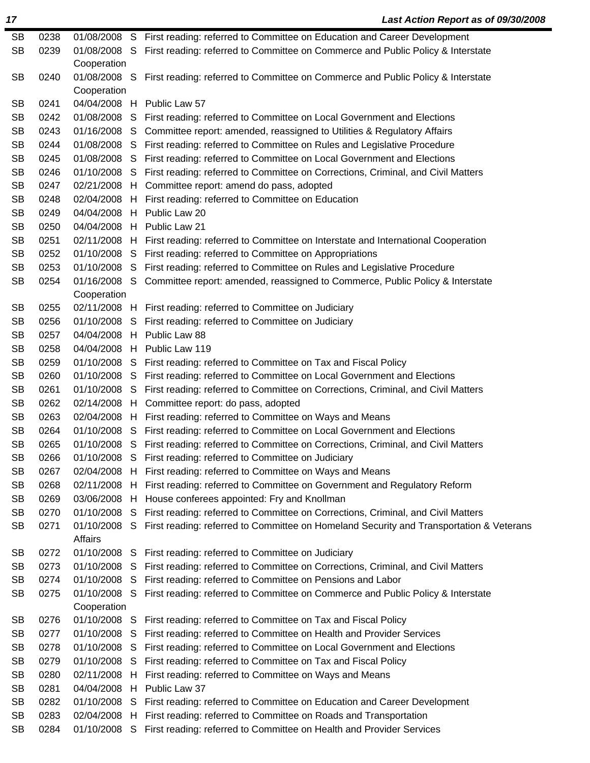SB 0238 01/08/2008 S First reading: referred to Committee on Education and Career Development SB 0239 01/08/2008 S First reading: referred to Committee on Commerce and Public Policy & Interstate Cooperation SB 0240 01/08/2008 S First reading: referred to Committee on Commerce and Public Policy & Interstate Cooperation SB 0241 04/04/2008 H Public Law 57 SB 0242 01/08/2008 S First reading: referred to Committee on Local Government and Elections SB 0243 01/16/2008 S Committee report: amended, reassigned to Utilities & Regulatory Affairs SB 0244 01/08/2008 S First reading: referred to Committee on Rules and Legislative Procedure SB 0245 01/08/2008 S First reading: referred to Committee on Local Government and Elections SB 0246 01/10/2008 S First reading: referred to Committee on Corrections, Criminal, and Civil Matters SB 0247 02/21/2008 H Committee report: amend do pass, adopted SB 0248 02/04/2008 H First reading: referred to Committee on Education SB 0249 04/04/2008 H Public Law 20 SB 0250 04/04/2008 H Public Law 21 SB 0251 02/11/2008 H First reading: referred to Committee on Interstate and International Cooperation SB 0252 01/10/2008 S First reading: referred to Committee on Appropriations SB 0253 01/10/2008 S First reading: referred to Committee on Rules and Legislative Procedure SB 0254 01/16/2008 S Committee report: amended, reassigned to Commerce, Public Policy & Interstate Cooperation SB 0255 02/11/2008 H First reading: referred to Committee on Judiciary SB 0256 01/10/2008 S First reading: referred to Committee on Judiciary SB 0257 04/04/2008 H Public Law 88 SB 0258 04/04/2008 H Public Law 119 SB 0259 01/10/2008 S First reading: referred to Committee on Tax and Fiscal Policy SB 0260 01/10/2008 S First reading: referred to Committee on Local Government and Elections SB 0261 01/10/2008 S First reading: referred to Committee on Corrections, Criminal, and Civil Matters SB 0262 02/14/2008 H Committee report: do pass, adopted SB 0263 02/04/2008 H First reading: referred to Committee on Ways and Means SB 0264 01/10/2008 S First reading: referred to Committee on Local Government and Elections SB 0265 01/10/2008 S First reading: referred to Committee on Corrections, Criminal, and Civil Matters SB 0266 01/10/2008 S First reading: referred to Committee on Judiciary SB 0267 02/04/2008 H First reading: referred to Committee on Ways and Means SB 0268 02/11/2008 H First reading: referred to Committee on Government and Regulatory Reform SB 0269 03/06/2008 H House conferees appointed: Fry and Knollman SB 0270 01/10/2008 S First reading: referred to Committee on Corrections, Criminal, and Civil Matters SB 0271 01/10/2008 S First reading: referred to Committee on Homeland Security and Transportation & Veterans Affairs SB 0272 01/10/2008 S First reading: referred to Committee on Judiciary SB 0273 01/10/2008 S First reading: referred to Committee on Corrections, Criminal, and Civil Matters SB 0274 01/10/2008 S First reading: referred to Committee on Pensions and Labor SB 0275 01/10/2008 S First reading: referred to Committee on Commerce and Public Policy & Interstate Cooperation SB 0276 01/10/2008 S First reading: referred to Committee on Tax and Fiscal Policy SB 0277 01/10/2008 S First reading: referred to Committee on Health and Provider Services SB 0278 01/10/2008 S First reading: referred to Committee on Local Government and Elections SB 0279 01/10/2008 S First reading: referred to Committee on Tax and Fiscal Policy SB 0280 02/11/2008 H First reading: referred to Committee on Ways and Means SB 0281 04/04/2008 H Public Law 37 SB 0282 01/10/2008 S First reading: referred to Committee on Education and Career Development SB 0283 02/04/2008 H First reading: referred to Committee on Roads and Transportation

*17 Last Action Report as of 09/30/2008*

SB 0284 01/10/2008 S First reading: referred to Committee on Health and Provider Services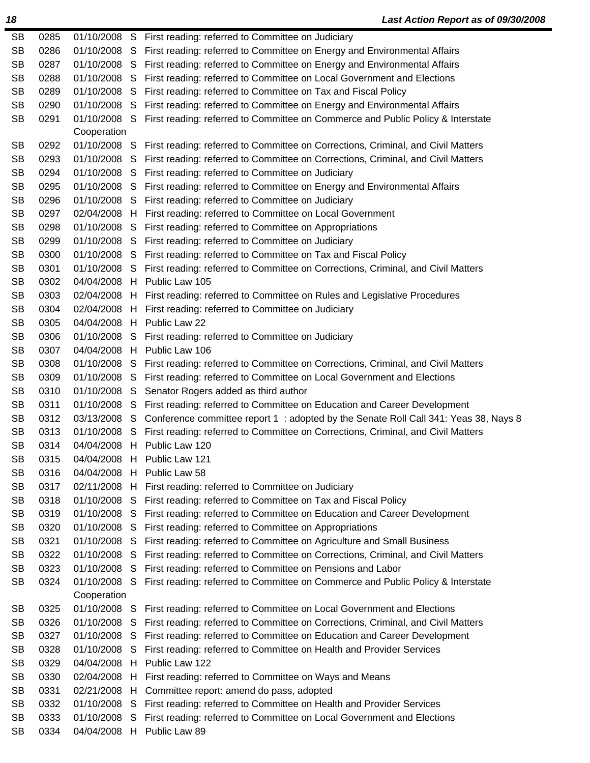| <b>SB</b> | 0285 |                           |    | 01/10/2008 S First reading: referred to Committee on Judiciary                                |
|-----------|------|---------------------------|----|-----------------------------------------------------------------------------------------------|
| <b>SB</b> | 0286 | 01/10/2008 S              |    | First reading: referred to Committee on Energy and Environmental Affairs                      |
| <b>SB</b> | 0287 | 01/10/2008 S              |    | First reading: referred to Committee on Energy and Environmental Affairs                      |
| <b>SB</b> | 0288 | 01/10/2008 S              |    | First reading: referred to Committee on Local Government and Elections                        |
| <b>SB</b> | 0289 |                           |    | 01/10/2008 S First reading: referred to Committee on Tax and Fiscal Policy                    |
| <b>SB</b> | 0290 |                           |    | 01/10/2008 S First reading: referred to Committee on Energy and Environmental Affairs         |
| <b>SB</b> | 0291 | 01/10/2008 S              |    | First reading: referred to Committee on Commerce and Public Policy & Interstate               |
|           |      | Cooperation               |    |                                                                                               |
| <b>SB</b> | 0292 | 01/10/2008 S              |    | First reading: referred to Committee on Corrections, Criminal, and Civil Matters              |
| <b>SB</b> | 0293 | 01/10/2008 S              |    | First reading: referred to Committee on Corrections, Criminal, and Civil Matters              |
| <b>SB</b> | 0294 |                           |    | 01/10/2008 S First reading: referred to Committee on Judiciary                                |
| <b>SB</b> | 0295 |                           |    | 01/10/2008 S First reading: referred to Committee on Energy and Environmental Affairs         |
| <b>SB</b> | 0296 |                           |    | 01/10/2008 S First reading: referred to Committee on Judiciary                                |
| <b>SB</b> | 0297 |                           |    | 02/04/2008 H First reading: referred to Committee on Local Government                         |
| <b>SB</b> | 0298 |                           |    | 01/10/2008 S First reading: referred to Committee on Appropriations                           |
| <b>SB</b> | 0299 |                           |    | 01/10/2008 S First reading: referred to Committee on Judiciary                                |
| <b>SB</b> | 0300 |                           |    | 01/10/2008 S First reading: referred to Committee on Tax and Fiscal Policy                    |
| <b>SB</b> | 0301 |                           |    | 01/10/2008 S First reading: referred to Committee on Corrections, Criminal, and Civil Matters |
| <b>SB</b> | 0302 |                           |    | 04/04/2008 H Public Law 105                                                                   |
| <b>SB</b> | 0303 |                           |    | 02/04/2008 H First reading: referred to Committee on Rules and Legislative Procedures         |
| <b>SB</b> | 0304 |                           |    | 02/04/2008 H First reading: referred to Committee on Judiciary                                |
| <b>SB</b> | 0305 |                           |    | 04/04/2008 H Public Law 22                                                                    |
| <b>SB</b> | 0306 |                           |    | 01/10/2008 S First reading: referred to Committee on Judiciary                                |
| <b>SB</b> | 0307 |                           |    | 04/04/2008 H Public Law 106                                                                   |
| <b>SB</b> | 0308 |                           |    | 01/10/2008 S First reading: referred to Committee on Corrections, Criminal, and Civil Matters |
| <b>SB</b> | 0309 |                           |    | 01/10/2008 S First reading: referred to Committee on Local Government and Elections           |
| <b>SB</b> | 0310 | 01/10/2008 S              |    | Senator Rogers added as third author                                                          |
| <b>SB</b> | 0311 |                           |    | 01/10/2008 S First reading: referred to Committee on Education and Career Development         |
| <b>SB</b> | 0312 | 03/13/2008 S              |    | Conference committee report 1: adopted by the Senate Roll Call 341: Yeas 38, Nays 8           |
| <b>SB</b> | 0313 | 01/10/2008 S              |    | First reading: referred to Committee on Corrections, Criminal, and Civil Matters              |
| <b>SB</b> | 0314 |                           |    | 04/04/2008 H Public Law 120                                                                   |
| <b>SB</b> | 0315 |                           |    | 04/04/2008 H Public Law 121                                                                   |
| <b>SB</b> | 0316 |                           |    | 04/04/2008 H Public Law 58                                                                    |
| <b>SB</b> | 0317 |                           |    | 02/11/2008 H First reading: referred to Committee on Judiciary                                |
| <b>SB</b> | 0318 | 01/10/2008 S              |    | First reading: referred to Committee on Tax and Fiscal Policy                                 |
| <b>SB</b> | 0319 | 01/10/2008 S              |    | First reading: referred to Committee on Education and Career Development                      |
| <b>SB</b> | 0320 | 01/10/2008 S              |    | First reading: referred to Committee on Appropriations                                        |
| <b>SB</b> | 0321 | 01/10/2008                | S  | First reading: referred to Committee on Agriculture and Small Business                        |
| <b>SB</b> | 0322 | 01/10/2008                | S  | First reading: referred to Committee on Corrections, Criminal, and Civil Matters              |
| <b>SB</b> | 0323 | 01/10/2008                | S  | First reading: referred to Committee on Pensions and Labor                                    |
| <b>SB</b> | 0324 | 01/10/2008<br>Cooperation | -S | First reading: referred to Committee on Commerce and Public Policy & Interstate               |
| <b>SB</b> | 0325 | 01/10/2008 S              |    | First reading: referred to Committee on Local Government and Elections                        |
| <b>SB</b> | 0326 | 01/10/2008                | -S | First reading: referred to Committee on Corrections, Criminal, and Civil Matters              |
| <b>SB</b> | 0327 | 01/10/2008                | S  | First reading: referred to Committee on Education and Career Development                      |
| <b>SB</b> | 0328 | 01/10/2008                | S  | First reading: referred to Committee on Health and Provider Services                          |
| <b>SB</b> | 0329 |                           |    | 04/04/2008 H Public Law 122                                                                   |
| <b>SB</b> | 0330 | 02/04/2008                |    | H First reading: referred to Committee on Ways and Means                                      |
| <b>SB</b> | 0331 | 02/21/2008 H              |    | Committee report: amend do pass, adopted                                                      |
| <b>SB</b> | 0332 | 01/10/2008                |    | S First reading: referred to Committee on Health and Provider Services                        |
| <b>SB</b> | 0333 | 01/10/2008                | S  | First reading: referred to Committee on Local Government and Elections                        |
|           | 0334 |                           |    | 04/04/2008 H Public Law 89                                                                    |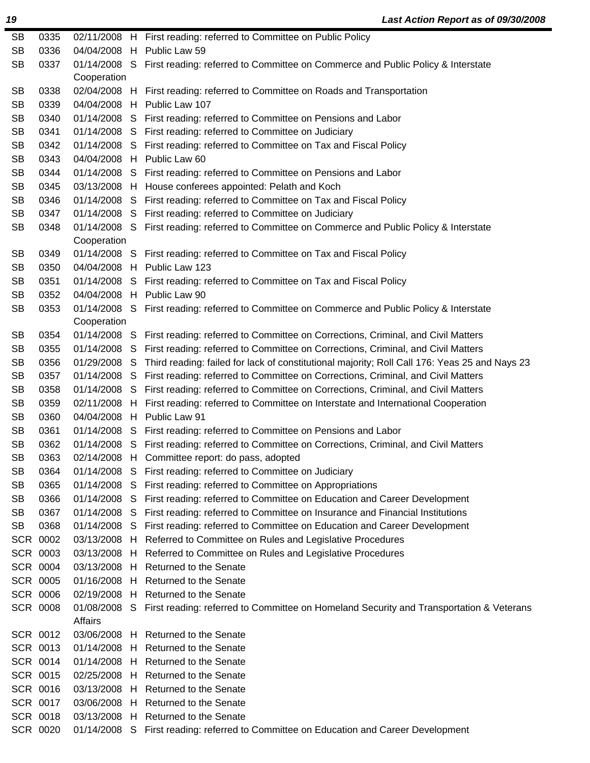| SB        | 0335            |              |   | 02/11/2008 H First reading: referred to Committee on Public Policy                                         |
|-----------|-----------------|--------------|---|------------------------------------------------------------------------------------------------------------|
| <b>SB</b> | 0336            |              |   | 04/04/2008 H Public Law 59                                                                                 |
| <b>SB</b> | 0337            | Cooperation  |   | 01/14/2008 S First reading: referred to Committee on Commerce and Public Policy & Interstate               |
| SB        | 0338            |              |   | 02/04/2008 H First reading: referred to Committee on Roads and Transportation                              |
| <b>SB</b> | 0339            |              |   | 04/04/2008 H Public Law 107                                                                                |
| <b>SB</b> | 0340            |              |   | 01/14/2008 S First reading: referred to Committee on Pensions and Labor                                    |
| <b>SB</b> | 0341            |              |   | 01/14/2008 S First reading: referred to Committee on Judiciary                                             |
| <b>SB</b> | 0342            |              |   | 01/14/2008 S First reading: referred to Committee on Tax and Fiscal Policy                                 |
| <b>SB</b> | 0343            |              |   | 04/04/2008 H Public Law 60                                                                                 |
| <b>SB</b> | 0344            |              |   | 01/14/2008 S First reading: referred to Committee on Pensions and Labor                                    |
| <b>SB</b> | 0345            |              |   | 03/13/2008 H House conferees appointed: Pelath and Koch                                                    |
| <b>SB</b> | 0346            |              |   | 01/14/2008 S First reading: referred to Committee on Tax and Fiscal Policy                                 |
| <b>SB</b> | 0347            |              |   | 01/14/2008 S First reading: referred to Committee on Judiciary                                             |
| SB        | 0348            |              |   | 01/14/2008 S First reading: referred to Committee on Commerce and Public Policy & Interstate               |
|           |                 | Cooperation  |   |                                                                                                            |
| SB        | 0349            |              |   | 01/14/2008 S First reading: referred to Committee on Tax and Fiscal Policy                                 |
| <b>SB</b> | 0350            |              |   | 04/04/2008 H Public Law 123                                                                                |
| <b>SB</b> | 0351            |              |   | 01/14/2008 S First reading: referred to Committee on Tax and Fiscal Policy                                 |
| <b>SB</b> | 0352            |              |   | 04/04/2008 H Public Law 90                                                                                 |
| SB        | 0353            |              |   | 01/14/2008 S First reading: referred to Committee on Commerce and Public Policy & Interstate               |
|           |                 | Cooperation  |   |                                                                                                            |
| SB        | 0354            |              |   | 01/14/2008 S First reading: referred to Committee on Corrections, Criminal, and Civil Matters              |
| <b>SB</b> | 0355            |              |   | 01/14/2008 S First reading: referred to Committee on Corrections, Criminal, and Civil Matters              |
| <b>SB</b> | 0356            |              |   | 01/29/2008 S Third reading: failed for lack of constitutional majority; Roll Call 176: Yeas 25 and Nays 23 |
| <b>SB</b> | 0357            |              |   | 01/14/2008 S First reading: referred to Committee on Corrections, Criminal, and Civil Matters              |
| SB        | 0358            |              |   | 01/14/2008 S First reading: referred to Committee on Corrections, Criminal, and Civil Matters              |
| <b>SB</b> | 0359            |              |   | 02/11/2008 H First reading: referred to Committee on Interstate and International Cooperation              |
| <b>SB</b> | 0360            |              |   | 04/04/2008 H Public Law 91                                                                                 |
| SB        | 0361            |              |   | 01/14/2008 S First reading: referred to Committee on Pensions and Labor                                    |
| <b>SB</b> | 0362            |              |   | 01/14/2008 S First reading: referred to Committee on Corrections, Criminal, and Civil Matters              |
| <b>SB</b> | 0363            |              |   | 02/14/2008 H Committee report: do pass, adopted                                                            |
| SB        | 0364            |              |   | 01/14/2008 S First reading: referred to Committee on Judiciary                                             |
| <b>SB</b> | 0365            | 01/14/2008 S |   | First reading: referred to Committee on Appropriations                                                     |
| <b>SB</b> | 0366            | 01/14/2008 S |   | First reading: referred to Committee on Education and Career Development                                   |
| <b>SB</b> | 0367            | 01/14/2008 S |   | First reading: referred to Committee on Insurance and Financial Institutions                               |
| SB        | 0368            | 01/14/2008 S |   | First reading: referred to Committee on Education and Career Development                                   |
|           | SCR 0002        | 03/13/2008 H |   | Referred to Committee on Rules and Legislative Procedures                                                  |
|           | SCR 0003        | 03/13/2008   | H | Referred to Committee on Rules and Legislative Procedures                                                  |
|           | SCR 0004        |              |   | 03/13/2008 H Returned to the Senate                                                                        |
|           | <b>SCR 0005</b> | 01/16/2008   | H | Returned to the Senate                                                                                     |
|           | SCR 0006        | 02/19/2008 H |   | <b>Returned to the Senate</b>                                                                              |
|           | <b>SCR 0008</b> | Affairs      |   | 01/08/2008 S First reading: referred to Committee on Homeland Security and Transportation & Veterans       |
|           | SCR 0012        | 03/06/2008   |   | H Returned to the Senate                                                                                   |
|           | SCR 0013        | 01/14/2008 H |   | Returned to the Senate                                                                                     |
|           | SCR 0014        | 01/14/2008 H |   | <b>Returned to the Senate</b>                                                                              |
|           | SCR 0015        | 02/25/2008 H |   | Returned to the Senate                                                                                     |
|           | SCR 0016        | 03/13/2008 H |   | Returned to the Senate                                                                                     |
|           | SCR 0017        | 03/06/2008   | H | Returned to the Senate                                                                                     |
|           | SCR 0018        | 03/13/2008 H |   | Returned to the Senate                                                                                     |
|           | SCR 0020        |              |   | 01/14/2008 S First reading: referred to Committee on Education and Career Development                      |
|           |                 |              |   |                                                                                                            |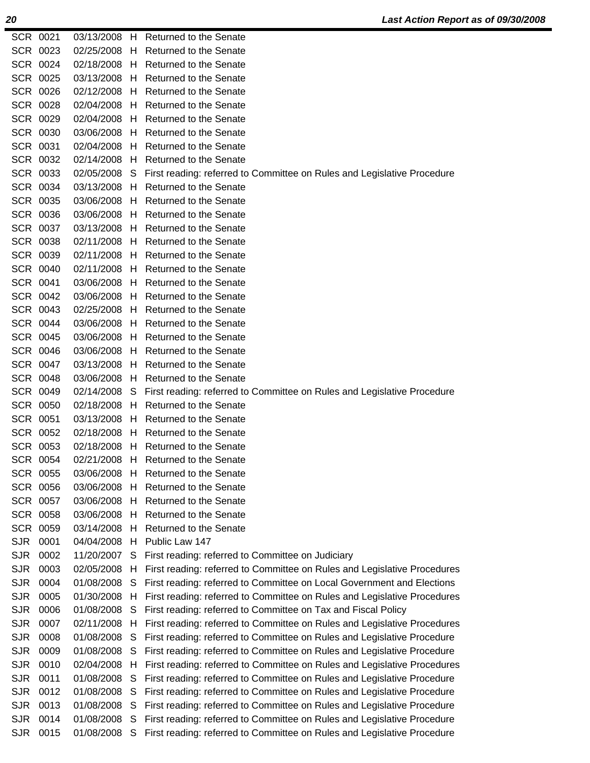| SCR 0023<br>02/25/2008<br>H<br>Returned to the Senate<br>SCR 0024<br>02/18/2008 H<br>Returned to the Senate<br>SCR 0025<br>03/13/2008 H Returned to the Senate<br>SCR 0026<br>02/12/2008<br>H.<br>Returned to the Senate<br>SCR 0028<br>02/04/2008<br>Returned to the Senate<br>H.<br>SCR 0029<br>02/04/2008<br>Returned to the Senate<br>H<br>SCR 0030<br>03/06/2008<br>H.<br>Returned to the Senate<br>SCR 0031<br>H Returned to the Senate<br>02/04/2008<br>SCR 0032<br>02/14/2008<br>Returned to the Senate<br>H<br>SCR 0033<br>02/05/2008<br>S<br>First reading: referred to Committee on Rules and Legislative Procedure<br>SCR 0034<br>03/13/2008<br><b>Returned to the Senate</b><br>H.<br>SCR 0035<br>03/06/2008<br>H<br>Returned to the Senate<br>SCR 0036<br>03/06/2008<br>Returned to the Senate<br>H. |  |
|--------------------------------------------------------------------------------------------------------------------------------------------------------------------------------------------------------------------------------------------------------------------------------------------------------------------------------------------------------------------------------------------------------------------------------------------------------------------------------------------------------------------------------------------------------------------------------------------------------------------------------------------------------------------------------------------------------------------------------------------------------------------------------------------------------------------|--|
|                                                                                                                                                                                                                                                                                                                                                                                                                                                                                                                                                                                                                                                                                                                                                                                                                    |  |
|                                                                                                                                                                                                                                                                                                                                                                                                                                                                                                                                                                                                                                                                                                                                                                                                                    |  |
|                                                                                                                                                                                                                                                                                                                                                                                                                                                                                                                                                                                                                                                                                                                                                                                                                    |  |
|                                                                                                                                                                                                                                                                                                                                                                                                                                                                                                                                                                                                                                                                                                                                                                                                                    |  |
|                                                                                                                                                                                                                                                                                                                                                                                                                                                                                                                                                                                                                                                                                                                                                                                                                    |  |
|                                                                                                                                                                                                                                                                                                                                                                                                                                                                                                                                                                                                                                                                                                                                                                                                                    |  |
|                                                                                                                                                                                                                                                                                                                                                                                                                                                                                                                                                                                                                                                                                                                                                                                                                    |  |
|                                                                                                                                                                                                                                                                                                                                                                                                                                                                                                                                                                                                                                                                                                                                                                                                                    |  |
|                                                                                                                                                                                                                                                                                                                                                                                                                                                                                                                                                                                                                                                                                                                                                                                                                    |  |
|                                                                                                                                                                                                                                                                                                                                                                                                                                                                                                                                                                                                                                                                                                                                                                                                                    |  |
|                                                                                                                                                                                                                                                                                                                                                                                                                                                                                                                                                                                                                                                                                                                                                                                                                    |  |
|                                                                                                                                                                                                                                                                                                                                                                                                                                                                                                                                                                                                                                                                                                                                                                                                                    |  |
|                                                                                                                                                                                                                                                                                                                                                                                                                                                                                                                                                                                                                                                                                                                                                                                                                    |  |
| SCR 0037<br>03/13/2008<br>Returned to the Senate<br>H.                                                                                                                                                                                                                                                                                                                                                                                                                                                                                                                                                                                                                                                                                                                                                             |  |
| <b>SCR 0038</b><br>02/11/2008<br>H<br>Returned to the Senate                                                                                                                                                                                                                                                                                                                                                                                                                                                                                                                                                                                                                                                                                                                                                       |  |
| SCR 0039<br>02/11/2008<br><b>Returned to the Senate</b><br>H                                                                                                                                                                                                                                                                                                                                                                                                                                                                                                                                                                                                                                                                                                                                                       |  |
| SCR 0040<br>02/11/2008 H<br><b>Returned to the Senate</b>                                                                                                                                                                                                                                                                                                                                                                                                                                                                                                                                                                                                                                                                                                                                                          |  |
| SCR 0041<br>03/06/2008<br>Returned to the Senate<br>H.                                                                                                                                                                                                                                                                                                                                                                                                                                                                                                                                                                                                                                                                                                                                                             |  |
| SCR 0042<br>03/06/2008<br>H Returned to the Senate                                                                                                                                                                                                                                                                                                                                                                                                                                                                                                                                                                                                                                                                                                                                                                 |  |
| SCR 0043<br>02/25/2008<br>Returned to the Senate<br>H.                                                                                                                                                                                                                                                                                                                                                                                                                                                                                                                                                                                                                                                                                                                                                             |  |
| SCR 0044<br>03/06/2008<br><b>Returned to the Senate</b><br>H.                                                                                                                                                                                                                                                                                                                                                                                                                                                                                                                                                                                                                                                                                                                                                      |  |
| SCR 0045<br>03/06/2008 H Returned to the Senate                                                                                                                                                                                                                                                                                                                                                                                                                                                                                                                                                                                                                                                                                                                                                                    |  |
| SCR 0046<br>03/06/2008<br>Returned to the Senate<br>H                                                                                                                                                                                                                                                                                                                                                                                                                                                                                                                                                                                                                                                                                                                                                              |  |
| SCR 0047<br>03/13/2008<br>Returned to the Senate<br>H.                                                                                                                                                                                                                                                                                                                                                                                                                                                                                                                                                                                                                                                                                                                                                             |  |
| <b>SCR 0048</b><br>03/06/2008<br><b>Returned to the Senate</b><br>H.                                                                                                                                                                                                                                                                                                                                                                                                                                                                                                                                                                                                                                                                                                                                               |  |
| SCR 0049<br>02/14/2008<br>S<br>First reading: referred to Committee on Rules and Legislative Procedure                                                                                                                                                                                                                                                                                                                                                                                                                                                                                                                                                                                                                                                                                                             |  |
| SCR 0050<br>02/18/2008<br>Returned to the Senate<br>H.                                                                                                                                                                                                                                                                                                                                                                                                                                                                                                                                                                                                                                                                                                                                                             |  |
| SCR 0051<br>03/13/2008<br>Returned to the Senate<br>H                                                                                                                                                                                                                                                                                                                                                                                                                                                                                                                                                                                                                                                                                                                                                              |  |
| SCR 0052<br>02/18/2008<br>Returned to the Senate<br>H.                                                                                                                                                                                                                                                                                                                                                                                                                                                                                                                                                                                                                                                                                                                                                             |  |
| SCR 0053<br>02/18/2008<br><b>Returned to the Senate</b><br>H.                                                                                                                                                                                                                                                                                                                                                                                                                                                                                                                                                                                                                                                                                                                                                      |  |
| SCR 0054<br>02/21/2008<br>H<br>Returned to the Senate                                                                                                                                                                                                                                                                                                                                                                                                                                                                                                                                                                                                                                                                                                                                                              |  |
| SCR 0055<br>03/06/2008<br><b>Returned to the Senate</b><br>H.                                                                                                                                                                                                                                                                                                                                                                                                                                                                                                                                                                                                                                                                                                                                                      |  |
| <b>SCR 0056</b><br>03/06/2008<br><b>Returned to the Senate</b><br>H.                                                                                                                                                                                                                                                                                                                                                                                                                                                                                                                                                                                                                                                                                                                                               |  |
| SCR 0057<br>03/06/2008<br>Returned to the Senate<br>H                                                                                                                                                                                                                                                                                                                                                                                                                                                                                                                                                                                                                                                                                                                                                              |  |
| <b>SCR 0058</b><br>03/06/2008<br>Returned to the Senate<br>H.                                                                                                                                                                                                                                                                                                                                                                                                                                                                                                                                                                                                                                                                                                                                                      |  |
| Returned to the Senate<br>SCR 0059<br>03/14/2008<br>H.                                                                                                                                                                                                                                                                                                                                                                                                                                                                                                                                                                                                                                                                                                                                                             |  |
| <b>SJR</b><br>0001<br>Public Law 147<br>04/04/2008<br>н                                                                                                                                                                                                                                                                                                                                                                                                                                                                                                                                                                                                                                                                                                                                                            |  |
| <b>SJR</b><br>0002<br>11/20/2007<br>S<br>First reading: referred to Committee on Judiciary                                                                                                                                                                                                                                                                                                                                                                                                                                                                                                                                                                                                                                                                                                                         |  |
|                                                                                                                                                                                                                                                                                                                                                                                                                                                                                                                                                                                                                                                                                                                                                                                                                    |  |
| <b>SJR</b><br>0003<br>02/05/2008<br>First reading: referred to Committee on Rules and Legislative Procedures<br>H                                                                                                                                                                                                                                                                                                                                                                                                                                                                                                                                                                                                                                                                                                  |  |
| <b>SJR</b><br>0004<br>01/08/2008<br>S<br>First reading: referred to Committee on Local Government and Elections                                                                                                                                                                                                                                                                                                                                                                                                                                                                                                                                                                                                                                                                                                    |  |
| <b>SJR</b><br>0005<br>01/30/2008<br>First reading: referred to Committee on Rules and Legislative Procedures<br>H                                                                                                                                                                                                                                                                                                                                                                                                                                                                                                                                                                                                                                                                                                  |  |
| <b>SJR</b><br>0006<br>01/08/2008<br>First reading: referred to Committee on Tax and Fiscal Policy<br>S                                                                                                                                                                                                                                                                                                                                                                                                                                                                                                                                                                                                                                                                                                             |  |
| <b>SJR</b><br>0007<br>02/11/2008<br>First reading: referred to Committee on Rules and Legislative Procedures<br>Н                                                                                                                                                                                                                                                                                                                                                                                                                                                                                                                                                                                                                                                                                                  |  |
| <b>SJR</b><br>0008<br>01/08/2008<br>First reading: referred to Committee on Rules and Legislative Procedure<br>S                                                                                                                                                                                                                                                                                                                                                                                                                                                                                                                                                                                                                                                                                                   |  |
| <b>SJR</b><br>0009<br>01/08/2008<br>First reading: referred to Committee on Rules and Legislative Procedure<br>S                                                                                                                                                                                                                                                                                                                                                                                                                                                                                                                                                                                                                                                                                                   |  |
| <b>SJR</b><br>0010<br>02/04/2008<br>First reading: referred to Committee on Rules and Legislative Procedures<br>H                                                                                                                                                                                                                                                                                                                                                                                                                                                                                                                                                                                                                                                                                                  |  |
| <b>SJR</b><br>01/08/2008<br>First reading: referred to Committee on Rules and Legislative Procedure<br>0011<br>S                                                                                                                                                                                                                                                                                                                                                                                                                                                                                                                                                                                                                                                                                                   |  |
| <b>SJR</b><br>0012<br>01/08/2008<br>First reading: referred to Committee on Rules and Legislative Procedure<br>S                                                                                                                                                                                                                                                                                                                                                                                                                                                                                                                                                                                                                                                                                                   |  |
| <b>SJR</b><br>0013<br>01/08/2008<br>First reading: referred to Committee on Rules and Legislative Procedure<br>S                                                                                                                                                                                                                                                                                                                                                                                                                                                                                                                                                                                                                                                                                                   |  |
| <b>SJR</b><br>First reading: referred to Committee on Rules and Legislative Procedure<br>0014<br>01/08/2008<br>S                                                                                                                                                                                                                                                                                                                                                                                                                                                                                                                                                                                                                                                                                                   |  |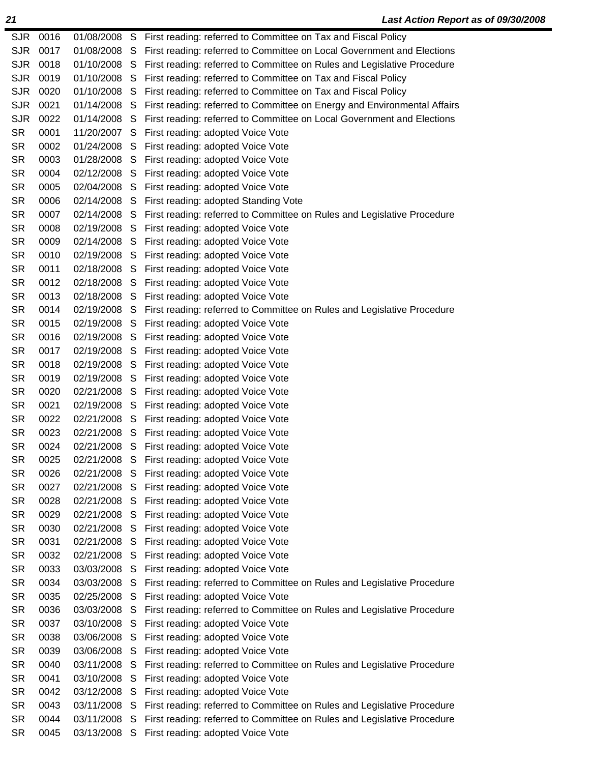| <b>SJR</b><br>0017<br>01/08/2008<br>First reading: referred to Committee on Local Government and Elections<br>S<br><b>SJR</b><br>0018<br>01/10/2008<br>First reading: referred to Committee on Rules and Legislative Procedure<br>S<br><b>SJR</b><br>0019<br>01/10/2008<br>First reading: referred to Committee on Tax and Fiscal Policy<br>S<br><b>SJR</b><br>0020<br>01/10/2008<br>First reading: referred to Committee on Tax and Fiscal Policy<br>S<br><b>SJR</b><br>0021<br>01/14/2008<br>First reading: referred to Committee on Energy and Environmental Affairs<br>S<br><b>SJR</b><br>0022<br>01/14/2008<br>First reading: referred to Committee on Local Government and Elections<br>S<br><b>SR</b><br>0001<br>11/20/2007<br>First reading: adopted Voice Vote<br>S<br><b>SR</b><br>0002<br>01/24/2008<br>First reading: adopted Voice Vote<br>S<br><b>SR</b><br>0003<br>01/28/2008<br>First reading: adopted Voice Vote<br>S<br><b>SR</b><br>0004<br>02/12/2008<br>S<br>First reading: adopted Voice Vote<br><b>SR</b><br>0005<br>02/04/2008<br>First reading: adopted Voice Vote<br>S<br><b>SR</b><br>0006<br>02/14/2008<br>First reading: adopted Standing Vote<br>S<br><b>SR</b><br>0007<br>02/14/2008<br>S<br>First reading: referred to Committee on Rules and Legislative Procedure<br><b>SR</b><br>0008<br>02/19/2008<br>First reading: adopted Voice Vote<br>S<br><b>SR</b><br>0009<br>02/14/2008<br>First reading: adopted Voice Vote<br>S<br><b>SR</b><br>0010<br>First reading: adopted Voice Vote<br>02/19/2008<br>S<br><b>SR</b><br>0011<br>02/18/2008<br>First reading: adopted Voice Vote<br>S<br><b>SR</b><br>0012<br>02/18/2008<br>First reading: adopted Voice Vote<br>S<br><b>SR</b><br>0013<br>02/18/2008<br>First reading: adopted Voice Vote<br>S<br><b>SR</b><br>0014<br>02/19/2008<br>First reading: referred to Committee on Rules and Legislative Procedure<br>S<br><b>SR</b><br>0015<br>02/19/2008<br>First reading: adopted Voice Vote<br>S<br><b>SR</b><br>0016<br>02/19/2008<br>First reading: adopted Voice Vote<br>S<br><b>SR</b><br>0017<br>02/19/2008<br>First reading: adopted Voice Vote<br>S<br><b>SR</b><br>0018<br>02/19/2008<br>First reading: adopted Voice Vote<br>S<br><b>SR</b><br>0019<br>02/19/2008<br>First reading: adopted Voice Vote<br>S<br><b>SR</b><br>0020<br>02/21/2008<br>First reading: adopted Voice Vote<br>S<br><b>SR</b><br>0021<br>02/19/2008<br>First reading: adopted Voice Vote<br>S<br><b>SR</b><br>0022<br>First reading: adopted Voice Vote<br>02/21/2008<br>S<br><b>SR</b><br>0023<br>02/21/2008<br>First reading: adopted Voice Vote<br>S<br><b>SR</b><br>0024<br>02/21/2008<br>S First reading: adopted Voice Vote<br><b>SR</b><br>02/21/2008 S First reading: adopted Voice Vote<br>0025<br><b>SR</b><br>0026<br>02/21/2008 S First reading: adopted Voice Vote<br><b>SR</b><br>0027<br>02/21/2008 S<br>First reading: adopted Voice Vote<br><b>SR</b><br>First reading: adopted Voice Vote<br>0028<br>02/21/2008 S<br><b>SR</b><br>First reading: adopted Voice Vote<br>0029<br>02/21/2008<br>S<br><b>SR</b><br>0030<br>02/21/2008 S<br>First reading: adopted Voice Vote<br><b>SR</b><br>0031<br>First reading: adopted Voice Vote<br>02/21/2008<br>S<br><b>SR</b><br>0032<br>First reading: adopted Voice Vote<br>02/21/2008<br>S<br><b>SR</b><br>0033<br>03/03/2008<br>First reading: adopted Voice Vote<br>S<br><b>SR</b><br>0034<br>03/03/2008<br>First reading: referred to Committee on Rules and Legislative Procedure<br>S<br><b>SR</b><br>0035<br>First reading: adopted Voice Vote<br>02/25/2008<br>S<br><b>SR</b><br>0036<br>03/03/2008<br>First reading: referred to Committee on Rules and Legislative Procedure<br>S<br><b>SR</b><br>First reading: adopted Voice Vote<br>0037<br>03/10/2008<br>S<br><b>SR</b><br>First reading: adopted Voice Vote<br>0038<br>03/06/2008<br>S<br><b>SR</b><br>First reading: adopted Voice Vote<br>0039<br>03/06/2008<br>S<br><b>SR</b><br>First reading: referred to Committee on Rules and Legislative Procedure<br>0040<br>03/11/2008<br>S<br><b>SR</b><br>0041<br>First reading: adopted Voice Vote<br>03/10/2008<br>S<br><b>SR</b><br>First reading: adopted Voice Vote<br>0042<br>03/12/2008<br>S<br><b>SR</b><br>0043<br>03/11/2008<br>First reading: referred to Committee on Rules and Legislative Procedure<br>S | SJR 0016 | 01/08/2008 S | First reading: referred to Committee on Tax and Fiscal Policy |
|---------------------------------------------------------------------------------------------------------------------------------------------------------------------------------------------------------------------------------------------------------------------------------------------------------------------------------------------------------------------------------------------------------------------------------------------------------------------------------------------------------------------------------------------------------------------------------------------------------------------------------------------------------------------------------------------------------------------------------------------------------------------------------------------------------------------------------------------------------------------------------------------------------------------------------------------------------------------------------------------------------------------------------------------------------------------------------------------------------------------------------------------------------------------------------------------------------------------------------------------------------------------------------------------------------------------------------------------------------------------------------------------------------------------------------------------------------------------------------------------------------------------------------------------------------------------------------------------------------------------------------------------------------------------------------------------------------------------------------------------------------------------------------------------------------------------------------------------------------------------------------------------------------------------------------------------------------------------------------------------------------------------------------------------------------------------------------------------------------------------------------------------------------------------------------------------------------------------------------------------------------------------------------------------------------------------------------------------------------------------------------------------------------------------------------------------------------------------------------------------------------------------------------------------------------------------------------------------------------------------------------------------------------------------------------------------------------------------------------------------------------------------------------------------------------------------------------------------------------------------------------------------------------------------------------------------------------------------------------------------------------------------------------------------------------------------------------------------------------------------------------------------------------------------------------------------------------------------------------------------------------------------------------------------------------------------------------------------------------------------------------------------------------------------------------------------------------------------------------------------------------------------------------------------------------------------------------------------------------------------------------------------------------------------------------------------------------------------------------------------------------------------------------------------------------------------------------------------------------------------------------------------------------------------------------------------------------------------------------------------------------------------------------------------------------------------------------------------------------------------------------------------------------------------------------------------------------------------------------------------------------------------------------------------------------------------------------------------------------------|----------|--------------|---------------------------------------------------------------|
|                                                                                                                                                                                                                                                                                                                                                                                                                                                                                                                                                                                                                                                                                                                                                                                                                                                                                                                                                                                                                                                                                                                                                                                                                                                                                                                                                                                                                                                                                                                                                                                                                                                                                                                                                                                                                                                                                                                                                                                                                                                                                                                                                                                                                                                                                                                                                                                                                                                                                                                                                                                                                                                                                                                                                                                                                                                                                                                                                                                                                                                                                                                                                                                                                                                                                                                                                                                                                                                                                                                                                                                                                                                                                                                                                                                                                                                                                                                                                                                                                                                                                                                                                                                                                                                                                                                                                               |          |              |                                                               |
|                                                                                                                                                                                                                                                                                                                                                                                                                                                                                                                                                                                                                                                                                                                                                                                                                                                                                                                                                                                                                                                                                                                                                                                                                                                                                                                                                                                                                                                                                                                                                                                                                                                                                                                                                                                                                                                                                                                                                                                                                                                                                                                                                                                                                                                                                                                                                                                                                                                                                                                                                                                                                                                                                                                                                                                                                                                                                                                                                                                                                                                                                                                                                                                                                                                                                                                                                                                                                                                                                                                                                                                                                                                                                                                                                                                                                                                                                                                                                                                                                                                                                                                                                                                                                                                                                                                                                               |          |              |                                                               |
|                                                                                                                                                                                                                                                                                                                                                                                                                                                                                                                                                                                                                                                                                                                                                                                                                                                                                                                                                                                                                                                                                                                                                                                                                                                                                                                                                                                                                                                                                                                                                                                                                                                                                                                                                                                                                                                                                                                                                                                                                                                                                                                                                                                                                                                                                                                                                                                                                                                                                                                                                                                                                                                                                                                                                                                                                                                                                                                                                                                                                                                                                                                                                                                                                                                                                                                                                                                                                                                                                                                                                                                                                                                                                                                                                                                                                                                                                                                                                                                                                                                                                                                                                                                                                                                                                                                                                               |          |              |                                                               |
|                                                                                                                                                                                                                                                                                                                                                                                                                                                                                                                                                                                                                                                                                                                                                                                                                                                                                                                                                                                                                                                                                                                                                                                                                                                                                                                                                                                                                                                                                                                                                                                                                                                                                                                                                                                                                                                                                                                                                                                                                                                                                                                                                                                                                                                                                                                                                                                                                                                                                                                                                                                                                                                                                                                                                                                                                                                                                                                                                                                                                                                                                                                                                                                                                                                                                                                                                                                                                                                                                                                                                                                                                                                                                                                                                                                                                                                                                                                                                                                                                                                                                                                                                                                                                                                                                                                                                               |          |              |                                                               |
|                                                                                                                                                                                                                                                                                                                                                                                                                                                                                                                                                                                                                                                                                                                                                                                                                                                                                                                                                                                                                                                                                                                                                                                                                                                                                                                                                                                                                                                                                                                                                                                                                                                                                                                                                                                                                                                                                                                                                                                                                                                                                                                                                                                                                                                                                                                                                                                                                                                                                                                                                                                                                                                                                                                                                                                                                                                                                                                                                                                                                                                                                                                                                                                                                                                                                                                                                                                                                                                                                                                                                                                                                                                                                                                                                                                                                                                                                                                                                                                                                                                                                                                                                                                                                                                                                                                                                               |          |              |                                                               |
|                                                                                                                                                                                                                                                                                                                                                                                                                                                                                                                                                                                                                                                                                                                                                                                                                                                                                                                                                                                                                                                                                                                                                                                                                                                                                                                                                                                                                                                                                                                                                                                                                                                                                                                                                                                                                                                                                                                                                                                                                                                                                                                                                                                                                                                                                                                                                                                                                                                                                                                                                                                                                                                                                                                                                                                                                                                                                                                                                                                                                                                                                                                                                                                                                                                                                                                                                                                                                                                                                                                                                                                                                                                                                                                                                                                                                                                                                                                                                                                                                                                                                                                                                                                                                                                                                                                                                               |          |              |                                                               |
|                                                                                                                                                                                                                                                                                                                                                                                                                                                                                                                                                                                                                                                                                                                                                                                                                                                                                                                                                                                                                                                                                                                                                                                                                                                                                                                                                                                                                                                                                                                                                                                                                                                                                                                                                                                                                                                                                                                                                                                                                                                                                                                                                                                                                                                                                                                                                                                                                                                                                                                                                                                                                                                                                                                                                                                                                                                                                                                                                                                                                                                                                                                                                                                                                                                                                                                                                                                                                                                                                                                                                                                                                                                                                                                                                                                                                                                                                                                                                                                                                                                                                                                                                                                                                                                                                                                                                               |          |              |                                                               |
|                                                                                                                                                                                                                                                                                                                                                                                                                                                                                                                                                                                                                                                                                                                                                                                                                                                                                                                                                                                                                                                                                                                                                                                                                                                                                                                                                                                                                                                                                                                                                                                                                                                                                                                                                                                                                                                                                                                                                                                                                                                                                                                                                                                                                                                                                                                                                                                                                                                                                                                                                                                                                                                                                                                                                                                                                                                                                                                                                                                                                                                                                                                                                                                                                                                                                                                                                                                                                                                                                                                                                                                                                                                                                                                                                                                                                                                                                                                                                                                                                                                                                                                                                                                                                                                                                                                                                               |          |              |                                                               |
|                                                                                                                                                                                                                                                                                                                                                                                                                                                                                                                                                                                                                                                                                                                                                                                                                                                                                                                                                                                                                                                                                                                                                                                                                                                                                                                                                                                                                                                                                                                                                                                                                                                                                                                                                                                                                                                                                                                                                                                                                                                                                                                                                                                                                                                                                                                                                                                                                                                                                                                                                                                                                                                                                                                                                                                                                                                                                                                                                                                                                                                                                                                                                                                                                                                                                                                                                                                                                                                                                                                                                                                                                                                                                                                                                                                                                                                                                                                                                                                                                                                                                                                                                                                                                                                                                                                                                               |          |              |                                                               |
|                                                                                                                                                                                                                                                                                                                                                                                                                                                                                                                                                                                                                                                                                                                                                                                                                                                                                                                                                                                                                                                                                                                                                                                                                                                                                                                                                                                                                                                                                                                                                                                                                                                                                                                                                                                                                                                                                                                                                                                                                                                                                                                                                                                                                                                                                                                                                                                                                                                                                                                                                                                                                                                                                                                                                                                                                                                                                                                                                                                                                                                                                                                                                                                                                                                                                                                                                                                                                                                                                                                                                                                                                                                                                                                                                                                                                                                                                                                                                                                                                                                                                                                                                                                                                                                                                                                                                               |          |              |                                                               |
|                                                                                                                                                                                                                                                                                                                                                                                                                                                                                                                                                                                                                                                                                                                                                                                                                                                                                                                                                                                                                                                                                                                                                                                                                                                                                                                                                                                                                                                                                                                                                                                                                                                                                                                                                                                                                                                                                                                                                                                                                                                                                                                                                                                                                                                                                                                                                                                                                                                                                                                                                                                                                                                                                                                                                                                                                                                                                                                                                                                                                                                                                                                                                                                                                                                                                                                                                                                                                                                                                                                                                                                                                                                                                                                                                                                                                                                                                                                                                                                                                                                                                                                                                                                                                                                                                                                                                               |          |              |                                                               |
|                                                                                                                                                                                                                                                                                                                                                                                                                                                                                                                                                                                                                                                                                                                                                                                                                                                                                                                                                                                                                                                                                                                                                                                                                                                                                                                                                                                                                                                                                                                                                                                                                                                                                                                                                                                                                                                                                                                                                                                                                                                                                                                                                                                                                                                                                                                                                                                                                                                                                                                                                                                                                                                                                                                                                                                                                                                                                                                                                                                                                                                                                                                                                                                                                                                                                                                                                                                                                                                                                                                                                                                                                                                                                                                                                                                                                                                                                                                                                                                                                                                                                                                                                                                                                                                                                                                                                               |          |              |                                                               |
|                                                                                                                                                                                                                                                                                                                                                                                                                                                                                                                                                                                                                                                                                                                                                                                                                                                                                                                                                                                                                                                                                                                                                                                                                                                                                                                                                                                                                                                                                                                                                                                                                                                                                                                                                                                                                                                                                                                                                                                                                                                                                                                                                                                                                                                                                                                                                                                                                                                                                                                                                                                                                                                                                                                                                                                                                                                                                                                                                                                                                                                                                                                                                                                                                                                                                                                                                                                                                                                                                                                                                                                                                                                                                                                                                                                                                                                                                                                                                                                                                                                                                                                                                                                                                                                                                                                                                               |          |              |                                                               |
|                                                                                                                                                                                                                                                                                                                                                                                                                                                                                                                                                                                                                                                                                                                                                                                                                                                                                                                                                                                                                                                                                                                                                                                                                                                                                                                                                                                                                                                                                                                                                                                                                                                                                                                                                                                                                                                                                                                                                                                                                                                                                                                                                                                                                                                                                                                                                                                                                                                                                                                                                                                                                                                                                                                                                                                                                                                                                                                                                                                                                                                                                                                                                                                                                                                                                                                                                                                                                                                                                                                                                                                                                                                                                                                                                                                                                                                                                                                                                                                                                                                                                                                                                                                                                                                                                                                                                               |          |              |                                                               |
|                                                                                                                                                                                                                                                                                                                                                                                                                                                                                                                                                                                                                                                                                                                                                                                                                                                                                                                                                                                                                                                                                                                                                                                                                                                                                                                                                                                                                                                                                                                                                                                                                                                                                                                                                                                                                                                                                                                                                                                                                                                                                                                                                                                                                                                                                                                                                                                                                                                                                                                                                                                                                                                                                                                                                                                                                                                                                                                                                                                                                                                                                                                                                                                                                                                                                                                                                                                                                                                                                                                                                                                                                                                                                                                                                                                                                                                                                                                                                                                                                                                                                                                                                                                                                                                                                                                                                               |          |              |                                                               |
|                                                                                                                                                                                                                                                                                                                                                                                                                                                                                                                                                                                                                                                                                                                                                                                                                                                                                                                                                                                                                                                                                                                                                                                                                                                                                                                                                                                                                                                                                                                                                                                                                                                                                                                                                                                                                                                                                                                                                                                                                                                                                                                                                                                                                                                                                                                                                                                                                                                                                                                                                                                                                                                                                                                                                                                                                                                                                                                                                                                                                                                                                                                                                                                                                                                                                                                                                                                                                                                                                                                                                                                                                                                                                                                                                                                                                                                                                                                                                                                                                                                                                                                                                                                                                                                                                                                                                               |          |              |                                                               |
|                                                                                                                                                                                                                                                                                                                                                                                                                                                                                                                                                                                                                                                                                                                                                                                                                                                                                                                                                                                                                                                                                                                                                                                                                                                                                                                                                                                                                                                                                                                                                                                                                                                                                                                                                                                                                                                                                                                                                                                                                                                                                                                                                                                                                                                                                                                                                                                                                                                                                                                                                                                                                                                                                                                                                                                                                                                                                                                                                                                                                                                                                                                                                                                                                                                                                                                                                                                                                                                                                                                                                                                                                                                                                                                                                                                                                                                                                                                                                                                                                                                                                                                                                                                                                                                                                                                                                               |          |              |                                                               |
|                                                                                                                                                                                                                                                                                                                                                                                                                                                                                                                                                                                                                                                                                                                                                                                                                                                                                                                                                                                                                                                                                                                                                                                                                                                                                                                                                                                                                                                                                                                                                                                                                                                                                                                                                                                                                                                                                                                                                                                                                                                                                                                                                                                                                                                                                                                                                                                                                                                                                                                                                                                                                                                                                                                                                                                                                                                                                                                                                                                                                                                                                                                                                                                                                                                                                                                                                                                                                                                                                                                                                                                                                                                                                                                                                                                                                                                                                                                                                                                                                                                                                                                                                                                                                                                                                                                                                               |          |              |                                                               |
|                                                                                                                                                                                                                                                                                                                                                                                                                                                                                                                                                                                                                                                                                                                                                                                                                                                                                                                                                                                                                                                                                                                                                                                                                                                                                                                                                                                                                                                                                                                                                                                                                                                                                                                                                                                                                                                                                                                                                                                                                                                                                                                                                                                                                                                                                                                                                                                                                                                                                                                                                                                                                                                                                                                                                                                                                                                                                                                                                                                                                                                                                                                                                                                                                                                                                                                                                                                                                                                                                                                                                                                                                                                                                                                                                                                                                                                                                                                                                                                                                                                                                                                                                                                                                                                                                                                                                               |          |              |                                                               |
|                                                                                                                                                                                                                                                                                                                                                                                                                                                                                                                                                                                                                                                                                                                                                                                                                                                                                                                                                                                                                                                                                                                                                                                                                                                                                                                                                                                                                                                                                                                                                                                                                                                                                                                                                                                                                                                                                                                                                                                                                                                                                                                                                                                                                                                                                                                                                                                                                                                                                                                                                                                                                                                                                                                                                                                                                                                                                                                                                                                                                                                                                                                                                                                                                                                                                                                                                                                                                                                                                                                                                                                                                                                                                                                                                                                                                                                                                                                                                                                                                                                                                                                                                                                                                                                                                                                                                               |          |              |                                                               |
|                                                                                                                                                                                                                                                                                                                                                                                                                                                                                                                                                                                                                                                                                                                                                                                                                                                                                                                                                                                                                                                                                                                                                                                                                                                                                                                                                                                                                                                                                                                                                                                                                                                                                                                                                                                                                                                                                                                                                                                                                                                                                                                                                                                                                                                                                                                                                                                                                                                                                                                                                                                                                                                                                                                                                                                                                                                                                                                                                                                                                                                                                                                                                                                                                                                                                                                                                                                                                                                                                                                                                                                                                                                                                                                                                                                                                                                                                                                                                                                                                                                                                                                                                                                                                                                                                                                                                               |          |              |                                                               |
|                                                                                                                                                                                                                                                                                                                                                                                                                                                                                                                                                                                                                                                                                                                                                                                                                                                                                                                                                                                                                                                                                                                                                                                                                                                                                                                                                                                                                                                                                                                                                                                                                                                                                                                                                                                                                                                                                                                                                                                                                                                                                                                                                                                                                                                                                                                                                                                                                                                                                                                                                                                                                                                                                                                                                                                                                                                                                                                                                                                                                                                                                                                                                                                                                                                                                                                                                                                                                                                                                                                                                                                                                                                                                                                                                                                                                                                                                                                                                                                                                                                                                                                                                                                                                                                                                                                                                               |          |              |                                                               |
|                                                                                                                                                                                                                                                                                                                                                                                                                                                                                                                                                                                                                                                                                                                                                                                                                                                                                                                                                                                                                                                                                                                                                                                                                                                                                                                                                                                                                                                                                                                                                                                                                                                                                                                                                                                                                                                                                                                                                                                                                                                                                                                                                                                                                                                                                                                                                                                                                                                                                                                                                                                                                                                                                                                                                                                                                                                                                                                                                                                                                                                                                                                                                                                                                                                                                                                                                                                                                                                                                                                                                                                                                                                                                                                                                                                                                                                                                                                                                                                                                                                                                                                                                                                                                                                                                                                                                               |          |              |                                                               |
|                                                                                                                                                                                                                                                                                                                                                                                                                                                                                                                                                                                                                                                                                                                                                                                                                                                                                                                                                                                                                                                                                                                                                                                                                                                                                                                                                                                                                                                                                                                                                                                                                                                                                                                                                                                                                                                                                                                                                                                                                                                                                                                                                                                                                                                                                                                                                                                                                                                                                                                                                                                                                                                                                                                                                                                                                                                                                                                                                                                                                                                                                                                                                                                                                                                                                                                                                                                                                                                                                                                                                                                                                                                                                                                                                                                                                                                                                                                                                                                                                                                                                                                                                                                                                                                                                                                                                               |          |              |                                                               |
|                                                                                                                                                                                                                                                                                                                                                                                                                                                                                                                                                                                                                                                                                                                                                                                                                                                                                                                                                                                                                                                                                                                                                                                                                                                                                                                                                                                                                                                                                                                                                                                                                                                                                                                                                                                                                                                                                                                                                                                                                                                                                                                                                                                                                                                                                                                                                                                                                                                                                                                                                                                                                                                                                                                                                                                                                                                                                                                                                                                                                                                                                                                                                                                                                                                                                                                                                                                                                                                                                                                                                                                                                                                                                                                                                                                                                                                                                                                                                                                                                                                                                                                                                                                                                                                                                                                                                               |          |              |                                                               |
|                                                                                                                                                                                                                                                                                                                                                                                                                                                                                                                                                                                                                                                                                                                                                                                                                                                                                                                                                                                                                                                                                                                                                                                                                                                                                                                                                                                                                                                                                                                                                                                                                                                                                                                                                                                                                                                                                                                                                                                                                                                                                                                                                                                                                                                                                                                                                                                                                                                                                                                                                                                                                                                                                                                                                                                                                                                                                                                                                                                                                                                                                                                                                                                                                                                                                                                                                                                                                                                                                                                                                                                                                                                                                                                                                                                                                                                                                                                                                                                                                                                                                                                                                                                                                                                                                                                                                               |          |              |                                                               |
|                                                                                                                                                                                                                                                                                                                                                                                                                                                                                                                                                                                                                                                                                                                                                                                                                                                                                                                                                                                                                                                                                                                                                                                                                                                                                                                                                                                                                                                                                                                                                                                                                                                                                                                                                                                                                                                                                                                                                                                                                                                                                                                                                                                                                                                                                                                                                                                                                                                                                                                                                                                                                                                                                                                                                                                                                                                                                                                                                                                                                                                                                                                                                                                                                                                                                                                                                                                                                                                                                                                                                                                                                                                                                                                                                                                                                                                                                                                                                                                                                                                                                                                                                                                                                                                                                                                                                               |          |              |                                                               |
|                                                                                                                                                                                                                                                                                                                                                                                                                                                                                                                                                                                                                                                                                                                                                                                                                                                                                                                                                                                                                                                                                                                                                                                                                                                                                                                                                                                                                                                                                                                                                                                                                                                                                                                                                                                                                                                                                                                                                                                                                                                                                                                                                                                                                                                                                                                                                                                                                                                                                                                                                                                                                                                                                                                                                                                                                                                                                                                                                                                                                                                                                                                                                                                                                                                                                                                                                                                                                                                                                                                                                                                                                                                                                                                                                                                                                                                                                                                                                                                                                                                                                                                                                                                                                                                                                                                                                               |          |              |                                                               |
|                                                                                                                                                                                                                                                                                                                                                                                                                                                                                                                                                                                                                                                                                                                                                                                                                                                                                                                                                                                                                                                                                                                                                                                                                                                                                                                                                                                                                                                                                                                                                                                                                                                                                                                                                                                                                                                                                                                                                                                                                                                                                                                                                                                                                                                                                                                                                                                                                                                                                                                                                                                                                                                                                                                                                                                                                                                                                                                                                                                                                                                                                                                                                                                                                                                                                                                                                                                                                                                                                                                                                                                                                                                                                                                                                                                                                                                                                                                                                                                                                                                                                                                                                                                                                                                                                                                                                               |          |              |                                                               |
|                                                                                                                                                                                                                                                                                                                                                                                                                                                                                                                                                                                                                                                                                                                                                                                                                                                                                                                                                                                                                                                                                                                                                                                                                                                                                                                                                                                                                                                                                                                                                                                                                                                                                                                                                                                                                                                                                                                                                                                                                                                                                                                                                                                                                                                                                                                                                                                                                                                                                                                                                                                                                                                                                                                                                                                                                                                                                                                                                                                                                                                                                                                                                                                                                                                                                                                                                                                                                                                                                                                                                                                                                                                                                                                                                                                                                                                                                                                                                                                                                                                                                                                                                                                                                                                                                                                                                               |          |              |                                                               |
|                                                                                                                                                                                                                                                                                                                                                                                                                                                                                                                                                                                                                                                                                                                                                                                                                                                                                                                                                                                                                                                                                                                                                                                                                                                                                                                                                                                                                                                                                                                                                                                                                                                                                                                                                                                                                                                                                                                                                                                                                                                                                                                                                                                                                                                                                                                                                                                                                                                                                                                                                                                                                                                                                                                                                                                                                                                                                                                                                                                                                                                                                                                                                                                                                                                                                                                                                                                                                                                                                                                                                                                                                                                                                                                                                                                                                                                                                                                                                                                                                                                                                                                                                                                                                                                                                                                                                               |          |              |                                                               |
|                                                                                                                                                                                                                                                                                                                                                                                                                                                                                                                                                                                                                                                                                                                                                                                                                                                                                                                                                                                                                                                                                                                                                                                                                                                                                                                                                                                                                                                                                                                                                                                                                                                                                                                                                                                                                                                                                                                                                                                                                                                                                                                                                                                                                                                                                                                                                                                                                                                                                                                                                                                                                                                                                                                                                                                                                                                                                                                                                                                                                                                                                                                                                                                                                                                                                                                                                                                                                                                                                                                                                                                                                                                                                                                                                                                                                                                                                                                                                                                                                                                                                                                                                                                                                                                                                                                                                               |          |              |                                                               |
|                                                                                                                                                                                                                                                                                                                                                                                                                                                                                                                                                                                                                                                                                                                                                                                                                                                                                                                                                                                                                                                                                                                                                                                                                                                                                                                                                                                                                                                                                                                                                                                                                                                                                                                                                                                                                                                                                                                                                                                                                                                                                                                                                                                                                                                                                                                                                                                                                                                                                                                                                                                                                                                                                                                                                                                                                                                                                                                                                                                                                                                                                                                                                                                                                                                                                                                                                                                                                                                                                                                                                                                                                                                                                                                                                                                                                                                                                                                                                                                                                                                                                                                                                                                                                                                                                                                                                               |          |              |                                                               |
|                                                                                                                                                                                                                                                                                                                                                                                                                                                                                                                                                                                                                                                                                                                                                                                                                                                                                                                                                                                                                                                                                                                                                                                                                                                                                                                                                                                                                                                                                                                                                                                                                                                                                                                                                                                                                                                                                                                                                                                                                                                                                                                                                                                                                                                                                                                                                                                                                                                                                                                                                                                                                                                                                                                                                                                                                                                                                                                                                                                                                                                                                                                                                                                                                                                                                                                                                                                                                                                                                                                                                                                                                                                                                                                                                                                                                                                                                                                                                                                                                                                                                                                                                                                                                                                                                                                                                               |          |              |                                                               |
|                                                                                                                                                                                                                                                                                                                                                                                                                                                                                                                                                                                                                                                                                                                                                                                                                                                                                                                                                                                                                                                                                                                                                                                                                                                                                                                                                                                                                                                                                                                                                                                                                                                                                                                                                                                                                                                                                                                                                                                                                                                                                                                                                                                                                                                                                                                                                                                                                                                                                                                                                                                                                                                                                                                                                                                                                                                                                                                                                                                                                                                                                                                                                                                                                                                                                                                                                                                                                                                                                                                                                                                                                                                                                                                                                                                                                                                                                                                                                                                                                                                                                                                                                                                                                                                                                                                                                               |          |              |                                                               |
|                                                                                                                                                                                                                                                                                                                                                                                                                                                                                                                                                                                                                                                                                                                                                                                                                                                                                                                                                                                                                                                                                                                                                                                                                                                                                                                                                                                                                                                                                                                                                                                                                                                                                                                                                                                                                                                                                                                                                                                                                                                                                                                                                                                                                                                                                                                                                                                                                                                                                                                                                                                                                                                                                                                                                                                                                                                                                                                                                                                                                                                                                                                                                                                                                                                                                                                                                                                                                                                                                                                                                                                                                                                                                                                                                                                                                                                                                                                                                                                                                                                                                                                                                                                                                                                                                                                                                               |          |              |                                                               |
|                                                                                                                                                                                                                                                                                                                                                                                                                                                                                                                                                                                                                                                                                                                                                                                                                                                                                                                                                                                                                                                                                                                                                                                                                                                                                                                                                                                                                                                                                                                                                                                                                                                                                                                                                                                                                                                                                                                                                                                                                                                                                                                                                                                                                                                                                                                                                                                                                                                                                                                                                                                                                                                                                                                                                                                                                                                                                                                                                                                                                                                                                                                                                                                                                                                                                                                                                                                                                                                                                                                                                                                                                                                                                                                                                                                                                                                                                                                                                                                                                                                                                                                                                                                                                                                                                                                                                               |          |              |                                                               |
|                                                                                                                                                                                                                                                                                                                                                                                                                                                                                                                                                                                                                                                                                                                                                                                                                                                                                                                                                                                                                                                                                                                                                                                                                                                                                                                                                                                                                                                                                                                                                                                                                                                                                                                                                                                                                                                                                                                                                                                                                                                                                                                                                                                                                                                                                                                                                                                                                                                                                                                                                                                                                                                                                                                                                                                                                                                                                                                                                                                                                                                                                                                                                                                                                                                                                                                                                                                                                                                                                                                                                                                                                                                                                                                                                                                                                                                                                                                                                                                                                                                                                                                                                                                                                                                                                                                                                               |          |              |                                                               |
|                                                                                                                                                                                                                                                                                                                                                                                                                                                                                                                                                                                                                                                                                                                                                                                                                                                                                                                                                                                                                                                                                                                                                                                                                                                                                                                                                                                                                                                                                                                                                                                                                                                                                                                                                                                                                                                                                                                                                                                                                                                                                                                                                                                                                                                                                                                                                                                                                                                                                                                                                                                                                                                                                                                                                                                                                                                                                                                                                                                                                                                                                                                                                                                                                                                                                                                                                                                                                                                                                                                                                                                                                                                                                                                                                                                                                                                                                                                                                                                                                                                                                                                                                                                                                                                                                                                                                               |          |              |                                                               |
|                                                                                                                                                                                                                                                                                                                                                                                                                                                                                                                                                                                                                                                                                                                                                                                                                                                                                                                                                                                                                                                                                                                                                                                                                                                                                                                                                                                                                                                                                                                                                                                                                                                                                                                                                                                                                                                                                                                                                                                                                                                                                                                                                                                                                                                                                                                                                                                                                                                                                                                                                                                                                                                                                                                                                                                                                                                                                                                                                                                                                                                                                                                                                                                                                                                                                                                                                                                                                                                                                                                                                                                                                                                                                                                                                                                                                                                                                                                                                                                                                                                                                                                                                                                                                                                                                                                                                               |          |              |                                                               |
|                                                                                                                                                                                                                                                                                                                                                                                                                                                                                                                                                                                                                                                                                                                                                                                                                                                                                                                                                                                                                                                                                                                                                                                                                                                                                                                                                                                                                                                                                                                                                                                                                                                                                                                                                                                                                                                                                                                                                                                                                                                                                                                                                                                                                                                                                                                                                                                                                                                                                                                                                                                                                                                                                                                                                                                                                                                                                                                                                                                                                                                                                                                                                                                                                                                                                                                                                                                                                                                                                                                                                                                                                                                                                                                                                                                                                                                                                                                                                                                                                                                                                                                                                                                                                                                                                                                                                               |          |              |                                                               |
|                                                                                                                                                                                                                                                                                                                                                                                                                                                                                                                                                                                                                                                                                                                                                                                                                                                                                                                                                                                                                                                                                                                                                                                                                                                                                                                                                                                                                                                                                                                                                                                                                                                                                                                                                                                                                                                                                                                                                                                                                                                                                                                                                                                                                                                                                                                                                                                                                                                                                                                                                                                                                                                                                                                                                                                                                                                                                                                                                                                                                                                                                                                                                                                                                                                                                                                                                                                                                                                                                                                                                                                                                                                                                                                                                                                                                                                                                                                                                                                                                                                                                                                                                                                                                                                                                                                                                               |          |              |                                                               |
|                                                                                                                                                                                                                                                                                                                                                                                                                                                                                                                                                                                                                                                                                                                                                                                                                                                                                                                                                                                                                                                                                                                                                                                                                                                                                                                                                                                                                                                                                                                                                                                                                                                                                                                                                                                                                                                                                                                                                                                                                                                                                                                                                                                                                                                                                                                                                                                                                                                                                                                                                                                                                                                                                                                                                                                                                                                                                                                                                                                                                                                                                                                                                                                                                                                                                                                                                                                                                                                                                                                                                                                                                                                                                                                                                                                                                                                                                                                                                                                                                                                                                                                                                                                                                                                                                                                                                               |          |              |                                                               |
|                                                                                                                                                                                                                                                                                                                                                                                                                                                                                                                                                                                                                                                                                                                                                                                                                                                                                                                                                                                                                                                                                                                                                                                                                                                                                                                                                                                                                                                                                                                                                                                                                                                                                                                                                                                                                                                                                                                                                                                                                                                                                                                                                                                                                                                                                                                                                                                                                                                                                                                                                                                                                                                                                                                                                                                                                                                                                                                                                                                                                                                                                                                                                                                                                                                                                                                                                                                                                                                                                                                                                                                                                                                                                                                                                                                                                                                                                                                                                                                                                                                                                                                                                                                                                                                                                                                                                               |          |              |                                                               |
|                                                                                                                                                                                                                                                                                                                                                                                                                                                                                                                                                                                                                                                                                                                                                                                                                                                                                                                                                                                                                                                                                                                                                                                                                                                                                                                                                                                                                                                                                                                                                                                                                                                                                                                                                                                                                                                                                                                                                                                                                                                                                                                                                                                                                                                                                                                                                                                                                                                                                                                                                                                                                                                                                                                                                                                                                                                                                                                                                                                                                                                                                                                                                                                                                                                                                                                                                                                                                                                                                                                                                                                                                                                                                                                                                                                                                                                                                                                                                                                                                                                                                                                                                                                                                                                                                                                                                               |          |              |                                                               |
|                                                                                                                                                                                                                                                                                                                                                                                                                                                                                                                                                                                                                                                                                                                                                                                                                                                                                                                                                                                                                                                                                                                                                                                                                                                                                                                                                                                                                                                                                                                                                                                                                                                                                                                                                                                                                                                                                                                                                                                                                                                                                                                                                                                                                                                                                                                                                                                                                                                                                                                                                                                                                                                                                                                                                                                                                                                                                                                                                                                                                                                                                                                                                                                                                                                                                                                                                                                                                                                                                                                                                                                                                                                                                                                                                                                                                                                                                                                                                                                                                                                                                                                                                                                                                                                                                                                                                               |          |              |                                                               |
|                                                                                                                                                                                                                                                                                                                                                                                                                                                                                                                                                                                                                                                                                                                                                                                                                                                                                                                                                                                                                                                                                                                                                                                                                                                                                                                                                                                                                                                                                                                                                                                                                                                                                                                                                                                                                                                                                                                                                                                                                                                                                                                                                                                                                                                                                                                                                                                                                                                                                                                                                                                                                                                                                                                                                                                                                                                                                                                                                                                                                                                                                                                                                                                                                                                                                                                                                                                                                                                                                                                                                                                                                                                                                                                                                                                                                                                                                                                                                                                                                                                                                                                                                                                                                                                                                                                                                               |          |              |                                                               |
|                                                                                                                                                                                                                                                                                                                                                                                                                                                                                                                                                                                                                                                                                                                                                                                                                                                                                                                                                                                                                                                                                                                                                                                                                                                                                                                                                                                                                                                                                                                                                                                                                                                                                                                                                                                                                                                                                                                                                                                                                                                                                                                                                                                                                                                                                                                                                                                                                                                                                                                                                                                                                                                                                                                                                                                                                                                                                                                                                                                                                                                                                                                                                                                                                                                                                                                                                                                                                                                                                                                                                                                                                                                                                                                                                                                                                                                                                                                                                                                                                                                                                                                                                                                                                                                                                                                                                               |          |              |                                                               |
|                                                                                                                                                                                                                                                                                                                                                                                                                                                                                                                                                                                                                                                                                                                                                                                                                                                                                                                                                                                                                                                                                                                                                                                                                                                                                                                                                                                                                                                                                                                                                                                                                                                                                                                                                                                                                                                                                                                                                                                                                                                                                                                                                                                                                                                                                                                                                                                                                                                                                                                                                                                                                                                                                                                                                                                                                                                                                                                                                                                                                                                                                                                                                                                                                                                                                                                                                                                                                                                                                                                                                                                                                                                                                                                                                                                                                                                                                                                                                                                                                                                                                                                                                                                                                                                                                                                                                               |          |              |                                                               |
| <b>SR</b><br>0044<br>03/11/2008<br>First reading: referred to Committee on Rules and Legislative Procedure<br>S                                                                                                                                                                                                                                                                                                                                                                                                                                                                                                                                                                                                                                                                                                                                                                                                                                                                                                                                                                                                                                                                                                                                                                                                                                                                                                                                                                                                                                                                                                                                                                                                                                                                                                                                                                                                                                                                                                                                                                                                                                                                                                                                                                                                                                                                                                                                                                                                                                                                                                                                                                                                                                                                                                                                                                                                                                                                                                                                                                                                                                                                                                                                                                                                                                                                                                                                                                                                                                                                                                                                                                                                                                                                                                                                                                                                                                                                                                                                                                                                                                                                                                                                                                                                                                               |          |              |                                                               |
| <b>SR</b><br>03/13/2008 S First reading: adopted Voice Vote<br>0045                                                                                                                                                                                                                                                                                                                                                                                                                                                                                                                                                                                                                                                                                                                                                                                                                                                                                                                                                                                                                                                                                                                                                                                                                                                                                                                                                                                                                                                                                                                                                                                                                                                                                                                                                                                                                                                                                                                                                                                                                                                                                                                                                                                                                                                                                                                                                                                                                                                                                                                                                                                                                                                                                                                                                                                                                                                                                                                                                                                                                                                                                                                                                                                                                                                                                                                                                                                                                                                                                                                                                                                                                                                                                                                                                                                                                                                                                                                                                                                                                                                                                                                                                                                                                                                                                           |          |              |                                                               |